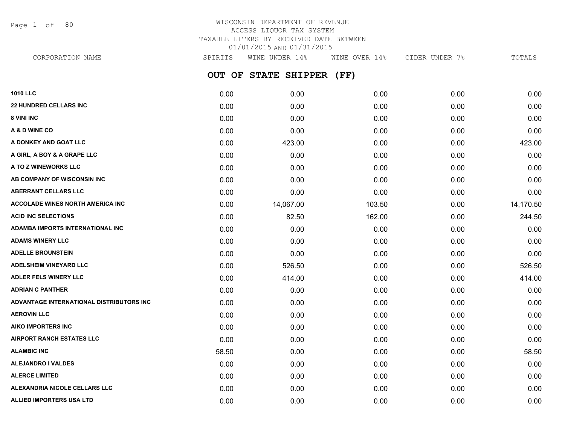Page 1 of 80

# WISCONSIN DEPARTMENT OF REVENUE ACCESS LIQUOR TAX SYSTEM TAXABLE LITERS BY RECEIVED DATE BETWEEN 01/01/2015 AND 01/31/2015

**OUT OF STATE SHIPPER (FF) 1010 LLC** 0.00 0.00 0.00 0.00 0.00 **22 HUNDRED CELLARS INC** 0.00 0.00 0.00 0.00 0.00 **8 VINI INC** 0.00 0.00 0.00 0.00 0.00 **A & D WINE CO** 0.00 0.00 0.00 0.00 0.00 **A DONKEY AND GOAT LLC** 0.00 423.00 0.00 0.00 423.00 **A GIRL, A BOY & A GRAPE LLC** 0.00 0.00 0.00 0.00 0.00 **A TO Z WINEWORKS LLC** 0.00 0.00 0.00 0.00 0.00 **AB COMPANY OF WISCONSIN INC** 0.00 0.00 0.00 0.00 0.00 **ABERRANT CELLARS LLC** 0.00 0.00 0.00 0.00 0.00 **ACCOLADE WINES NORTH AMERICA INC** 0.00 14,067.00 103.50 0.00 14,170.50 **ACID INC SELECTIONS** 244.50 **ADAMBA IMPORTS INTERNATIONAL INC** 0.00 0.00 0.00 0.00 0.00 **ADAMS WINERY LLC** 0.00 0.00 0.00 0.00 0.00 **ADELLE BROUNSTEIN** 0.00 0.00 0.00 0.00 0.00 **ADELSHEIM VINEYARD LLC** 0.00 526.50 0.00 0.00 526.50 **ADLER FELS WINERY LLC** 0.00 414.00 0.00 0.00 414.00 **ADRIAN C PANTHER** 0.00 0.00 0.00 0.00 0.00 **ADVANTAGE INTERNATIONAL DISTRIBUTORS INC** 0.00 0.00 0.00 0.00 0.00 **AEROVIN LLC** 0.00 0.00 0.00 0.00 0.00 **AIKO IMPORTERS INC** 0.00 0.00 0.00 0.00 0.00 **AIRPORT RANCH ESTATES LLC** 0.00 0.00 0.00 0.00 0.00 **ALAMBIC INC** 58.50 0.00 0.00 0.00 58.50 **ALEJANDRO I VALDES** 0.00 0.00 0.00 0.00 0.00 CORPORATION NAME SPIRITS WINE UNDER 14% WINE OVER 14% CIDER UNDER 7% TOTALS

**ALERCE LIMITED** 0.00 0.00 0.00 0.00 0.00 **ALEXANDRIA NICOLE CELLARS LLC** 0.00 0.00 0.00 0.00 0.00 **ALLIED IMPORTERS USA LTD**  $\begin{array}{cccc} 0.00 & 0.00 & 0.00 & 0.00 & 0.00 & 0.00 & 0.00 & 0.00 & 0.00 & 0.00 & 0.00 & 0.00 & 0.00 & 0.00 & 0.00 & 0.00 & 0.00 & 0.00 & 0.00 & 0.00 & 0.00 & 0.00 & 0.00 & 0.00 & 0.00 & 0.00 & 0.00 & 0.00 & 0.00 & 0.00 & 0.00 &$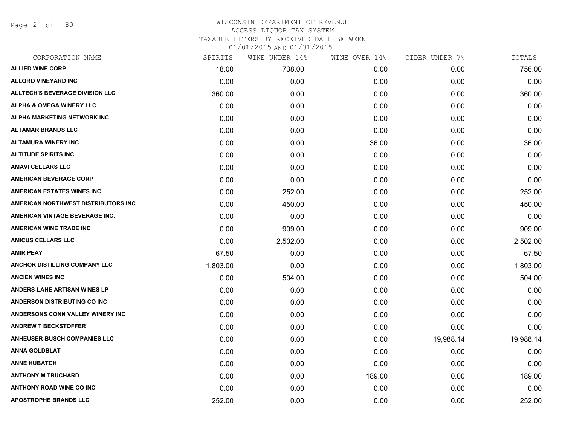Page 2 of 80

## WISCONSIN DEPARTMENT OF REVENUE ACCESS LIQUOR TAX SYSTEM TAXABLE LITERS BY RECEIVED DATE BETWEEN

| CORPORATION NAME                       | SPIRITS  | WINE UNDER 14% | WINE OVER 14% | CIDER UNDER 7% | TOTALS    |
|----------------------------------------|----------|----------------|---------------|----------------|-----------|
| <b>ALLIED WINE CORP</b>                | 18.00    | 738.00         | 0.00          | 0.00           | 756.00    |
| <b>ALLORO VINEYARD INC</b>             | 0.00     | 0.00           | 0.00          | 0.00           | 0.00      |
| <b>ALLTECH'S BEVERAGE DIVISION LLC</b> | 360.00   | 0.00           | 0.00          | 0.00           | 360.00    |
| ALPHA & OMEGA WINERY LLC               | 0.00     | 0.00           | 0.00          | 0.00           | 0.00      |
| ALPHA MARKETING NETWORK INC            | 0.00     | 0.00           | 0.00          | 0.00           | 0.00      |
| <b>ALTAMAR BRANDS LLC</b>              | 0.00     | 0.00           | 0.00          | 0.00           | 0.00      |
| <b>ALTAMURA WINERY INC</b>             | 0.00     | 0.00           | 36.00         | 0.00           | 36.00     |
| <b>ALTITUDE SPIRITS INC</b>            | 0.00     | 0.00           | 0.00          | 0.00           | 0.00      |
| <b>AMAVI CELLARS LLC</b>               | 0.00     | 0.00           | 0.00          | 0.00           | 0.00      |
| <b>AMERICAN BEVERAGE CORP</b>          | 0.00     | 0.00           | 0.00          | 0.00           | 0.00      |
| <b>AMERICAN ESTATES WINES INC</b>      | 0.00     | 252.00         | 0.00          | 0.00           | 252.00    |
| AMERICAN NORTHWEST DISTRIBUTORS INC    | 0.00     | 450.00         | 0.00          | 0.00           | 450.00    |
| AMERICAN VINTAGE BEVERAGE INC.         | 0.00     | 0.00           | 0.00          | 0.00           | 0.00      |
| <b>AMERICAN WINE TRADE INC</b>         | 0.00     | 909.00         | 0.00          | 0.00           | 909.00    |
| <b>AMICUS CELLARS LLC</b>              | 0.00     | 2,502.00       | 0.00          | 0.00           | 2,502.00  |
| <b>AMIR PEAY</b>                       | 67.50    | 0.00           | 0.00          | 0.00           | 67.50     |
| ANCHOR DISTILLING COMPANY LLC          | 1,803.00 | 0.00           | 0.00          | 0.00           | 1,803.00  |
| <b>ANCIEN WINES INC</b>                | 0.00     | 504.00         | 0.00          | 0.00           | 504.00    |
| <b>ANDERS-LANE ARTISAN WINES LP</b>    | 0.00     | 0.00           | 0.00          | 0.00           | 0.00      |
| <b>ANDERSON DISTRIBUTING CO INC</b>    | 0.00     | 0.00           | 0.00          | 0.00           | 0.00      |
| ANDERSONS CONN VALLEY WINERY INC       | 0.00     | 0.00           | 0.00          | 0.00           | 0.00      |
| <b>ANDREW T BECKSTOFFER</b>            | 0.00     | 0.00           | 0.00          | 0.00           | 0.00      |
| <b>ANHEUSER-BUSCH COMPANIES LLC</b>    | 0.00     | 0.00           | 0.00          | 19,988.14      | 19,988.14 |
| <b>ANNA GOLDBLAT</b>                   | 0.00     | 0.00           | 0.00          | 0.00           | 0.00      |
| <b>ANNE HUBATCH</b>                    | 0.00     | 0.00           | 0.00          | 0.00           | 0.00      |
| <b>ANTHONY M TRUCHARD</b>              | 0.00     | 0.00           | 189.00        | 0.00           | 189.00    |
| <b>ANTHONY ROAD WINE CO INC</b>        | 0.00     | 0.00           | 0.00          | 0.00           | 0.00      |
| <b>APOSTROPHE BRANDS LLC</b>           | 252.00   | 0.00           | 0.00          | 0.00           | 252.00    |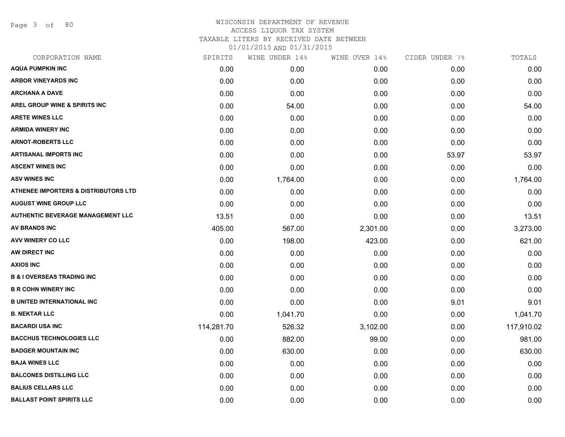Page 3 of 80

# WISCONSIN DEPARTMENT OF REVENUE ACCESS LIQUOR TAX SYSTEM TAXABLE LITERS BY RECEIVED DATE BETWEEN

| CORPORATION NAME                                | SPIRITS    | WINE UNDER 14% | WINE OVER 14% | CIDER UNDER 7% | TOTALS     |
|-------------------------------------------------|------------|----------------|---------------|----------------|------------|
| <b>AQUA PUMPKIN INC</b>                         | 0.00       | 0.00           | 0.00          | 0.00           | 0.00       |
| <b>ARBOR VINEYARDS INC</b>                      | 0.00       | 0.00           | 0.00          | 0.00           | 0.00       |
| <b>ARCHANA A DAVE</b>                           | 0.00       | 0.00           | 0.00          | 0.00           | 0.00       |
| AREL GROUP WINE & SPIRITS INC                   | 0.00       | 54.00          | 0.00          | 0.00           | 54.00      |
| <b>ARETE WINES LLC</b>                          | 0.00       | 0.00           | 0.00          | 0.00           | 0.00       |
| <b>ARMIDA WINERY INC</b>                        | 0.00       | 0.00           | 0.00          | 0.00           | 0.00       |
| <b>ARNOT-ROBERTS LLC</b>                        | 0.00       | 0.00           | 0.00          | 0.00           | 0.00       |
| <b>ARTISANAL IMPORTS INC</b>                    | 0.00       | 0.00           | 0.00          | 53.97          | 53.97      |
| <b>ASCENT WINES INC</b>                         | 0.00       | 0.00           | 0.00          | 0.00           | 0.00       |
| <b>ASV WINES INC</b>                            | 0.00       | 1,764.00       | 0.00          | 0.00           | 1,764.00   |
| <b>ATHENEE IMPORTERS &amp; DISTRIBUTORS LTD</b> | 0.00       | 0.00           | 0.00          | 0.00           | 0.00       |
| <b>AUGUST WINE GROUP LLC</b>                    | 0.00       | 0.00           | 0.00          | 0.00           | 0.00       |
| <b>AUTHENTIC BEVERAGE MANAGEMENT LLC</b>        | 13.51      | 0.00           | 0.00          | 0.00           | 13.51      |
| <b>AV BRANDS INC</b>                            | 405.00     | 567.00         | 2,301.00      | 0.00           | 3,273.00   |
| AVV WINERY CO LLC                               | 0.00       | 198.00         | 423.00        | 0.00           | 621.00     |
| AW DIRECT INC                                   | 0.00       | 0.00           | 0.00          | 0.00           | 0.00       |
| <b>AXIOS INC</b>                                | 0.00       | 0.00           | 0.00          | 0.00           | 0.00       |
| <b>B &amp; I OVERSEAS TRADING INC</b>           | 0.00       | 0.00           | 0.00          | 0.00           | 0.00       |
| <b>B R COHN WINERY INC</b>                      | 0.00       | 0.00           | 0.00          | 0.00           | 0.00       |
| <b>B UNITED INTERNATIONAL INC</b>               | 0.00       | 0.00           | 0.00          | 9.01           | 9.01       |
| <b>B. NEKTAR LLC</b>                            | 0.00       | 1,041.70       | 0.00          | 0.00           | 1,041.70   |
| <b>BACARDI USA INC</b>                          | 114,281.70 | 526.32         | 3,102.00      | 0.00           | 117,910.02 |
| <b>BACCHUS TECHNOLOGIES LLC</b>                 | 0.00       | 882.00         | 99.00         | 0.00           | 981.00     |
| <b>BADGER MOUNTAIN INC</b>                      | 0.00       | 630.00         | 0.00          | 0.00           | 630.00     |
| <b>BAJA WINES LLC</b>                           | 0.00       | 0.00           | 0.00          | 0.00           | 0.00       |
| <b>BALCONES DISTILLING LLC</b>                  | 0.00       | 0.00           | 0.00          | 0.00           | 0.00       |
| <b>BALIUS CELLARS LLC</b>                       | 0.00       | 0.00           | 0.00          | 0.00           | 0.00       |
| <b>BALLAST POINT SPIRITS LLC</b>                | 0.00       | 0.00           | 0.00          | 0.00           | 0.00       |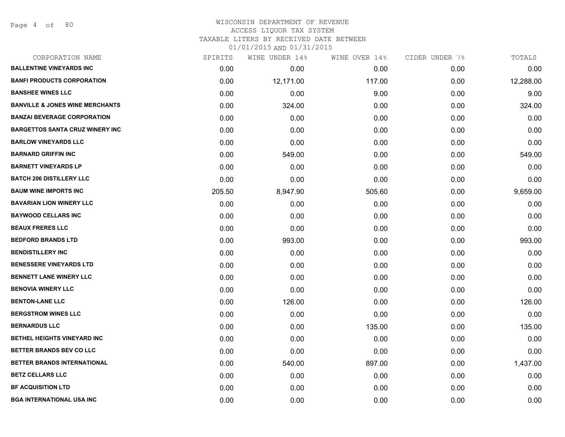# WISCONSIN DEPARTMENT OF REVENUE ACCESS LIQUOR TAX SYSTEM

TAXABLE LITERS BY RECEIVED DATE BETWEEN

| CORPORATION NAME                           | SPIRITS | WINE UNDER 14% | WINE OVER 14% | CIDER UNDER 7% | TOTALS    |
|--------------------------------------------|---------|----------------|---------------|----------------|-----------|
| <b>BALLENTINE VINEYARDS INC</b>            | 0.00    | 0.00           | 0.00          | 0.00           | 0.00      |
| <b>BANFI PRODUCTS CORPORATION</b>          | 0.00    | 12,171.00      | 117.00        | 0.00           | 12,288.00 |
| <b>BANSHEE WINES LLC</b>                   | 0.00    | 0.00           | 9.00          | 0.00           | 9.00      |
| <b>BANVILLE &amp; JONES WINE MERCHANTS</b> | 0.00    | 324.00         | 0.00          | 0.00           | 324.00    |
| <b>BANZAI BEVERAGE CORPORATION</b>         | 0.00    | 0.00           | 0.00          | 0.00           | 0.00      |
| <b>BARGETTOS SANTA CRUZ WINERY INC</b>     | 0.00    | 0.00           | 0.00          | 0.00           | 0.00      |
| <b>BARLOW VINEYARDS LLC</b>                | 0.00    | 0.00           | 0.00          | 0.00           | 0.00      |
| <b>BARNARD GRIFFIN INC</b>                 | 0.00    | 549.00         | 0.00          | 0.00           | 549.00    |
| <b>BARNETT VINEYARDS LP</b>                | 0.00    | 0.00           | 0.00          | 0.00           | 0.00      |
| <b>BATCH 206 DISTILLERY LLC</b>            | 0.00    | 0.00           | 0.00          | 0.00           | 0.00      |
| <b>BAUM WINE IMPORTS INC</b>               | 205.50  | 8,947.90       | 505.60        | 0.00           | 9,659.00  |
| <b>BAVARIAN LION WINERY LLC</b>            | 0.00    | 0.00           | 0.00          | 0.00           | 0.00      |
| <b>BAYWOOD CELLARS INC</b>                 | 0.00    | 0.00           | 0.00          | 0.00           | 0.00      |
| <b>BEAUX FRERES LLC</b>                    | 0.00    | 0.00           | 0.00          | 0.00           | 0.00      |
| <b>BEDFORD BRANDS LTD</b>                  | 0.00    | 993.00         | 0.00          | 0.00           | 993.00    |
| <b>BENDISTILLERY INC</b>                   | 0.00    | 0.00           | 0.00          | 0.00           | 0.00      |
| <b>BENESSERE VINEYARDS LTD</b>             | 0.00    | 0.00           | 0.00          | 0.00           | 0.00      |
| <b>BENNETT LANE WINERY LLC</b>             | 0.00    | 0.00           | 0.00          | 0.00           | 0.00      |
| <b>BENOVIA WINERY LLC</b>                  | 0.00    | 0.00           | 0.00          | 0.00           | 0.00      |
| <b>BENTON-LANE LLC</b>                     | 0.00    | 126.00         | 0.00          | 0.00           | 126.00    |
| <b>BERGSTROM WINES LLC</b>                 | 0.00    | 0.00           | 0.00          | 0.00           | 0.00      |
| <b>BERNARDUS LLC</b>                       | 0.00    | 0.00           | 135.00        | 0.00           | 135.00    |
| <b>BETHEL HEIGHTS VINEYARD INC</b>         | 0.00    | 0.00           | 0.00          | 0.00           | 0.00      |
| <b>BETTER BRANDS BEV CO LLC</b>            | 0.00    | 0.00           | 0.00          | 0.00           | 0.00      |
| BETTER BRANDS INTERNATIONAL                | 0.00    | 540.00         | 897.00        | 0.00           | 1,437.00  |
| <b>BETZ CELLARS LLC</b>                    | 0.00    | 0.00           | 0.00          | 0.00           | 0.00      |
| <b>BF ACQUISITION LTD</b>                  | 0.00    | 0.00           | 0.00          | 0.00           | 0.00      |
| <b>BGA INTERNATIONAL USA INC</b>           | 0.00    | 0.00           | 0.00          | 0.00           | 0.00      |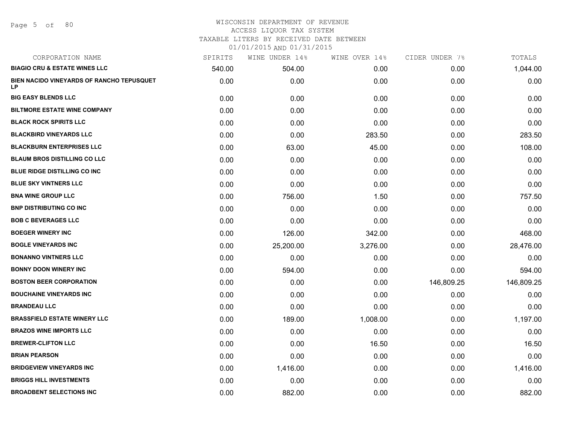#### WISCONSIN DEPARTMENT OF REVENUE ACCESS LIQUOR TAX SYSTEM TAXABLE LITERS BY RECEIVED DATE BETWEEN

| CORPORATION NAME                                              | SPIRITS | WINE UNDER 14% | WINE OVER 14% | CIDER UNDER 7% | TOTALS     |
|---------------------------------------------------------------|---------|----------------|---------------|----------------|------------|
| <b>BIAGIO CRU &amp; ESTATE WINES LLC</b>                      | 540.00  | 504.00         | 0.00          | 0.00           | 1,044.00   |
| <b>BIEN NACIDO VINEYARDS OF RANCHO TEPUSQUET</b><br><b>LP</b> | 0.00    | 0.00           | 0.00          | 0.00           | 0.00       |
| <b>BIG EASY BLENDS LLC</b>                                    | 0.00    | 0.00           | 0.00          | 0.00           | 0.00       |
| <b>BILTMORE ESTATE WINE COMPANY</b>                           | 0.00    | 0.00           | 0.00          | 0.00           | 0.00       |
| <b>BLACK ROCK SPIRITS LLC</b>                                 | 0.00    | 0.00           | 0.00          | 0.00           | 0.00       |
| <b>BLACKBIRD VINEYARDS LLC</b>                                | 0.00    | 0.00           | 283.50        | 0.00           | 283.50     |
| <b>BLACKBURN ENTERPRISES LLC</b>                              | 0.00    | 63.00          | 45.00         | 0.00           | 108.00     |
| <b>BLAUM BROS DISTILLING CO LLC</b>                           | 0.00    | 0.00           | 0.00          | 0.00           | 0.00       |
| <b>BLUE RIDGE DISTILLING CO INC</b>                           | 0.00    | 0.00           | 0.00          | 0.00           | 0.00       |
| <b>BLUE SKY VINTNERS LLC</b>                                  | 0.00    | 0.00           | 0.00          | 0.00           | 0.00       |
| <b>BNA WINE GROUP LLC</b>                                     | 0.00    | 756.00         | 1.50          | 0.00           | 757.50     |
| <b>BNP DISTRIBUTING CO INC</b>                                | 0.00    | 0.00           | 0.00          | 0.00           | 0.00       |
| <b>BOB C BEVERAGES LLC</b>                                    | 0.00    | 0.00           | 0.00          | 0.00           | 0.00       |
| <b>BOEGER WINERY INC</b>                                      | 0.00    | 126.00         | 342.00        | 0.00           | 468.00     |
| <b>BOGLE VINEYARDS INC</b>                                    | 0.00    | 25,200.00      | 3,276.00      | 0.00           | 28,476.00  |
| <b>BONANNO VINTNERS LLC</b>                                   | 0.00    | 0.00           | 0.00          | 0.00           | 0.00       |
| <b>BONNY DOON WINERY INC</b>                                  | 0.00    | 594.00         | 0.00          | 0.00           | 594.00     |
| <b>BOSTON BEER CORPORATION</b>                                | 0.00    | 0.00           | 0.00          | 146,809.25     | 146,809.25 |
| <b>BOUCHAINE VINEYARDS INC</b>                                | 0.00    | 0.00           | 0.00          | 0.00           | 0.00       |
| <b>BRANDEAU LLC</b>                                           | 0.00    | 0.00           | 0.00          | 0.00           | 0.00       |
| <b>BRASSFIELD ESTATE WINERY LLC</b>                           | 0.00    | 189.00         | 1,008.00      | 0.00           | 1,197.00   |
| <b>BRAZOS WINE IMPORTS LLC</b>                                | 0.00    | 0.00           | 0.00          | 0.00           | 0.00       |
| <b>BREWER-CLIFTON LLC</b>                                     | 0.00    | 0.00           | 16.50         | 0.00           | 16.50      |
| <b>BRIAN PEARSON</b>                                          | 0.00    | 0.00           | 0.00          | 0.00           | 0.00       |
| <b>BRIDGEVIEW VINEYARDS INC</b>                               | 0.00    | 1,416.00       | 0.00          | 0.00           | 1,416.00   |
| <b>BRIGGS HILL INVESTMENTS</b>                                | 0.00    | 0.00           | 0.00          | 0.00           | 0.00       |
| <b>BROADBENT SELECTIONS INC</b>                               | 0.00    | 882.00         | 0.00          | 0.00           | 882.00     |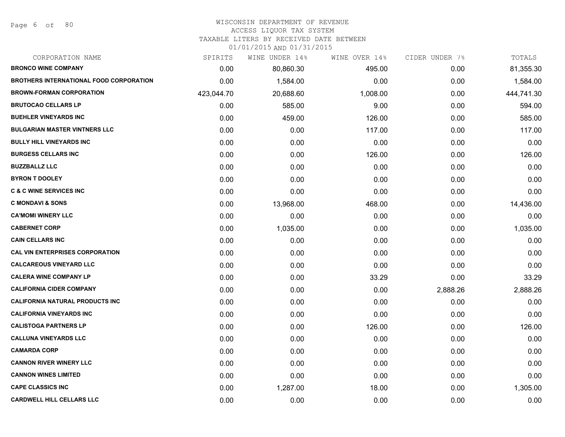## WISCONSIN DEPARTMENT OF REVENUE

#### ACCESS LIQUOR TAX SYSTEM

TAXABLE LITERS BY RECEIVED DATE BETWEEN

| CORPORATION NAME                               | SPIRITS    | WINE UNDER 14% | WINE OVER 14% | CIDER UNDER 7% | TOTALS     |
|------------------------------------------------|------------|----------------|---------------|----------------|------------|
| <b>BRONCO WINE COMPANY</b>                     | 0.00       | 80,860.30      | 495.00        | 0.00           | 81,355.30  |
| <b>BROTHERS INTERNATIONAL FOOD CORPORATION</b> | 0.00       | 1,584.00       | 0.00          | 0.00           | 1,584.00   |
| <b>BROWN-FORMAN CORPORATION</b>                | 423,044.70 | 20,688.60      | 1,008.00      | 0.00           | 444,741.30 |
| <b>BRUTOCAO CELLARS LP</b>                     | 0.00       | 585.00         | 9.00          | 0.00           | 594.00     |
| <b>BUEHLER VINEYARDS INC</b>                   | 0.00       | 459.00         | 126.00        | 0.00           | 585.00     |
| <b>BULGARIAN MASTER VINTNERS LLC</b>           | 0.00       | 0.00           | 117.00        | 0.00           | 117.00     |
| <b>BULLY HILL VINEYARDS INC.</b>               | 0.00       | 0.00           | 0.00          | 0.00           | 0.00       |
| <b>BURGESS CELLARS INC</b>                     | 0.00       | 0.00           | 126.00        | 0.00           | 126.00     |
| <b>BUZZBALLZ LLC</b>                           | 0.00       | 0.00           | 0.00          | 0.00           | 0.00       |
| <b>BYRON T DOOLEY</b>                          | 0.00       | 0.00           | 0.00          | 0.00           | 0.00       |
| <b>C &amp; C WINE SERVICES INC</b>             | 0.00       | 0.00           | 0.00          | 0.00           | 0.00       |
| <b>C MONDAVI &amp; SONS</b>                    | 0.00       | 13,968.00      | 468.00        | 0.00           | 14,436.00  |
| <b>CA'MOMI WINERY LLC</b>                      | 0.00       | 0.00           | 0.00          | 0.00           | 0.00       |
| <b>CABERNET CORP</b>                           | 0.00       | 1,035.00       | 0.00          | 0.00           | 1,035.00   |
| <b>CAIN CELLARS INC</b>                        | 0.00       | 0.00           | 0.00          | 0.00           | 0.00       |
| <b>CAL VIN ENTERPRISES CORPORATION</b>         | 0.00       | 0.00           | 0.00          | 0.00           | 0.00       |
| <b>CALCAREOUS VINEYARD LLC</b>                 | 0.00       | 0.00           | 0.00          | 0.00           | 0.00       |
| <b>CALERA WINE COMPANY LP</b>                  | 0.00       | 0.00           | 33.29         | 0.00           | 33.29      |
| <b>CALIFORNIA CIDER COMPANY</b>                | 0.00       | 0.00           | 0.00          | 2,888.26       | 2,888.26   |
| <b>CALIFORNIA NATURAL PRODUCTS INC</b>         | 0.00       | 0.00           | 0.00          | 0.00           | 0.00       |
| <b>CALIFORNIA VINEYARDS INC</b>                | 0.00       | 0.00           | 0.00          | 0.00           | 0.00       |
| <b>CALISTOGA PARTNERS LP</b>                   | 0.00       | 0.00           | 126.00        | 0.00           | 126.00     |
| <b>CALLUNA VINEYARDS LLC</b>                   | 0.00       | 0.00           | 0.00          | 0.00           | 0.00       |
| <b>CAMARDA CORP</b>                            | 0.00       | 0.00           | 0.00          | 0.00           | 0.00       |
| <b>CANNON RIVER WINERY LLC</b>                 | 0.00       | 0.00           | 0.00          | 0.00           | 0.00       |
| <b>CANNON WINES LIMITED</b>                    | 0.00       | 0.00           | 0.00          | 0.00           | 0.00       |
| <b>CAPE CLASSICS INC</b>                       | 0.00       | 1,287.00       | 18.00         | 0.00           | 1,305.00   |
| <b>CARDWELL HILL CELLARS LLC</b>               | 0.00       | 0.00           | 0.00          | 0.00           | 0.00       |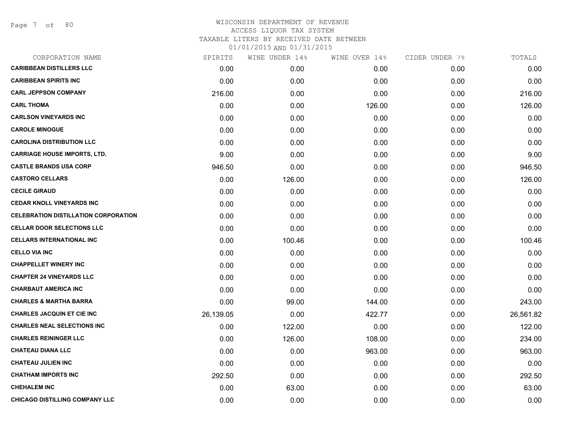Page 7 of 80

| CORPORATION NAME                            | SPIRITS   | WINE UNDER 14% | WINE OVER 14% | CIDER UNDER 7% | TOTALS    |
|---------------------------------------------|-----------|----------------|---------------|----------------|-----------|
| <b>CARIBBEAN DISTILLERS LLC</b>             | 0.00      | 0.00           | 0.00          | 0.00           | 0.00      |
| <b>CARIBBEAN SPIRITS INC</b>                | 0.00      | 0.00           | 0.00          | 0.00           | 0.00      |
| <b>CARL JEPPSON COMPANY</b>                 | 216.00    | 0.00           | 0.00          | 0.00           | 216.00    |
| <b>CARL THOMA</b>                           | 0.00      | 0.00           | 126.00        | 0.00           | 126.00    |
| <b>CARLSON VINEYARDS INC</b>                | 0.00      | 0.00           | 0.00          | 0.00           | 0.00      |
| <b>CAROLE MINOGUE</b>                       | 0.00      | 0.00           | 0.00          | 0.00           | 0.00      |
| <b>CAROLINA DISTRIBUTION LLC</b>            | 0.00      | 0.00           | 0.00          | 0.00           | 0.00      |
| <b>CARRIAGE HOUSE IMPORTS, LTD.</b>         | 9.00      | 0.00           | 0.00          | 0.00           | 9.00      |
| <b>CASTLE BRANDS USA CORP</b>               | 946.50    | 0.00           | 0.00          | 0.00           | 946.50    |
| <b>CASTORO CELLARS</b>                      | 0.00      | 126.00         | 0.00          | 0.00           | 126.00    |
| <b>CECILE GIRAUD</b>                        | 0.00      | 0.00           | 0.00          | 0.00           | 0.00      |
| <b>CEDAR KNOLL VINEYARDS INC</b>            | 0.00      | 0.00           | 0.00          | 0.00           | 0.00      |
| <b>CELEBRATION DISTILLATION CORPORATION</b> | 0.00      | 0.00           | 0.00          | 0.00           | 0.00      |
| <b>CELLAR DOOR SELECTIONS LLC</b>           | 0.00      | 0.00           | 0.00          | 0.00           | 0.00      |
| <b>CELLARS INTERNATIONAL INC</b>            | 0.00      | 100.46         | 0.00          | 0.00           | 100.46    |
| <b>CELLO VIA INC</b>                        | 0.00      | 0.00           | 0.00          | 0.00           | 0.00      |
| <b>CHAPPELLET WINERY INC</b>                | 0.00      | 0.00           | 0.00          | 0.00           | 0.00      |
| <b>CHAPTER 24 VINEYARDS LLC</b>             | 0.00      | 0.00           | 0.00          | 0.00           | 0.00      |
| <b>CHARBAUT AMERICA INC</b>                 | 0.00      | 0.00           | 0.00          | 0.00           | 0.00      |
| <b>CHARLES &amp; MARTHA BARRA</b>           | 0.00      | 99.00          | 144.00        | 0.00           | 243.00    |
| <b>CHARLES JACQUIN ET CIE INC</b>           | 26,139.05 | 0.00           | 422.77        | 0.00           | 26,561.82 |
| <b>CHARLES NEAL SELECTIONS INC</b>          | 0.00      | 122.00         | 0.00          | 0.00           | 122.00    |
| <b>CHARLES REININGER LLC</b>                | 0.00      | 126.00         | 108.00        | 0.00           | 234.00    |
| <b>CHATEAU DIANA LLC</b>                    | 0.00      | 0.00           | 963.00        | 0.00           | 963.00    |
| <b>CHATEAU JULIEN INC</b>                   | 0.00      | 0.00           | 0.00          | 0.00           | 0.00      |
| <b>CHATHAM IMPORTS INC</b>                  | 292.50    | 0.00           | 0.00          | 0.00           | 292.50    |
| <b>CHEHALEM INC</b>                         | 0.00      | 63.00          | 0.00          | 0.00           | 63.00     |
| CHICAGO DISTILLING COMPANY LLC              | 0.00      | 0.00           | 0.00          | 0.00           | 0.00      |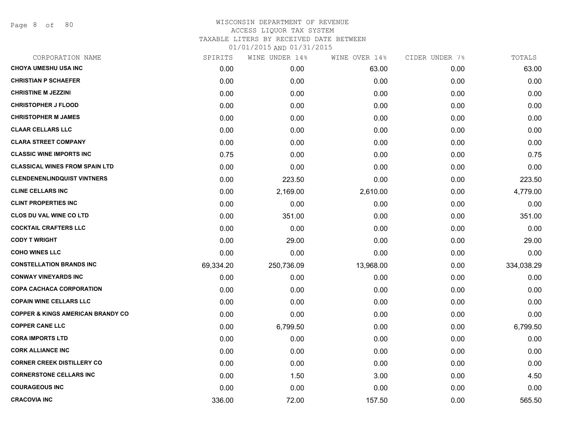Page 8 of 80

| CORPORATION NAME                             | SPIRITS   | WINE UNDER 14% | WINE OVER 14% | CIDER UNDER 7% | TOTALS     |
|----------------------------------------------|-----------|----------------|---------------|----------------|------------|
| <b>CHOYA UMESHU USA INC</b>                  | 0.00      | 0.00           | 63.00         | 0.00           | 63.00      |
| <b>CHRISTIAN P SCHAEFER</b>                  | 0.00      | 0.00           | 0.00          | 0.00           | 0.00       |
| <b>CHRISTINE M JEZZINI</b>                   | 0.00      | 0.00           | 0.00          | 0.00           | 0.00       |
| <b>CHRISTOPHER J FLOOD</b>                   | 0.00      | 0.00           | 0.00          | 0.00           | 0.00       |
| <b>CHRISTOPHER M JAMES</b>                   | 0.00      | 0.00           | 0.00          | 0.00           | 0.00       |
| <b>CLAAR CELLARS LLC</b>                     | 0.00      | 0.00           | 0.00          | 0.00           | 0.00       |
| <b>CLARA STREET COMPANY</b>                  | 0.00      | 0.00           | 0.00          | 0.00           | 0.00       |
| <b>CLASSIC WINE IMPORTS INC</b>              | 0.75      | 0.00           | 0.00          | 0.00           | 0.75       |
| <b>CLASSICAL WINES FROM SPAIN LTD</b>        | 0.00      | 0.00           | 0.00          | 0.00           | 0.00       |
| <b>CLENDENENLINDQUIST VINTNERS</b>           | 0.00      | 223.50         | 0.00          | 0.00           | 223.50     |
| <b>CLINE CELLARS INC</b>                     | 0.00      | 2,169.00       | 2,610.00      | 0.00           | 4,779.00   |
| <b>CLINT PROPERTIES INC</b>                  | 0.00      | 0.00           | 0.00          | 0.00           | 0.00       |
| <b>CLOS DU VAL WINE CO LTD</b>               | 0.00      | 351.00         | 0.00          | 0.00           | 351.00     |
| <b>COCKTAIL CRAFTERS LLC</b>                 | 0.00      | 0.00           | 0.00          | 0.00           | 0.00       |
| <b>CODY T WRIGHT</b>                         | 0.00      | 29.00          | 0.00          | 0.00           | 29.00      |
| <b>COHO WINES LLC</b>                        | 0.00      | 0.00           | 0.00          | 0.00           | 0.00       |
| <b>CONSTELLATION BRANDS INC</b>              | 69,334.20 | 250,736.09     | 13,968.00     | 0.00           | 334,038.29 |
| <b>CONWAY VINEYARDS INC</b>                  | 0.00      | 0.00           | 0.00          | 0.00           | 0.00       |
| <b>COPA CACHACA CORPORATION</b>              | 0.00      | 0.00           | 0.00          | 0.00           | 0.00       |
| <b>COPAIN WINE CELLARS LLC</b>               | 0.00      | 0.00           | 0.00          | 0.00           | 0.00       |
| <b>COPPER &amp; KINGS AMERICAN BRANDY CO</b> | 0.00      | 0.00           | 0.00          | 0.00           | 0.00       |
| <b>COPPER CANE LLC</b>                       | 0.00      | 6,799.50       | 0.00          | 0.00           | 6,799.50   |
| <b>CORA IMPORTS LTD</b>                      | 0.00      | 0.00           | 0.00          | 0.00           | 0.00       |
| <b>CORK ALLIANCE INC</b>                     | 0.00      | 0.00           | 0.00          | 0.00           | 0.00       |
| <b>CORNER CREEK DISTILLERY CO</b>            | 0.00      | 0.00           | 0.00          | 0.00           | 0.00       |
| <b>CORNERSTONE CELLARS INC</b>               | 0.00      | 1.50           | 3.00          | 0.00           | 4.50       |
| <b>COURAGEOUS INC</b>                        | 0.00      | 0.00           | 0.00          | 0.00           | 0.00       |
| <b>CRACOVIA INC</b>                          | 336.00    | 72.00          | 157.50        | 0.00           | 565.50     |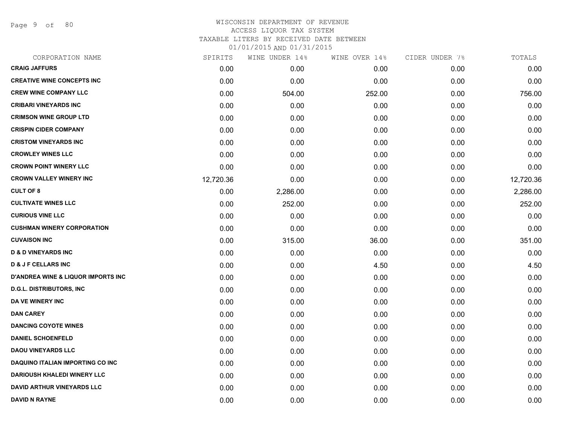Page 9 of 80

| CORPORATION NAME                              | SPIRITS   | WINE UNDER 14% | WINE OVER 14% | CIDER UNDER 7% | TOTALS    |
|-----------------------------------------------|-----------|----------------|---------------|----------------|-----------|
| <b>CRAIG JAFFURS</b>                          | 0.00      | 0.00           | 0.00          | 0.00           | 0.00      |
| <b>CREATIVE WINE CONCEPTS INC</b>             | 0.00      | 0.00           | 0.00          | 0.00           | 0.00      |
| <b>CREW WINE COMPANY LLC</b>                  | 0.00      | 504.00         | 252.00        | 0.00           | 756.00    |
| <b>CRIBARI VINEYARDS INC</b>                  | 0.00      | 0.00           | 0.00          | 0.00           | 0.00      |
| <b>CRIMSON WINE GROUP LTD</b>                 | 0.00      | 0.00           | 0.00          | 0.00           | 0.00      |
| <b>CRISPIN CIDER COMPANY</b>                  | 0.00      | 0.00           | 0.00          | 0.00           | 0.00      |
| <b>CRISTOM VINEYARDS INC</b>                  | 0.00      | 0.00           | 0.00          | 0.00           | 0.00      |
| <b>CROWLEY WINES LLC</b>                      | 0.00      | 0.00           | 0.00          | 0.00           | 0.00      |
| <b>CROWN POINT WINERY LLC</b>                 | 0.00      | 0.00           | 0.00          | 0.00           | 0.00      |
| <b>CROWN VALLEY WINERY INC</b>                | 12,720.36 | 0.00           | 0.00          | 0.00           | 12,720.36 |
| <b>CULT OF 8</b>                              | 0.00      | 2,286.00       | 0.00          | 0.00           | 2,286.00  |
| <b>CULTIVATE WINES LLC</b>                    | 0.00      | 252.00         | 0.00          | 0.00           | 252.00    |
| <b>CURIOUS VINE LLC</b>                       | 0.00      | 0.00           | 0.00          | 0.00           | 0.00      |
| <b>CUSHMAN WINERY CORPORATION</b>             | 0.00      | 0.00           | 0.00          | 0.00           | 0.00      |
| <b>CUVAISON INC</b>                           | 0.00      | 315.00         | 36.00         | 0.00           | 351.00    |
| <b>D &amp; D VINEYARDS INC</b>                | 0.00      | 0.00           | 0.00          | 0.00           | 0.00      |
| <b>D &amp; J F CELLARS INC</b>                | 0.00      | 0.00           | 4.50          | 0.00           | 4.50      |
| <b>D'ANDREA WINE &amp; LIQUOR IMPORTS INC</b> | 0.00      | 0.00           | 0.00          | 0.00           | 0.00      |
| <b>D.G.L. DISTRIBUTORS, INC</b>               | 0.00      | 0.00           | 0.00          | 0.00           | 0.00      |
| DA VE WINERY INC                              | 0.00      | 0.00           | 0.00          | 0.00           | 0.00      |
| <b>DAN CAREY</b>                              | 0.00      | 0.00           | 0.00          | 0.00           | 0.00      |
| <b>DANCING COYOTE WINES</b>                   | 0.00      | 0.00           | 0.00          | 0.00           | 0.00      |
| <b>DANIEL SCHOENFELD</b>                      | 0.00      | 0.00           | 0.00          | 0.00           | 0.00      |
| <b>DAOU VINEYARDS LLC</b>                     | 0.00      | 0.00           | 0.00          | 0.00           | 0.00      |
| DAQUINO ITALIAN IMPORTING CO INC              | 0.00      | 0.00           | 0.00          | 0.00           | 0.00      |
| <b>DARIOUSH KHALEDI WINERY LLC</b>            | 0.00      | 0.00           | 0.00          | 0.00           | 0.00      |
| <b>DAVID ARTHUR VINEYARDS LLC</b>             | 0.00      | 0.00           | 0.00          | 0.00           | 0.00      |
| <b>DAVID N RAYNE</b>                          | 0.00      | 0.00           | 0.00          | 0.00           | 0.00      |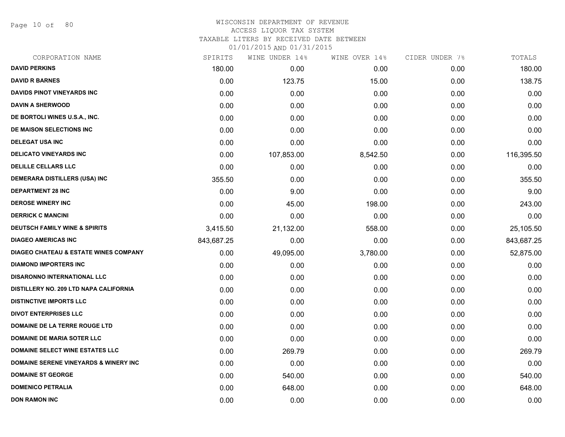Page 10 of 80

# WISCONSIN DEPARTMENT OF REVENUE ACCESS LIQUOR TAX SYSTEM TAXABLE LITERS BY RECEIVED DATE BETWEEN

| CORPORATION NAME                                 | SPIRITS    | WINE UNDER 14% | WINE OVER 14% | CIDER UNDER 7% | TOTALS     |
|--------------------------------------------------|------------|----------------|---------------|----------------|------------|
| <b>DAVID PERKINS</b>                             | 180.00     | 0.00           | 0.00          | 0.00           | 180.00     |
| <b>DAVID R BARNES</b>                            | 0.00       | 123.75         | 15.00         | 0.00           | 138.75     |
| <b>DAVIDS PINOT VINEYARDS INC</b>                | 0.00       | 0.00           | 0.00          | 0.00           | 0.00       |
| <b>DAVIN A SHERWOOD</b>                          | 0.00       | 0.00           | 0.00          | 0.00           | 0.00       |
| DE BORTOLI WINES U.S.A., INC.                    | 0.00       | 0.00           | 0.00          | 0.00           | 0.00       |
| DE MAISON SELECTIONS INC                         | 0.00       | 0.00           | 0.00          | 0.00           | 0.00       |
| <b>DELEGAT USA INC</b>                           | 0.00       | 0.00           | 0.00          | 0.00           | 0.00       |
| <b>DELICATO VINEYARDS INC</b>                    | 0.00       | 107,853.00     | 8,542.50      | 0.00           | 116,395.50 |
| <b>DELILLE CELLARS LLC</b>                       | 0.00       | 0.00           | 0.00          | 0.00           | 0.00       |
| <b>DEMERARA DISTILLERS (USA) INC</b>             | 355.50     | 0.00           | 0.00          | 0.00           | 355.50     |
| <b>DEPARTMENT 28 INC</b>                         | 0.00       | 9.00           | 0.00          | 0.00           | 9.00       |
| <b>DEROSE WINERY INC</b>                         | 0.00       | 45.00          | 198.00        | 0.00           | 243.00     |
| <b>DERRICK C MANCINI</b>                         | 0.00       | 0.00           | 0.00          | 0.00           | 0.00       |
| <b>DEUTSCH FAMILY WINE &amp; SPIRITS</b>         | 3,415.50   | 21,132.00      | 558.00        | 0.00           | 25,105.50  |
| <b>DIAGEO AMERICAS INC</b>                       | 843,687.25 | 0.00           | 0.00          | 0.00           | 843,687.25 |
| <b>DIAGEO CHATEAU &amp; ESTATE WINES COMPANY</b> | 0.00       | 49,095.00      | 3,780.00      | 0.00           | 52,875.00  |
| <b>DIAMOND IMPORTERS INC</b>                     | 0.00       | 0.00           | 0.00          | 0.00           | 0.00       |
| <b>DISARONNO INTERNATIONAL LLC</b>               | 0.00       | 0.00           | 0.00          | 0.00           | 0.00       |
| DISTILLERY NO. 209 LTD NAPA CALIFORNIA           | 0.00       | 0.00           | 0.00          | 0.00           | 0.00       |
| <b>DISTINCTIVE IMPORTS LLC</b>                   | 0.00       | 0.00           | 0.00          | 0.00           | 0.00       |
| <b>DIVOT ENTERPRISES LLC</b>                     | 0.00       | 0.00           | 0.00          | 0.00           | 0.00       |
| DOMAINE DE LA TERRE ROUGE LTD                    | 0.00       | 0.00           | 0.00          | 0.00           | 0.00       |
| <b>DOMAINE DE MARIA SOTER LLC</b>                | 0.00       | 0.00           | 0.00          | 0.00           | 0.00       |
| <b>DOMAINE SELECT WINE ESTATES LLC</b>           | 0.00       | 269.79         | 0.00          | 0.00           | 269.79     |
| <b>DOMAINE SERENE VINEYARDS &amp; WINERY INC</b> | 0.00       | 0.00           | 0.00          | 0.00           | 0.00       |
| <b>DOMAINE ST GEORGE</b>                         | 0.00       | 540.00         | 0.00          | 0.00           | 540.00     |
| <b>DOMENICO PETRALIA</b>                         | 0.00       | 648.00         | 0.00          | 0.00           | 648.00     |
| <b>DON RAMON INC</b>                             | 0.00       | 0.00           | 0.00          | 0.00           | 0.00       |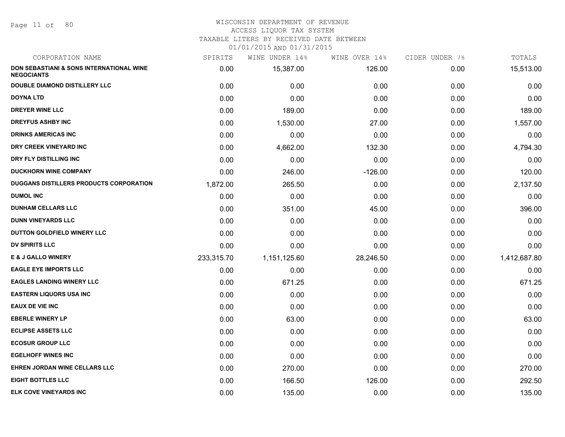#### WISCONSIN DEPARTMENT OF REVENUE ACCESS LIQUOR TAX SYSTEM

TAXABLE LITERS BY RECEIVED DATE BETWEEN

| CORPORATION NAME                                              | SPIRITS    | WINE UNDER 14% | WINE OVER 14% | CIDER UNDER 7% | TOTALS       |
|---------------------------------------------------------------|------------|----------------|---------------|----------------|--------------|
| DON SEBASTIANI & SONS INTERNATIONAL WINE<br><b>NEGOCIANTS</b> | 0.00       | 15,387.00      | 126.00        | 0.00           | 15,513.00    |
| <b>DOUBLE DIAMOND DISTILLERY LLC</b>                          | 0.00       | 0.00           | 0.00          | 0.00           | 0.00         |
| <b>DOYNA LTD</b>                                              | 0.00       | 0.00           | 0.00          | 0.00           | 0.00         |
| <b>DREYER WINE LLC</b>                                        | 0.00       | 189.00         | 0.00          | 0.00           | 189.00       |
| <b>DREYFUS ASHBY INC</b>                                      | 0.00       | 1,530.00       | 27.00         | 0.00           | 1,557.00     |
| <b>DRINKS AMERICAS INC</b>                                    | 0.00       | 0.00           | 0.00          | 0.00           | 0.00         |
| DRY CREEK VINEYARD INC                                        | 0.00       | 4,662.00       | 132.30        | 0.00           | 4,794.30     |
| DRY FLY DISTILLING INC                                        | 0.00       | 0.00           | 0.00          | 0.00           | 0.00         |
| <b>DUCKHORN WINE COMPANY</b>                                  | 0.00       | 246.00         | $-126.00$     | 0.00           | 120.00       |
| <b>DUGGANS DISTILLERS PRODUCTS CORPORATION</b>                | 1,872.00   | 265.50         | 0.00          | 0.00           | 2,137.50     |
| <b>DUMOL INC</b>                                              | 0.00       | 0.00           | 0.00          | 0.00           | 0.00         |
| <b>DUNHAM CELLARS LLC</b>                                     | 0.00       | 351.00         | 45.00         | 0.00           | 396.00       |
| <b>DUNN VINEYARDS LLC</b>                                     | 0.00       | 0.00           | 0.00          | 0.00           | 0.00         |
| DUTTON GOLDFIELD WINERY LLC                                   | 0.00       | 0.00           | 0.00          | 0.00           | 0.00         |
| <b>DV SPIRITS LLC</b>                                         | 0.00       | 0.00           | 0.00          | 0.00           | 0.00         |
| <b>E &amp; J GALLO WINERY</b>                                 | 233,315.70 | 1,151,125.60   | 28,246.50     | 0.00           | 1,412,687.80 |
| <b>EAGLE EYE IMPORTS LLC</b>                                  | 0.00       | 0.00           | 0.00          | 0.00           | 0.00         |
| <b>EAGLES LANDING WINERY LLC</b>                              | 0.00       | 671.25         | 0.00          | 0.00           | 671.25       |
| <b>EASTERN LIQUORS USA INC</b>                                | 0.00       | 0.00           | 0.00          | 0.00           | 0.00         |
| <b>EAUX DE VIE INC</b>                                        | 0.00       | 0.00           | 0.00          | 0.00           | 0.00         |
| <b>EBERLE WINERY LP</b>                                       | 0.00       | 63.00          | 0.00          | 0.00           | 63.00        |
| <b>ECLIPSE ASSETS LLC</b>                                     | 0.00       | 0.00           | 0.00          | 0.00           | 0.00         |
| <b>ECOSUR GROUP LLC</b>                                       | 0.00       | 0.00           | 0.00          | 0.00           | 0.00         |
| <b>EGELHOFF WINES INC</b>                                     | 0.00       | 0.00           | 0.00          | 0.00           | 0.00         |
| EHREN JORDAN WINE CELLARS LLC                                 | 0.00       | 270.00         | 0.00          | 0.00           | 270.00       |
| <b>EIGHT BOTTLES LLC</b>                                      | 0.00       | 166.50         | 126.00        | 0.00           | 292.50       |
| <b>ELK COVE VINEYARDS INC</b>                                 | 0.00       | 135.00         | 0.00          | 0.00           | 135.00       |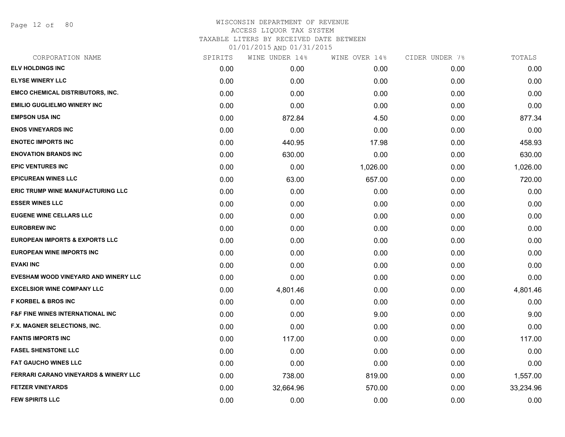Page 12 of 80

| CORPORATION NAME                                 | SPIRITS | WINE UNDER 14% | WINE OVER 14% | CIDER UNDER 7% | TOTALS    |
|--------------------------------------------------|---------|----------------|---------------|----------------|-----------|
| <b>ELV HOLDINGS INC</b>                          | 0.00    | 0.00           | 0.00          | 0.00           | 0.00      |
| <b>ELYSE WINERY LLC</b>                          | 0.00    | 0.00           | 0.00          | 0.00           | 0.00      |
| <b>EMCO CHEMICAL DISTRIBUTORS, INC.</b>          | 0.00    | 0.00           | 0.00          | 0.00           | 0.00      |
| <b>EMILIO GUGLIELMO WINERY INC</b>               | 0.00    | 0.00           | 0.00          | 0.00           | 0.00      |
| <b>EMPSON USA INC</b>                            | 0.00    | 872.84         | 4.50          | 0.00           | 877.34    |
| <b>ENOS VINEYARDS INC</b>                        | 0.00    | 0.00           | 0.00          | 0.00           | 0.00      |
| <b>ENOTEC IMPORTS INC</b>                        | 0.00    | 440.95         | 17.98         | 0.00           | 458.93    |
| <b>ENOVATION BRANDS INC</b>                      | 0.00    | 630.00         | 0.00          | 0.00           | 630.00    |
| <b>EPIC VENTURES INC</b>                         | 0.00    | 0.00           | 1,026.00      | 0.00           | 1,026.00  |
| <b>EPICUREAN WINES LLC</b>                       | 0.00    | 63.00          | 657.00        | 0.00           | 720.00    |
| ERIC TRUMP WINE MANUFACTURING LLC                | 0.00    | 0.00           | 0.00          | 0.00           | 0.00      |
| <b>ESSER WINES LLC</b>                           | 0.00    | 0.00           | 0.00          | 0.00           | 0.00      |
| <b>EUGENE WINE CELLARS LLC</b>                   | 0.00    | 0.00           | 0.00          | 0.00           | 0.00      |
| <b>EUROBREW INC</b>                              | 0.00    | 0.00           | 0.00          | 0.00           | 0.00      |
| <b>EUROPEAN IMPORTS &amp; EXPORTS LLC</b>        | 0.00    | 0.00           | 0.00          | 0.00           | 0.00      |
| <b>EUROPEAN WINE IMPORTS INC</b>                 | 0.00    | 0.00           | 0.00          | 0.00           | 0.00      |
| <b>EVAKI INC</b>                                 | 0.00    | 0.00           | 0.00          | 0.00           | 0.00      |
| EVESHAM WOOD VINEYARD AND WINERY LLC             | 0.00    | 0.00           | 0.00          | 0.00           | 0.00      |
| <b>EXCELSIOR WINE COMPANY LLC</b>                | 0.00    | 4,801.46       | 0.00          | 0.00           | 4,801.46  |
| <b>F KORBEL &amp; BROS INC</b>                   | 0.00    | 0.00           | 0.00          | 0.00           | 0.00      |
| <b>F&amp;F FINE WINES INTERNATIONAL INC</b>      | 0.00    | 0.00           | 9.00          | 0.00           | 9.00      |
| F.X. MAGNER SELECTIONS, INC.                     | 0.00    | 0.00           | 0.00          | 0.00           | 0.00      |
| <b>FANTIS IMPORTS INC</b>                        | 0.00    | 117.00         | 0.00          | 0.00           | 117.00    |
| <b>FASEL SHENSTONE LLC</b>                       | 0.00    | 0.00           | 0.00          | 0.00           | 0.00      |
| <b>FAT GAUCHO WINES LLC</b>                      | 0.00    | 0.00           | 0.00          | 0.00           | 0.00      |
| <b>FERRARI CARANO VINEYARDS &amp; WINERY LLC</b> | 0.00    | 738.00         | 819.00        | 0.00           | 1,557.00  |
| <b>FETZER VINEYARDS</b>                          | 0.00    | 32,664.96      | 570.00        | 0.00           | 33,234.96 |
| <b>FEW SPIRITS LLC</b>                           | 0.00    | 0.00           | 0.00          | 0.00           | 0.00      |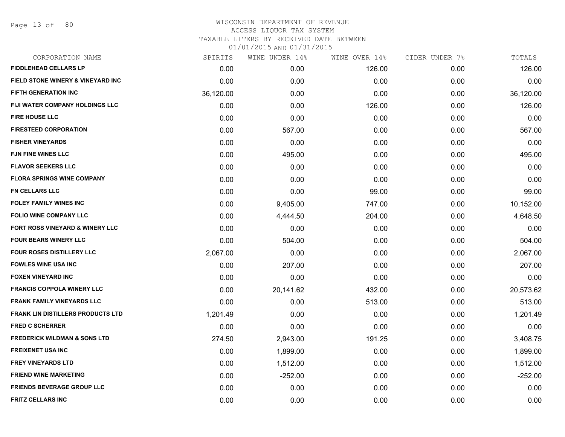Page 13 of 80

| CORPORATION NAME                             | SPIRITS   | WINE UNDER 14% | WINE OVER 14% | CIDER UNDER 7% | TOTALS    |
|----------------------------------------------|-----------|----------------|---------------|----------------|-----------|
| <b>FIDDLEHEAD CELLARS LP</b>                 | 0.00      | 0.00           | 126.00        | 0.00           | 126.00    |
| <b>FIELD STONE WINERY &amp; VINEYARD INC</b> | 0.00      | 0.00           | 0.00          | 0.00           | 0.00      |
| FIFTH GENERATION INC                         | 36,120.00 | 0.00           | 0.00          | 0.00           | 36,120.00 |
| FIJI WATER COMPANY HOLDINGS LLC              | 0.00      | 0.00           | 126.00        | 0.00           | 126.00    |
| <b>FIRE HOUSE LLC</b>                        | 0.00      | 0.00           | 0.00          | 0.00           | 0.00      |
| <b>FIRESTEED CORPORATION</b>                 | 0.00      | 567.00         | 0.00          | 0.00           | 567.00    |
| <b>FISHER VINEYARDS</b>                      | 0.00      | 0.00           | 0.00          | 0.00           | 0.00      |
| <b>FJN FINE WINES LLC</b>                    | 0.00      | 495.00         | 0.00          | 0.00           | 495.00    |
| <b>FLAVOR SEEKERS LLC</b>                    | 0.00      | 0.00           | 0.00          | 0.00           | 0.00      |
| <b>FLORA SPRINGS WINE COMPANY</b>            | 0.00      | 0.00           | 0.00          | 0.00           | 0.00      |
| <b>FN CELLARS LLC</b>                        | 0.00      | 0.00           | 99.00         | 0.00           | 99.00     |
| <b>FOLEY FAMILY WINES INC</b>                | 0.00      | 9,405.00       | 747.00        | 0.00           | 10,152.00 |
| <b>FOLIO WINE COMPANY LLC</b>                | 0.00      | 4,444.50       | 204.00        | 0.00           | 4,648.50  |
| <b>FORT ROSS VINEYARD &amp; WINERY LLC</b>   | 0.00      | 0.00           | 0.00          | 0.00           | 0.00      |
| <b>FOUR BEARS WINERY LLC</b>                 | 0.00      | 504.00         | 0.00          | 0.00           | 504.00    |
| <b>FOUR ROSES DISTILLERY LLC</b>             | 2,067.00  | 0.00           | 0.00          | 0.00           | 2,067.00  |
| <b>FOWLES WINE USA INC</b>                   | 0.00      | 207.00         | 0.00          | 0.00           | 207.00    |
| <b>FOXEN VINEYARD INC</b>                    | 0.00      | 0.00           | 0.00          | 0.00           | 0.00      |
| <b>FRANCIS COPPOLA WINERY LLC</b>            | 0.00      | 20,141.62      | 432.00        | 0.00           | 20,573.62 |
| <b>FRANK FAMILY VINEYARDS LLC</b>            | 0.00      | 0.00           | 513.00        | 0.00           | 513.00    |
| <b>FRANK LIN DISTILLERS PRODUCTS LTD</b>     | 1,201.49  | 0.00           | 0.00          | 0.00           | 1,201.49  |
| <b>FRED C SCHERRER</b>                       | 0.00      | 0.00           | 0.00          | 0.00           | 0.00      |
| <b>FREDERICK WILDMAN &amp; SONS LTD</b>      | 274.50    | 2,943.00       | 191.25        | 0.00           | 3,408.75  |
| <b>FREIXENET USA INC</b>                     | 0.00      | 1,899.00       | 0.00          | 0.00           | 1,899.00  |
| <b>FREY VINEYARDS LTD</b>                    | 0.00      | 1,512.00       | 0.00          | 0.00           | 1,512.00  |
| <b>FRIEND WINE MARKETING</b>                 | 0.00      | $-252.00$      | 0.00          | 0.00           | $-252.00$ |
| <b>FRIENDS BEVERAGE GROUP LLC</b>            | 0.00      | 0.00           | 0.00          | 0.00           | 0.00      |
| <b>FRITZ CELLARS INC</b>                     | 0.00      | 0.00           | 0.00          | 0.00           | 0.00      |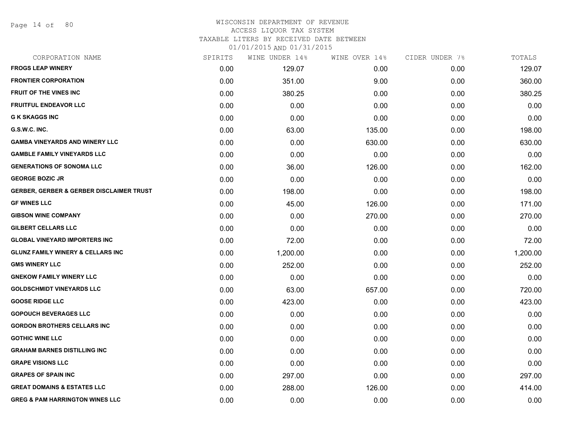Page 14 of 80

# WISCONSIN DEPARTMENT OF REVENUE ACCESS LIQUOR TAX SYSTEM

TAXABLE LITERS BY RECEIVED DATE BETWEEN

| CORPORATION NAME                                    | SPIRITS | WINE UNDER 14% | WINE OVER 14% | CIDER UNDER 7% | TOTALS   |
|-----------------------------------------------------|---------|----------------|---------------|----------------|----------|
| <b>FROGS LEAP WINERY</b>                            | 0.00    | 129.07         | 0.00          | 0.00           | 129.07   |
| <b>FRONTIER CORPORATION</b>                         | 0.00    | 351.00         | 9.00          | 0.00           | 360.00   |
| <b>FRUIT OF THE VINES INC</b>                       | 0.00    | 380.25         | 0.00          | 0.00           | 380.25   |
| <b>FRUITFUL ENDEAVOR LLC</b>                        | 0.00    | 0.00           | 0.00          | 0.00           | 0.00     |
| <b>G K SKAGGS INC</b>                               | 0.00    | 0.00           | 0.00          | 0.00           | 0.00     |
| G.S.W.C. INC.                                       | 0.00    | 63.00          | 135.00        | 0.00           | 198.00   |
| <b>GAMBA VINEYARDS AND WINERY LLC</b>               | 0.00    | 0.00           | 630.00        | 0.00           | 630.00   |
| <b>GAMBLE FAMILY VINEYARDS LLC</b>                  | 0.00    | 0.00           | 0.00          | 0.00           | 0.00     |
| <b>GENERATIONS OF SONOMA LLC</b>                    | 0.00    | 36.00          | 126.00        | 0.00           | 162.00   |
| <b>GEORGE BOZIC JR</b>                              | 0.00    | 0.00           | 0.00          | 0.00           | 0.00     |
| <b>GERBER, GERBER &amp; GERBER DISCLAIMER TRUST</b> | 0.00    | 198.00         | 0.00          | 0.00           | 198.00   |
| <b>GF WINES LLC</b>                                 | 0.00    | 45.00          | 126.00        | 0.00           | 171.00   |
| <b>GIBSON WINE COMPANY</b>                          | 0.00    | 0.00           | 270.00        | 0.00           | 270.00   |
| <b>GILBERT CELLARS LLC</b>                          | 0.00    | 0.00           | 0.00          | 0.00           | 0.00     |
| <b>GLOBAL VINEYARD IMPORTERS INC</b>                | 0.00    | 72.00          | 0.00          | 0.00           | 72.00    |
| <b>GLUNZ FAMILY WINERY &amp; CELLARS INC</b>        | 0.00    | 1,200.00       | 0.00          | 0.00           | 1,200.00 |
| <b>GMS WINERY LLC</b>                               | 0.00    | 252.00         | 0.00          | 0.00           | 252.00   |
| <b>GNEKOW FAMILY WINERY LLC</b>                     | 0.00    | 0.00           | 0.00          | 0.00           | 0.00     |
| <b>GOLDSCHMIDT VINEYARDS LLC</b>                    | 0.00    | 63.00          | 657.00        | 0.00           | 720.00   |
| <b>GOOSE RIDGE LLC</b>                              | 0.00    | 423.00         | 0.00          | 0.00           | 423.00   |
| <b>GOPOUCH BEVERAGES LLC</b>                        | 0.00    | 0.00           | 0.00          | 0.00           | 0.00     |
| <b>GORDON BROTHERS CELLARS INC</b>                  | 0.00    | 0.00           | 0.00          | 0.00           | 0.00     |
| <b>GOTHIC WINE LLC</b>                              | 0.00    | 0.00           | 0.00          | 0.00           | 0.00     |
| <b>GRAHAM BARNES DISTILLING INC</b>                 | 0.00    | 0.00           | 0.00          | 0.00           | 0.00     |
| <b>GRAPE VISIONS LLC</b>                            | 0.00    | 0.00           | 0.00          | 0.00           | 0.00     |
| <b>GRAPES OF SPAIN INC</b>                          | 0.00    | 297.00         | 0.00          | 0.00           | 297.00   |
| <b>GREAT DOMAINS &amp; ESTATES LLC</b>              | 0.00    | 288.00         | 126.00        | 0.00           | 414.00   |
| <b>GREG &amp; PAM HARRINGTON WINES LLC</b>          | 0.00    | 0.00           | 0.00          | 0.00           | 0.00     |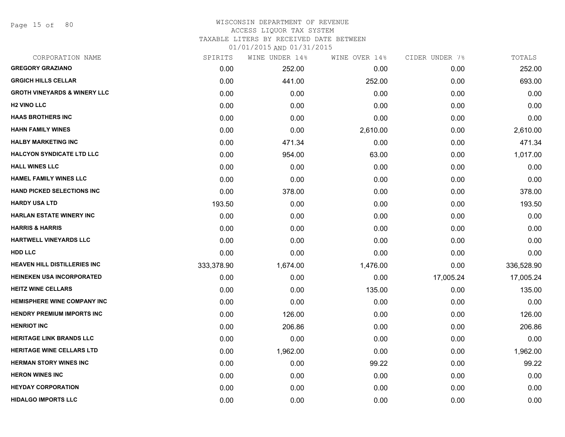Page 15 of 80

#### WISCONSIN DEPARTMENT OF REVENUE ACCESS LIQUOR TAX SYSTEM TAXABLE LITERS BY RECEIVED DATE BETWEEN

| CORPORATION NAME                        | SPIRITS    | WINE UNDER 14% | WINE OVER 14% | CIDER UNDER 7% | TOTALS     |
|-----------------------------------------|------------|----------------|---------------|----------------|------------|
| <b>GREGORY GRAZIANO</b>                 | 0.00       | 252.00         | 0.00          | 0.00           | 252.00     |
| <b>GRGICH HILLS CELLAR</b>              | 0.00       | 441.00         | 252.00        | 0.00           | 693.00     |
| <b>GROTH VINEYARDS &amp; WINERY LLC</b> | 0.00       | 0.00           | 0.00          | 0.00           | 0.00       |
| <b>H2 VINO LLC</b>                      | 0.00       | 0.00           | 0.00          | 0.00           | 0.00       |
| <b>HAAS BROTHERS INC</b>                | 0.00       | 0.00           | 0.00          | 0.00           | 0.00       |
| <b>HAHN FAMILY WINES</b>                | 0.00       | 0.00           | 2,610.00      | 0.00           | 2,610.00   |
| <b>HALBY MARKETING INC</b>              | 0.00       | 471.34         | 0.00          | 0.00           | 471.34     |
| <b>HALCYON SYNDICATE LTD LLC</b>        | 0.00       | 954.00         | 63.00         | 0.00           | 1,017.00   |
| <b>HALL WINES LLC</b>                   | 0.00       | 0.00           | 0.00          | 0.00           | 0.00       |
| <b>HAMEL FAMILY WINES LLC</b>           | 0.00       | 0.00           | 0.00          | 0.00           | 0.00       |
| <b>HAND PICKED SELECTIONS INC</b>       | 0.00       | 378.00         | 0.00          | 0.00           | 378.00     |
| <b>HARDY USA LTD</b>                    | 193.50     | 0.00           | 0.00          | 0.00           | 193.50     |
| <b>HARLAN ESTATE WINERY INC</b>         | 0.00       | 0.00           | 0.00          | 0.00           | 0.00       |
| <b>HARRIS &amp; HARRIS</b>              | 0.00       | 0.00           | 0.00          | 0.00           | 0.00       |
| HARTWELL VINEYARDS LLC                  | 0.00       | 0.00           | 0.00          | 0.00           | 0.00       |
| HDD LLC                                 | 0.00       | 0.00           | 0.00          | 0.00           | 0.00       |
| <b>HEAVEN HILL DISTILLERIES INC</b>     | 333,378.90 | 1,674.00       | 1,476.00      | 0.00           | 336,528.90 |
| <b>HEINEKEN USA INCORPORATED</b>        | 0.00       | 0.00           | 0.00          | 17,005.24      | 17,005.24  |
| <b>HEITZ WINE CELLARS</b>               | 0.00       | 0.00           | 135.00        | 0.00           | 135.00     |
| <b>HEMISPHERE WINE COMPANY INC</b>      | 0.00       | 0.00           | 0.00          | 0.00           | 0.00       |
| <b>HENDRY PREMIUM IMPORTS INC</b>       | 0.00       | 126.00         | 0.00          | 0.00           | 126.00     |
| <b>HENRIOT INC</b>                      | 0.00       | 206.86         | 0.00          | 0.00           | 206.86     |
| <b>HERITAGE LINK BRANDS LLC</b>         | 0.00       | 0.00           | 0.00          | 0.00           | 0.00       |
| <b>HERITAGE WINE CELLARS LTD</b>        | 0.00       | 1,962.00       | 0.00          | 0.00           | 1,962.00   |
| <b>HERMAN STORY WINES INC</b>           | 0.00       | 0.00           | 99.22         | 0.00           | 99.22      |
| <b>HERON WINES INC</b>                  | 0.00       | 0.00           | 0.00          | 0.00           | 0.00       |
| <b>HEYDAY CORPORATION</b>               | 0.00       | 0.00           | 0.00          | 0.00           | 0.00       |
| <b>HIDALGO IMPORTS LLC</b>              | 0.00       | 0.00           | 0.00          | 0.00           | 0.00       |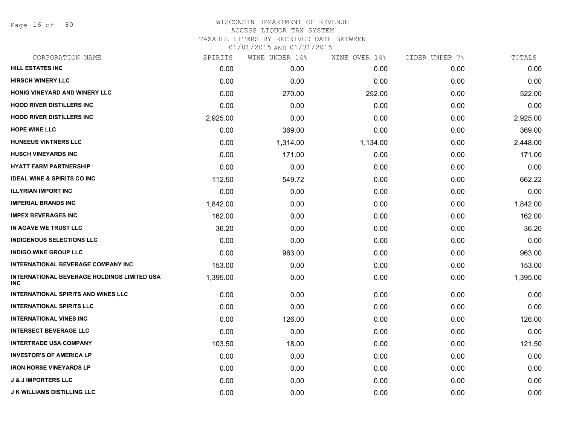Page 16 of 80

# WISCONSIN DEPARTMENT OF REVENUE ACCESS LIQUOR TAX SYSTEM TAXABLE LITERS BY RECEIVED DATE BETWEEN

| CORPORATION NAME                                                 | SPIRITS  | WINE UNDER 14% | WINE OVER 14% | CIDER UNDER 7% | TOTALS   |
|------------------------------------------------------------------|----------|----------------|---------------|----------------|----------|
| <b>HILL ESTATES INC</b>                                          | 0.00     | 0.00           | 0.00          | 0.00           | 0.00     |
| <b>HIRSCH WINERY LLC</b>                                         | 0.00     | 0.00           | 0.00          | 0.00           | 0.00     |
| HONIG VINEYARD AND WINERY LLC                                    | 0.00     | 270.00         | 252.00        | 0.00           | 522.00   |
| <b>HOOD RIVER DISTILLERS INC</b>                                 | 0.00     | 0.00           | 0.00          | 0.00           | 0.00     |
| <b>HOOD RIVER DISTILLERS INC</b>                                 | 2,925.00 | 0.00           | 0.00          | 0.00           | 2,925.00 |
| <b>HOPE WINE LLC</b>                                             | 0.00     | 369.00         | 0.00          | 0.00           | 369.00   |
| <b>HUNEEUS VINTNERS LLC</b>                                      | 0.00     | 1,314.00       | 1,134.00      | 0.00           | 2,448.00 |
| <b>HUSCH VINEYARDS INC</b>                                       | 0.00     | 171.00         | 0.00          | 0.00           | 171.00   |
| <b>HYATT FARM PARTNERSHIP</b>                                    | 0.00     | 0.00           | 0.00          | 0.00           | 0.00     |
| <b>IDEAL WINE &amp; SPIRITS CO INC</b>                           | 112.50   | 549.72         | 0.00          | 0.00           | 662.22   |
| <b>ILLYRIAN IMPORT INC</b>                                       | 0.00     | 0.00           | 0.00          | 0.00           | 0.00     |
| <b>IMPERIAL BRANDS INC</b>                                       | 1,842.00 | 0.00           | 0.00          | 0.00           | 1,842.00 |
| <b>IMPEX BEVERAGES INC</b>                                       | 162.00   | 0.00           | 0.00          | 0.00           | 162.00   |
| IN AGAVE WE TRUST LLC                                            | 36.20    | 0.00           | 0.00          | 0.00           | 36.20    |
| <b>INDIGENOUS SELECTIONS LLC</b>                                 | 0.00     | 0.00           | 0.00          | 0.00           | 0.00     |
| <b>INDIGO WINE GROUP LLC</b>                                     | 0.00     | 963.00         | 0.00          | 0.00           | 963.00   |
| <b>INTERNATIONAL BEVERAGE COMPANY INC</b>                        | 153.00   | 0.00           | 0.00          | 0.00           | 153.00   |
| <b>INTERNATIONAL BEVERAGE HOLDINGS LIMITED USA</b><br><b>INC</b> | 1,395.00 | 0.00           | 0.00          | 0.00           | 1,395.00 |
| <b>INTERNATIONAL SPIRITS AND WINES LLC</b>                       | 0.00     | 0.00           | 0.00          | 0.00           | 0.00     |
| <b>INTERNATIONAL SPIRITS LLC</b>                                 | 0.00     | 0.00           | 0.00          | 0.00           | 0.00     |
| <b>INTERNATIONAL VINES INC</b>                                   | 0.00     | 126.00         | 0.00          | 0.00           | 126.00   |
| <b>INTERSECT BEVERAGE LLC</b>                                    | 0.00     | 0.00           | 0.00          | 0.00           | 0.00     |
| <b>INTERTRADE USA COMPANY</b>                                    | 103.50   | 18.00          | 0.00          | 0.00           | 121.50   |
| <b>INVESTOR'S OF AMERICA LP</b>                                  | 0.00     | 0.00           | 0.00          | 0.00           | 0.00     |
| <b>IRON HORSE VINEYARDS LP</b>                                   | 0.00     | 0.00           | 0.00          | 0.00           | 0.00     |
| <b>J &amp; J IMPORTERS LLC</b>                                   | 0.00     | 0.00           | 0.00          | 0.00           | 0.00     |
| <b>J K WILLIAMS DISTILLING LLC</b>                               | 0.00     | 0.00           | 0.00          | 0.00           | 0.00     |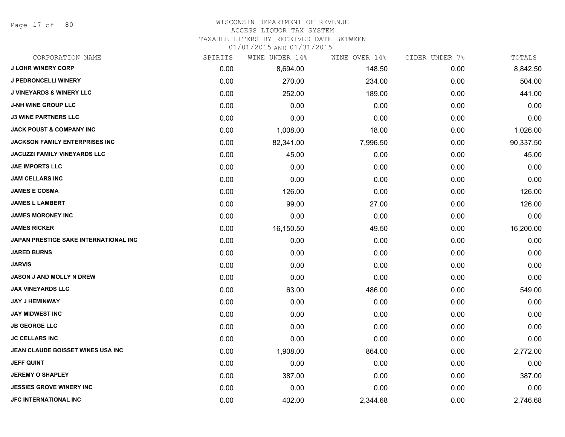Page 17 of 80

#### WISCONSIN DEPARTMENT OF REVENUE ACCESS LIQUOR TAX SYSTEM

TAXABLE LITERS BY RECEIVED DATE BETWEEN

| CORPORATION NAME                      | SPIRITS | WINE UNDER 14% | WINE OVER 14% | CIDER UNDER 7% | TOTALS    |
|---------------------------------------|---------|----------------|---------------|----------------|-----------|
| <b>J LOHR WINERY CORP</b>             | 0.00    | 8,694.00       | 148.50        | 0.00           | 8,842.50  |
| J PEDRONCELLI WINERY                  | 0.00    | 270.00         | 234.00        | 0.00           | 504.00    |
| <b>J VINEYARDS &amp; WINERY LLC</b>   | 0.00    | 252.00         | 189.00        | 0.00           | 441.00    |
| <b>J-NH WINE GROUP LLC</b>            | 0.00    | 0.00           | 0.00          | 0.00           | 0.00      |
| <b>J3 WINE PARTNERS LLC</b>           | 0.00    | 0.00           | 0.00          | 0.00           | 0.00      |
| <b>JACK POUST &amp; COMPANY INC</b>   | 0.00    | 1,008.00       | 18.00         | 0.00           | 1,026.00  |
| <b>JACKSON FAMILY ENTERPRISES INC</b> | 0.00    | 82,341.00      | 7,996.50      | 0.00           | 90,337.50 |
| <b>JACUZZI FAMILY VINEYARDS LLC</b>   | 0.00    | 45.00          | 0.00          | 0.00           | 45.00     |
| <b>JAE IMPORTS LLC</b>                | 0.00    | 0.00           | 0.00          | 0.00           | 0.00      |
| <b>JAM CELLARS INC</b>                | 0.00    | 0.00           | 0.00          | 0.00           | 0.00      |
| <b>JAMES E COSMA</b>                  | 0.00    | 126.00         | 0.00          | 0.00           | 126.00    |
| <b>JAMES L LAMBERT</b>                | 0.00    | 99.00          | 27.00         | 0.00           | 126.00    |
| <b>JAMES MORONEY INC</b>              | 0.00    | 0.00           | 0.00          | 0.00           | 0.00      |
| <b>JAMES RICKER</b>                   | 0.00    | 16,150.50      | 49.50         | 0.00           | 16,200.00 |
| JAPAN PRESTIGE SAKE INTERNATIONAL INC | 0.00    | 0.00           | 0.00          | 0.00           | 0.00      |
| <b>JARED BURNS</b>                    | 0.00    | 0.00           | 0.00          | 0.00           | 0.00      |
| <b>JARVIS</b>                         | 0.00    | 0.00           | 0.00          | 0.00           | 0.00      |
| <b>JASON J AND MOLLY N DREW</b>       | 0.00    | 0.00           | 0.00          | 0.00           | 0.00      |
| <b>JAX VINEYARDS LLC</b>              | 0.00    | 63.00          | 486.00        | 0.00           | 549.00    |
| <b>JAY J HEMINWAY</b>                 | 0.00    | 0.00           | 0.00          | 0.00           | 0.00      |
| <b>JAY MIDWEST INC</b>                | 0.00    | 0.00           | 0.00          | 0.00           | 0.00      |
| <b>JB GEORGE LLC</b>                  | 0.00    | 0.00           | 0.00          | 0.00           | 0.00      |
| <b>JC CELLARS INC</b>                 | 0.00    | 0.00           | 0.00          | 0.00           | 0.00      |
| JEAN CLAUDE BOISSET WINES USA INC     | 0.00    | 1,908.00       | 864.00        | 0.00           | 2,772.00  |
| <b>JEFF QUINT</b>                     | 0.00    | 0.00           | 0.00          | 0.00           | 0.00      |
| <b>JEREMY O SHAPLEY</b>               | 0.00    | 387.00         | 0.00          | 0.00           | 387.00    |
| <b>JESSIES GROVE WINERY INC</b>       | 0.00    | 0.00           | 0.00          | 0.00           | 0.00      |
| <b>JFC INTERNATIONAL INC</b>          | 0.00    | 402.00         | 2,344.68      | 0.00           | 2,746.68  |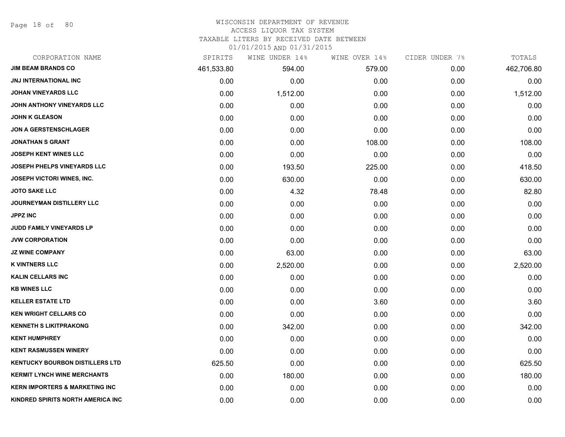Page 18 of 80

#### WISCONSIN DEPARTMENT OF REVENUE

#### ACCESS LIQUOR TAX SYSTEM

TAXABLE LITERS BY RECEIVED DATE BETWEEN

| CORPORATION NAME                          | SPIRITS    | WINE UNDER 14% | WINE OVER 14% | CIDER UNDER 7% | TOTALS     |
|-------------------------------------------|------------|----------------|---------------|----------------|------------|
| <b>JIM BEAM BRANDS CO</b>                 | 461,533.80 | 594.00         | 579.00        | 0.00           | 462,706.80 |
| <b>JNJ INTERNATIONAL INC</b>              | 0.00       | 0.00           | 0.00          | 0.00           | 0.00       |
| <b>JOHAN VINEYARDS LLC</b>                | 0.00       | 1,512.00       | 0.00          | 0.00           | 1,512.00   |
| <b>JOHN ANTHONY VINEYARDS LLC</b>         | 0.00       | 0.00           | 0.00          | 0.00           | 0.00       |
| <b>JOHN K GLEASON</b>                     | 0.00       | 0.00           | 0.00          | 0.00           | 0.00       |
| <b>JON A GERSTENSCHLAGER</b>              | 0.00       | 0.00           | 0.00          | 0.00           | 0.00       |
| <b>JONATHAN S GRANT</b>                   | 0.00       | 0.00           | 108.00        | 0.00           | 108.00     |
| <b>JOSEPH KENT WINES LLC</b>              | 0.00       | 0.00           | 0.00          | 0.00           | 0.00       |
| <b>JOSEPH PHELPS VINEYARDS LLC</b>        | 0.00       | 193.50         | 225.00        | 0.00           | 418.50     |
| <b>JOSEPH VICTORI WINES, INC.</b>         | 0.00       | 630.00         | 0.00          | 0.00           | 630.00     |
| <b>JOTO SAKE LLC</b>                      | 0.00       | 4.32           | 78.48         | 0.00           | 82.80      |
| <b>JOURNEYMAN DISTILLERY LLC</b>          | 0.00       | 0.00           | 0.00          | 0.00           | 0.00       |
| <b>JPPZ INC</b>                           | 0.00       | 0.00           | 0.00          | 0.00           | 0.00       |
| JUDD FAMILY VINEYARDS LP                  | 0.00       | 0.00           | 0.00          | 0.00           | 0.00       |
| <b>JVW CORPORATION</b>                    | 0.00       | 0.00           | 0.00          | 0.00           | 0.00       |
| <b>JZ WINE COMPANY</b>                    | 0.00       | 63.00          | 0.00          | 0.00           | 63.00      |
| <b>K VINTNERS LLC</b>                     | 0.00       | 2,520.00       | 0.00          | 0.00           | 2,520.00   |
| <b>KALIN CELLARS INC</b>                  | 0.00       | 0.00           | 0.00          | 0.00           | 0.00       |
| <b>KB WINES LLC</b>                       | 0.00       | 0.00           | 0.00          | 0.00           | 0.00       |
| <b>KELLER ESTATE LTD</b>                  | 0.00       | 0.00           | 3.60          | 0.00           | 3.60       |
| <b>KEN WRIGHT CELLARS CO</b>              | 0.00       | 0.00           | 0.00          | 0.00           | 0.00       |
| <b>KENNETH S LIKITPRAKONG</b>             | 0.00       | 342.00         | 0.00          | 0.00           | 342.00     |
| <b>KENT HUMPHREY</b>                      | 0.00       | 0.00           | 0.00          | 0.00           | 0.00       |
| <b>KENT RASMUSSEN WINERY</b>              | 0.00       | 0.00           | 0.00          | 0.00           | 0.00       |
| <b>KENTUCKY BOURBON DISTILLERS LTD</b>    | 625.50     | 0.00           | 0.00          | 0.00           | 625.50     |
| <b>KERMIT LYNCH WINE MERCHANTS</b>        | 0.00       | 180.00         | 0.00          | 0.00           | 180.00     |
| <b>KERN IMPORTERS &amp; MARKETING INC</b> | 0.00       | 0.00           | 0.00          | 0.00           | 0.00       |
| KINDRED SPIRITS NORTH AMERICA INC         | 0.00       | 0.00           | 0.00          | 0.00           | 0.00       |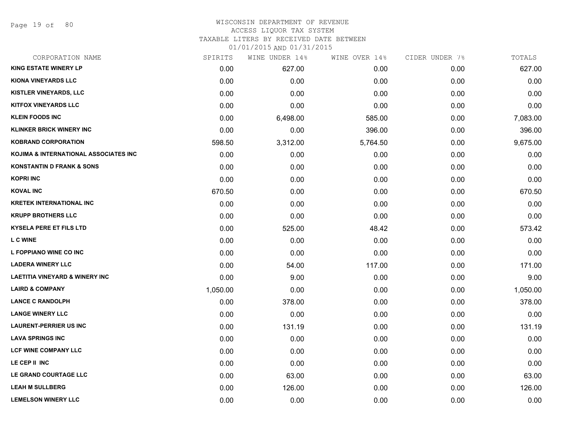Page 19 of 80

#### WISCONSIN DEPARTMENT OF REVENUE ACCESS LIQUOR TAX SYSTEM TAXABLE LITERS BY RECEIVED DATE BETWEEN

| CORPORATION NAME                          | SPIRITS  | WINE UNDER 14% | WINE OVER 14% | CIDER UNDER 7% | TOTALS   |
|-------------------------------------------|----------|----------------|---------------|----------------|----------|
| <b>KING ESTATE WINERY LP</b>              | 0.00     | 627.00         | 0.00          | 0.00           | 627.00   |
| <b>KIONA VINEYARDS LLC</b>                | 0.00     | 0.00           | 0.00          | 0.00           | 0.00     |
| KISTLER VINEYARDS, LLC                    | 0.00     | 0.00           | 0.00          | 0.00           | 0.00     |
| <b>KITFOX VINEYARDS LLC</b>               | 0.00     | 0.00           | 0.00          | 0.00           | 0.00     |
| <b>KLEIN FOODS INC</b>                    | 0.00     | 6,498.00       | 585.00        | 0.00           | 7,083.00 |
| <b>KLINKER BRICK WINERY INC</b>           | 0.00     | 0.00           | 396.00        | 0.00           | 396.00   |
| <b>KOBRAND CORPORATION</b>                | 598.50   | 3,312.00       | 5,764.50      | 0.00           | 9,675.00 |
| KOJIMA & INTERNATIONAL ASSOCIATES INC     | 0.00     | 0.00           | 0.00          | 0.00           | 0.00     |
| <b>KONSTANTIN D FRANK &amp; SONS</b>      | 0.00     | 0.00           | 0.00          | 0.00           | 0.00     |
| <b>KOPRI INC</b>                          | 0.00     | 0.00           | 0.00          | 0.00           | 0.00     |
| <b>KOVAL INC</b>                          | 670.50   | 0.00           | 0.00          | 0.00           | 670.50   |
| <b>KRETEK INTERNATIONAL INC</b>           | 0.00     | 0.00           | 0.00          | 0.00           | 0.00     |
| <b>KRUPP BROTHERS LLC</b>                 | 0.00     | 0.00           | 0.00          | 0.00           | 0.00     |
| <b>KYSELA PERE ET FILS LTD</b>            | 0.00     | 525.00         | 48.42         | 0.00           | 573.42   |
| <b>L C WINE</b>                           | 0.00     | 0.00           | 0.00          | 0.00           | 0.00     |
| L FOPPIANO WINE CO INC                    | 0.00     | 0.00           | 0.00          | 0.00           | 0.00     |
| <b>LADERA WINERY LLC</b>                  | 0.00     | 54.00          | 117.00        | 0.00           | 171.00   |
| <b>LAETITIA VINEYARD &amp; WINERY INC</b> | 0.00     | 9.00           | 0.00          | 0.00           | 9.00     |
| <b>LAIRD &amp; COMPANY</b>                | 1,050.00 | 0.00           | 0.00          | 0.00           | 1,050.00 |
| <b>LANCE C RANDOLPH</b>                   | 0.00     | 378.00         | 0.00          | 0.00           | 378.00   |
| <b>LANGE WINERY LLC</b>                   | 0.00     | 0.00           | 0.00          | 0.00           | 0.00     |
| <b>LAURENT-PERRIER US INC</b>             | 0.00     | 131.19         | 0.00          | 0.00           | 131.19   |
| <b>LAVA SPRINGS INC</b>                   | 0.00     | 0.00           | 0.00          | 0.00           | 0.00     |
| <b>LCF WINE COMPANY LLC</b>               | 0.00     | 0.00           | 0.00          | 0.00           | 0.00     |
| LE CEP II INC                             | 0.00     | 0.00           | 0.00          | 0.00           | 0.00     |
| LE GRAND COURTAGE LLC                     | 0.00     | 63.00          | 0.00          | 0.00           | 63.00    |
| <b>LEAH M SULLBERG</b>                    | 0.00     | 126.00         | 0.00          | 0.00           | 126.00   |
| <b>LEMELSON WINERY LLC</b>                | 0.00     | 0.00           | 0.00          | 0.00           | 0.00     |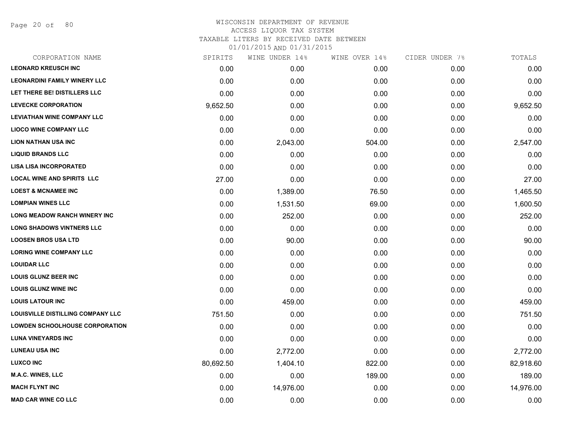Page 20 of 80

| CORPORATION NAME                      | SPIRITS   | WINE UNDER 14% | WINE OVER 14% | CIDER UNDER 7% | TOTALS    |
|---------------------------------------|-----------|----------------|---------------|----------------|-----------|
| <b>LEONARD KREUSCH INC</b>            | 0.00      | 0.00           | 0.00          | 0.00           | 0.00      |
| <b>LEONARDINI FAMILY WINERY LLC</b>   | 0.00      | 0.00           | 0.00          | 0.00           | 0.00      |
| <b>LET THERE BE! DISTILLERS LLC</b>   | 0.00      | 0.00           | 0.00          | 0.00           | 0.00      |
| <b>LEVECKE CORPORATION</b>            | 9,652.50  | 0.00           | 0.00          | 0.00           | 9,652.50  |
| <b>LEVIATHAN WINE COMPANY LLC</b>     | 0.00      | 0.00           | 0.00          | 0.00           | 0.00      |
| <b>LIOCO WINE COMPANY LLC</b>         | 0.00      | 0.00           | 0.00          | 0.00           | 0.00      |
| LION NATHAN USA INC                   | 0.00      | 2,043.00       | 504.00        | 0.00           | 2,547.00  |
| <b>LIQUID BRANDS LLC</b>              | 0.00      | 0.00           | 0.00          | 0.00           | 0.00      |
| <b>LISA LISA INCORPORATED</b>         | 0.00      | 0.00           | 0.00          | 0.00           | 0.00      |
| <b>LOCAL WINE AND SPIRITS LLC</b>     | 27.00     | 0.00           | 0.00          | 0.00           | 27.00     |
| <b>LOEST &amp; MCNAMEE INC</b>        | 0.00      | 1,389.00       | 76.50         | 0.00           | 1,465.50  |
| <b>LOMPIAN WINES LLC</b>              | 0.00      | 1,531.50       | 69.00         | 0.00           | 1,600.50  |
| LONG MEADOW RANCH WINERY INC          | 0.00      | 252.00         | 0.00          | 0.00           | 252.00    |
| <b>LONG SHADOWS VINTNERS LLC</b>      | 0.00      | 0.00           | 0.00          | 0.00           | 0.00      |
| <b>LOOSEN BROS USA LTD</b>            | 0.00      | 90.00          | 0.00          | 0.00           | 90.00     |
| <b>LORING WINE COMPANY LLC</b>        | 0.00      | 0.00           | 0.00          | 0.00           | 0.00      |
| <b>LOUIDAR LLC</b>                    | 0.00      | 0.00           | 0.00          | 0.00           | 0.00      |
| <b>LOUIS GLUNZ BEER INC</b>           | 0.00      | 0.00           | 0.00          | 0.00           | 0.00      |
| <b>LOUIS GLUNZ WINE INC</b>           | 0.00      | 0.00           | 0.00          | 0.00           | 0.00      |
| <b>LOUIS LATOUR INC</b>               | 0.00      | 459.00         | 0.00          | 0.00           | 459.00    |
| LOUISVILLE DISTILLING COMPANY LLC     | 751.50    | 0.00           | 0.00          | 0.00           | 751.50    |
| <b>LOWDEN SCHOOLHOUSE CORPORATION</b> | 0.00      | 0.00           | 0.00          | 0.00           | 0.00      |
| <b>LUNA VINEYARDS INC</b>             | 0.00      | 0.00           | 0.00          | 0.00           | 0.00      |
| <b>LUNEAU USA INC</b>                 | 0.00      | 2,772.00       | 0.00          | 0.00           | 2,772.00  |
| <b>LUXCO INC</b>                      | 80,692.50 | 1,404.10       | 822.00        | 0.00           | 82,918.60 |
| M.A.C. WINES, LLC                     | 0.00      | 0.00           | 189.00        | 0.00           | 189.00    |
| <b>MACH FLYNT INC</b>                 | 0.00      | 14,976.00      | 0.00          | 0.00           | 14,976.00 |
| <b>MAD CAR WINE CO LLC</b>            | 0.00      | 0.00           | 0.00          | 0.00           | 0.00      |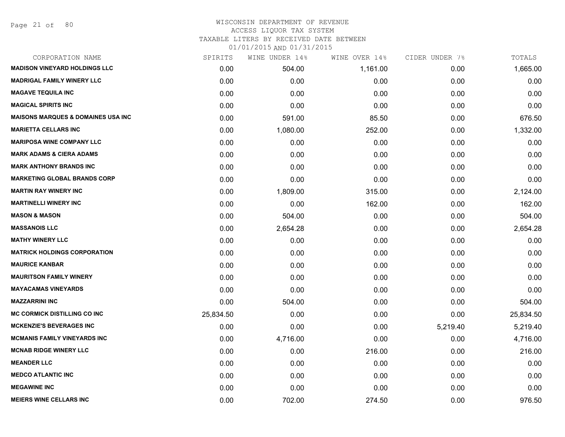# WISCONSIN DEPARTMENT OF REVENUE ACCESS LIQUOR TAX SYSTEM

TAXABLE LITERS BY RECEIVED DATE BETWEEN

| CORPORATION NAME                               | SPIRITS   | WINE UNDER 14% | WINE OVER 14% | CIDER UNDER 7% | TOTALS    |
|------------------------------------------------|-----------|----------------|---------------|----------------|-----------|
| <b>MADISON VINEYARD HOLDINGS LLC</b>           | 0.00      | 504.00         | 1,161.00      | 0.00           | 1,665.00  |
| <b>MADRIGAL FAMILY WINERY LLC</b>              | 0.00      | 0.00           | 0.00          | 0.00           | 0.00      |
| <b>MAGAVE TEQUILA INC</b>                      | 0.00      | 0.00           | 0.00          | 0.00           | 0.00      |
| <b>MAGICAL SPIRITS INC</b>                     | 0.00      | 0.00           | 0.00          | 0.00           | 0.00      |
| <b>MAISONS MARQUES &amp; DOMAINES USA INC.</b> | 0.00      | 591.00         | 85.50         | 0.00           | 676.50    |
| <b>MARIETTA CELLARS INC</b>                    | 0.00      | 1,080.00       | 252.00        | 0.00           | 1,332.00  |
| <b>MARIPOSA WINE COMPANY LLC</b>               | 0.00      | 0.00           | 0.00          | 0.00           | 0.00      |
| <b>MARK ADAMS &amp; CIERA ADAMS</b>            | 0.00      | 0.00           | 0.00          | 0.00           | 0.00      |
| <b>MARK ANTHONY BRANDS INC</b>                 | 0.00      | 0.00           | 0.00          | 0.00           | 0.00      |
| <b>MARKETING GLOBAL BRANDS CORP</b>            | 0.00      | 0.00           | 0.00          | 0.00           | 0.00      |
| <b>MARTIN RAY WINERY INC</b>                   | 0.00      | 1,809.00       | 315.00        | 0.00           | 2,124.00  |
| <b>MARTINELLI WINERY INC</b>                   | 0.00      | 0.00           | 162.00        | 0.00           | 162.00    |
| <b>MASON &amp; MASON</b>                       | 0.00      | 504.00         | 0.00          | 0.00           | 504.00    |
| <b>MASSANOIS LLC</b>                           | 0.00      | 2,654.28       | 0.00          | 0.00           | 2,654.28  |
| <b>MATHY WINERY LLC</b>                        | 0.00      | 0.00           | 0.00          | 0.00           | 0.00      |
| <b>MATRICK HOLDINGS CORPORATION</b>            | 0.00      | 0.00           | 0.00          | 0.00           | 0.00      |
| <b>MAURICE KANBAR</b>                          | 0.00      | 0.00           | 0.00          | 0.00           | 0.00      |
| <b>MAURITSON FAMILY WINERY</b>                 | 0.00      | 0.00           | 0.00          | 0.00           | 0.00      |
| <b>MAYACAMAS VINEYARDS</b>                     | 0.00      | 0.00           | 0.00          | 0.00           | 0.00      |
| <b>MAZZARRINI INC</b>                          | 0.00      | 504.00         | 0.00          | 0.00           | 504.00    |
| <b>MC CORMICK DISTILLING CO INC</b>            | 25,834.50 | 0.00           | 0.00          | 0.00           | 25,834.50 |
| <b>MCKENZIE'S BEVERAGES INC</b>                | 0.00      | 0.00           | 0.00          | 5,219.40       | 5,219.40  |
| <b>MCMANIS FAMILY VINEYARDS INC</b>            | 0.00      | 4,716.00       | 0.00          | 0.00           | 4,716.00  |
| <b>MCNAB RIDGE WINERY LLC</b>                  | 0.00      | 0.00           | 216.00        | 0.00           | 216.00    |
| <b>MEANDER LLC</b>                             | 0.00      | 0.00           | 0.00          | 0.00           | 0.00      |
| <b>MEDCO ATLANTIC INC</b>                      | 0.00      | 0.00           | 0.00          | 0.00           | 0.00      |
| <b>MEGAWINE INC</b>                            | 0.00      | 0.00           | 0.00          | 0.00           | 0.00      |
| <b>MEIERS WINE CELLARS INC</b>                 | 0.00      | 702.00         | 274.50        | 0.00           | 976.50    |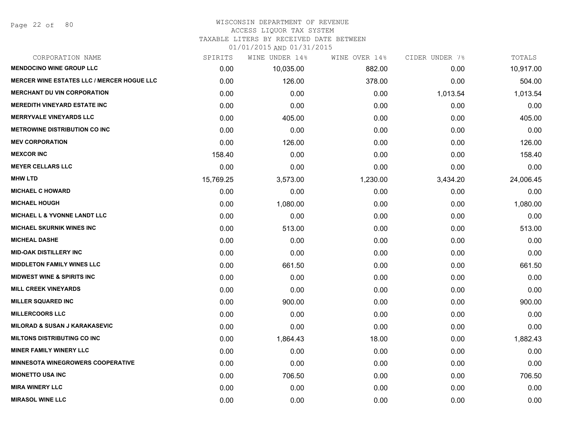#### WISCONSIN DEPARTMENT OF REVENUE

#### ACCESS LIQUOR TAX SYSTEM

TAXABLE LITERS BY RECEIVED DATE BETWEEN

| CORPORATION NAME                                  | SPIRITS   | WINE UNDER 14% | WINE OVER 14% | CIDER UNDER 7% | TOTALS    |
|---------------------------------------------------|-----------|----------------|---------------|----------------|-----------|
| <b>MENDOCINO WINE GROUP LLC</b>                   | 0.00      | 10,035.00      | 882.00        | 0.00           | 10,917.00 |
| <b>MERCER WINE ESTATES LLC / MERCER HOGUE LLC</b> | 0.00      | 126.00         | 378.00        | 0.00           | 504.00    |
| <b>MERCHANT DU VIN CORPORATION</b>                | 0.00      | 0.00           | 0.00          | 1,013.54       | 1,013.54  |
| <b>MEREDITH VINEYARD ESTATE INC</b>               | 0.00      | 0.00           | 0.00          | 0.00           | 0.00      |
| <b>MERRYVALE VINEYARDS LLC</b>                    | 0.00      | 405.00         | 0.00          | 0.00           | 405.00    |
| <b>METROWINE DISTRIBUTION CO INC</b>              | 0.00      | 0.00           | 0.00          | 0.00           | 0.00      |
| <b>MEV CORPORATION</b>                            | 0.00      | 126.00         | 0.00          | 0.00           | 126.00    |
| <b>MEXCOR INC</b>                                 | 158.40    | 0.00           | 0.00          | 0.00           | 158.40    |
| <b>MEYER CELLARS LLC</b>                          | 0.00      | 0.00           | 0.00          | 0.00           | 0.00      |
| <b>MHW LTD</b>                                    | 15,769.25 | 3,573.00       | 1,230.00      | 3,434.20       | 24,006.45 |
| <b>MICHAEL C HOWARD</b>                           | 0.00      | 0.00           | 0.00          | 0.00           | 0.00      |
| <b>MICHAEL HOUGH</b>                              | 0.00      | 1,080.00       | 0.00          | 0.00           | 1,080.00  |
| <b>MICHAEL L &amp; YVONNE LANDT LLC</b>           | 0.00      | 0.00           | 0.00          | 0.00           | 0.00      |
| <b>MICHAEL SKURNIK WINES INC</b>                  | 0.00      | 513.00         | 0.00          | 0.00           | 513.00    |
| <b>MICHEAL DASHE</b>                              | 0.00      | 0.00           | 0.00          | 0.00           | 0.00      |
| <b>MID-OAK DISTILLERY INC</b>                     | 0.00      | 0.00           | 0.00          | 0.00           | 0.00      |
| <b>MIDDLETON FAMILY WINES LLC</b>                 | 0.00      | 661.50         | 0.00          | 0.00           | 661.50    |
| <b>MIDWEST WINE &amp; SPIRITS INC</b>             | 0.00      | 0.00           | 0.00          | 0.00           | 0.00      |
| <b>MILL CREEK VINEYARDS</b>                       | 0.00      | 0.00           | 0.00          | 0.00           | 0.00      |
| <b>MILLER SQUARED INC</b>                         | 0.00      | 900.00         | 0.00          | 0.00           | 900.00    |
| <b>MILLERCOORS LLC</b>                            | 0.00      | 0.00           | 0.00          | 0.00           | 0.00      |
| <b>MILORAD &amp; SUSAN J KARAKASEVIC</b>          | 0.00      | 0.00           | 0.00          | 0.00           | 0.00      |
| <b>MILTONS DISTRIBUTING CO INC</b>                | 0.00      | 1,864.43       | 18.00         | 0.00           | 1,882.43  |
| <b>MINER FAMILY WINERY LLC</b>                    | 0.00      | 0.00           | 0.00          | 0.00           | 0.00      |
| <b>MINNESOTA WINEGROWERS COOPERATIVE</b>          | 0.00      | 0.00           | 0.00          | 0.00           | 0.00      |
| <b>MIONETTO USA INC</b>                           | 0.00      | 706.50         | 0.00          | 0.00           | 706.50    |
| <b>MIRA WINERY LLC</b>                            | 0.00      | 0.00           | 0.00          | 0.00           | 0.00      |
| <b>MIRASOL WINE LLC</b>                           | 0.00      | 0.00           | 0.00          | 0.00           | 0.00      |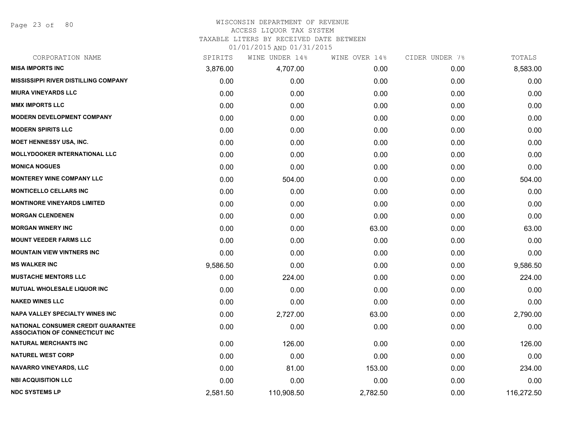Page 23 of 80

#### WISCONSIN DEPARTMENT OF REVENUE ACCESS LIQUOR TAX SYSTEM

TAXABLE LITERS BY RECEIVED DATE BETWEEN

| CORPORATION NAME                                                            | SPIRITS  | WINE UNDER 14% | WINE OVER 14% | CIDER UNDER 7% | TOTALS     |
|-----------------------------------------------------------------------------|----------|----------------|---------------|----------------|------------|
| <b>MISA IMPORTS INC</b>                                                     | 3,876.00 | 4,707.00       | 0.00          | 0.00           | 8,583.00   |
| <b>MISSISSIPPI RIVER DISTILLING COMPANY</b>                                 | 0.00     | 0.00           | 0.00          | 0.00           | 0.00       |
| <b>MIURA VINEYARDS LLC</b>                                                  | 0.00     | 0.00           | 0.00          | 0.00           | 0.00       |
| <b>MMX IMPORTS LLC</b>                                                      | 0.00     | 0.00           | 0.00          | 0.00           | 0.00       |
| <b>MODERN DEVELOPMENT COMPANY</b>                                           | 0.00     | 0.00           | 0.00          | 0.00           | 0.00       |
| <b>MODERN SPIRITS LLC</b>                                                   | 0.00     | 0.00           | 0.00          | 0.00           | 0.00       |
| <b>MOET HENNESSY USA, INC.</b>                                              | 0.00     | 0.00           | 0.00          | 0.00           | 0.00       |
| <b>MOLLYDOOKER INTERNATIONAL LLC</b>                                        | 0.00     | 0.00           | 0.00          | 0.00           | 0.00       |
| <b>MONICA NOGUES</b>                                                        | 0.00     | 0.00           | 0.00          | 0.00           | 0.00       |
| <b>MONTEREY WINE COMPANY LLC</b>                                            | 0.00     | 504.00         | 0.00          | 0.00           | 504.00     |
| <b>MONTICELLO CELLARS INC</b>                                               | 0.00     | 0.00           | 0.00          | 0.00           | 0.00       |
| <b>MONTINORE VINEYARDS LIMITED</b>                                          | 0.00     | 0.00           | 0.00          | 0.00           | 0.00       |
| <b>MORGAN CLENDENEN</b>                                                     | 0.00     | 0.00           | 0.00          | 0.00           | 0.00       |
| <b>MORGAN WINERY INC</b>                                                    | 0.00     | 0.00           | 63.00         | 0.00           | 63.00      |
| <b>MOUNT VEEDER FARMS LLC</b>                                               | 0.00     | 0.00           | 0.00          | 0.00           | 0.00       |
| <b>MOUNTAIN VIEW VINTNERS INC</b>                                           | 0.00     | 0.00           | 0.00          | 0.00           | 0.00       |
| <b>MS WALKER INC</b>                                                        | 9,586.50 | 0.00           | 0.00          | 0.00           | 9,586.50   |
| <b>MUSTACHE MENTORS LLC</b>                                                 | 0.00     | 224.00         | 0.00          | 0.00           | 224.00     |
| MUTUAL WHOLESALE LIQUOR INC                                                 | 0.00     | 0.00           | 0.00          | 0.00           | 0.00       |
| <b>NAKED WINES LLC</b>                                                      | 0.00     | 0.00           | 0.00          | 0.00           | 0.00       |
| <b>NAPA VALLEY SPECIALTY WINES INC</b>                                      | 0.00     | 2,727.00       | 63.00         | 0.00           | 2,790.00   |
| NATIONAL CONSUMER CREDIT GUARANTEE<br><b>ASSOCIATION OF CONNECTICUT INC</b> | 0.00     | 0.00           | 0.00          | 0.00           | 0.00       |
| <b>NATURAL MERCHANTS INC</b>                                                | 0.00     | 126.00         | 0.00          | 0.00           | 126.00     |
| <b>NATUREL WEST CORP</b>                                                    | 0.00     | 0.00           | 0.00          | 0.00           | 0.00       |
| <b>NAVARRO VINEYARDS, LLC</b>                                               | 0.00     | 81.00          | 153.00        | 0.00           | 234.00     |
| <b>NBI ACQUISITION LLC</b>                                                  | 0.00     | 0.00           | 0.00          | 0.00           | 0.00       |
| <b>NDC SYSTEMS LP</b>                                                       | 2,581.50 | 110,908.50     | 2,782.50      | 0.00           | 116,272.50 |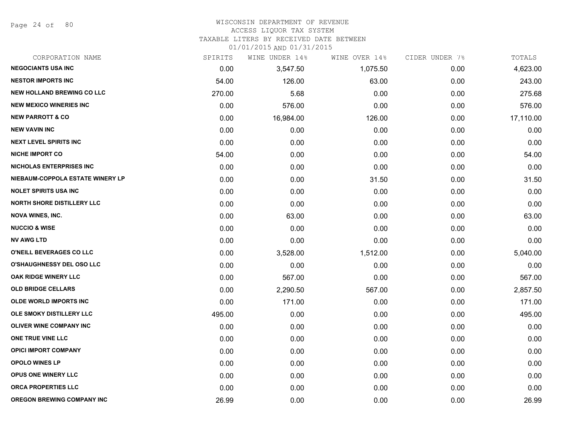Page 24 of 80

# WISCONSIN DEPARTMENT OF REVENUE

## ACCESS LIQUOR TAX SYSTEM

TAXABLE LITERS BY RECEIVED DATE BETWEEN

| CORPORATION NAME                  | SPIRITS | WINE UNDER 14% | WINE OVER 14% | CIDER UNDER 7% | TOTALS    |
|-----------------------------------|---------|----------------|---------------|----------------|-----------|
| <b>NEGOCIANTS USA INC</b>         | 0.00    | 3,547.50       | 1,075.50      | 0.00           | 4,623.00  |
| <b>NESTOR IMPORTS INC</b>         | 54.00   | 126.00         | 63.00         | 0.00           | 243.00    |
| <b>NEW HOLLAND BREWING CO LLC</b> | 270.00  | 5.68           | 0.00          | 0.00           | 275.68    |
| <b>NEW MEXICO WINERIES INC</b>    | 0.00    | 576.00         | 0.00          | 0.00           | 576.00    |
| <b>NEW PARROTT &amp; CO</b>       | 0.00    | 16,984.00      | 126.00        | 0.00           | 17,110.00 |
| <b>NEW VAVIN INC</b>              | 0.00    | 0.00           | 0.00          | 0.00           | 0.00      |
| <b>NEXT LEVEL SPIRITS INC</b>     | 0.00    | 0.00           | 0.00          | 0.00           | 0.00      |
| <b>NICHE IMPORT CO</b>            | 54.00   | 0.00           | 0.00          | 0.00           | 54.00     |
| <b>NICHOLAS ENTERPRISES INC</b>   | 0.00    | 0.00           | 0.00          | 0.00           | 0.00      |
| NIEBAUM-COPPOLA ESTATE WINERY LP  | 0.00    | 0.00           | 31.50         | 0.00           | 31.50     |
| <b>NOLET SPIRITS USA INC</b>      | 0.00    | 0.00           | 0.00          | 0.00           | 0.00      |
| <b>NORTH SHORE DISTILLERY LLC</b> | 0.00    | 0.00           | 0.00          | 0.00           | 0.00      |
| <b>NOVA WINES, INC.</b>           | 0.00    | 63.00          | 0.00          | 0.00           | 63.00     |
| <b>NUCCIO &amp; WISE</b>          | 0.00    | 0.00           | 0.00          | 0.00           | 0.00      |
| <b>NV AWG LTD</b>                 | 0.00    | 0.00           | 0.00          | 0.00           | 0.00      |
| O'NEILL BEVERAGES CO LLC          | 0.00    | 3,528.00       | 1,512.00      | 0.00           | 5,040.00  |
| <b>O'SHAUGHNESSY DEL OSO LLC</b>  | 0.00    | 0.00           | 0.00          | 0.00           | 0.00      |
| OAK RIDGE WINERY LLC              | 0.00    | 567.00         | 0.00          | 0.00           | 567.00    |
| <b>OLD BRIDGE CELLARS</b>         | 0.00    | 2,290.50       | 567.00        | 0.00           | 2,857.50  |
| <b>OLDE WORLD IMPORTS INC</b>     | 0.00    | 171.00         | 0.00          | 0.00           | 171.00    |
| OLE SMOKY DISTILLERY LLC          | 495.00  | 0.00           | 0.00          | 0.00           | 495.00    |
| OLIVER WINE COMPANY INC           | 0.00    | 0.00           | 0.00          | 0.00           | 0.00      |
| ONE TRUE VINE LLC                 | 0.00    | 0.00           | 0.00          | 0.00           | 0.00      |
| <b>OPICI IMPORT COMPANY</b>       | 0.00    | 0.00           | 0.00          | 0.00           | 0.00      |
| <b>OPOLO WINES LP</b>             | 0.00    | 0.00           | 0.00          | 0.00           | 0.00      |
| <b>OPUS ONE WINERY LLC</b>        | 0.00    | 0.00           | 0.00          | 0.00           | 0.00      |
| ORCA PROPERTIES LLC               | 0.00    | 0.00           | 0.00          | 0.00           | 0.00      |
| <b>OREGON BREWING COMPANY INC</b> | 26.99   | 0.00           | 0.00          | 0.00           | 26.99     |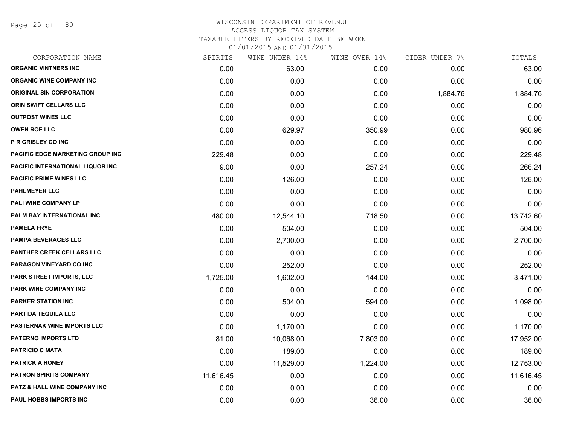Page 25 of 80

| CORPORATION NAME                        | SPIRITS   | WINE UNDER 14% | WINE OVER 14% | CIDER UNDER 7% | TOTALS    |
|-----------------------------------------|-----------|----------------|---------------|----------------|-----------|
| <b>ORGANIC VINTNERS INC</b>             | 0.00      | 63.00          | 0.00          | 0.00           | 63.00     |
| <b>ORGANIC WINE COMPANY INC</b>         | 0.00      | 0.00           | 0.00          | 0.00           | 0.00      |
| <b>ORIGINAL SIN CORPORATION</b>         | 0.00      | 0.00           | 0.00          | 1,884.76       | 1,884.76  |
| <b>ORIN SWIFT CELLARS LLC</b>           | 0.00      | 0.00           | 0.00          | 0.00           | 0.00      |
| <b>OUTPOST WINES LLC</b>                | 0.00      | 0.00           | 0.00          | 0.00           | 0.00      |
| <b>OWEN ROE LLC</b>                     | 0.00      | 629.97         | 350.99        | 0.00           | 980.96    |
| <b>P R GRISLEY CO INC</b>               | 0.00      | 0.00           | 0.00          | 0.00           | 0.00      |
| PACIFIC EDGE MARKETING GROUP INC        | 229.48    | 0.00           | 0.00          | 0.00           | 229.48    |
| <b>PACIFIC INTERNATIONAL LIQUOR INC</b> | 9.00      | 0.00           | 257.24        | 0.00           | 266.24    |
| <b>PACIFIC PRIME WINES LLC</b>          | 0.00      | 126.00         | 0.00          | 0.00           | 126.00    |
| <b>PAHLMEYER LLC</b>                    | 0.00      | 0.00           | 0.00          | 0.00           | 0.00      |
| PALI WINE COMPANY LP                    | 0.00      | 0.00           | 0.00          | 0.00           | 0.00      |
| PALM BAY INTERNATIONAL INC              | 480.00    | 12,544.10      | 718.50        | 0.00           | 13,742.60 |
| <b>PAMELA FRYE</b>                      | 0.00      | 504.00         | 0.00          | 0.00           | 504.00    |
| <b>PAMPA BEVERAGES LLC</b>              | 0.00      | 2,700.00       | 0.00          | 0.00           | 2,700.00  |
| PANTHER CREEK CELLARS LLC               | 0.00      | 0.00           | 0.00          | 0.00           | 0.00      |
| <b>PARAGON VINEYARD CO INC</b>          | 0.00      | 252.00         | 0.00          | 0.00           | 252.00    |
| <b>PARK STREET IMPORTS, LLC</b>         | 1,725.00  | 1,602.00       | 144.00        | 0.00           | 3,471.00  |
| PARK WINE COMPANY INC                   | 0.00      | 0.00           | 0.00          | 0.00           | 0.00      |
| <b>PARKER STATION INC</b>               | 0.00      | 504.00         | 594.00        | 0.00           | 1,098.00  |
| <b>PARTIDA TEQUILA LLC</b>              | 0.00      | 0.00           | 0.00          | 0.00           | 0.00      |
| <b>PASTERNAK WINE IMPORTS LLC</b>       | 0.00      | 1,170.00       | 0.00          | 0.00           | 1,170.00  |
| <b>PATERNO IMPORTS LTD</b>              | 81.00     | 10,068.00      | 7,803.00      | 0.00           | 17,952.00 |
| <b>PATRICIO C MATA</b>                  | 0.00      | 189.00         | 0.00          | 0.00           | 189.00    |
| <b>PATRICK A RONEY</b>                  | 0.00      | 11,529.00      | 1,224.00      | 0.00           | 12,753.00 |
| <b>PATRON SPIRITS COMPANY</b>           | 11,616.45 | 0.00           | 0.00          | 0.00           | 11,616.45 |
| <b>PATZ &amp; HALL WINE COMPANY INC</b> | 0.00      | 0.00           | 0.00          | 0.00           | 0.00      |
| PAUL HOBBS IMPORTS INC                  | 0.00      | 0.00           | 36.00         | 0.00           | 36.00     |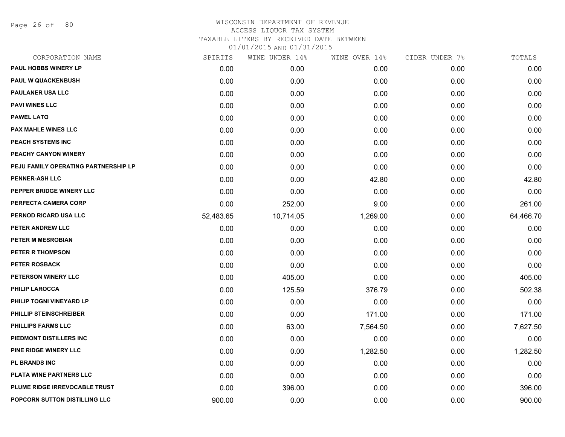Page 26 of 80

| CORPORATION NAME                     | SPIRITS   | WINE UNDER 14% | WINE OVER 14% | CIDER UNDER 7% | TOTALS    |
|--------------------------------------|-----------|----------------|---------------|----------------|-----------|
| <b>PAUL HOBBS WINERY LP</b>          | 0.00      | 0.00           | 0.00          | 0.00           | 0.00      |
| <b>PAUL W QUACKENBUSH</b>            | 0.00      | 0.00           | 0.00          | 0.00           | 0.00      |
| <b>PAULANER USA LLC</b>              | 0.00      | 0.00           | 0.00          | 0.00           | 0.00      |
| <b>PAVI WINES LLC</b>                | 0.00      | 0.00           | 0.00          | 0.00           | 0.00      |
| <b>PAWEL LATO</b>                    | 0.00      | 0.00           | 0.00          | 0.00           | 0.00      |
| <b>PAX MAHLE WINES LLC</b>           | 0.00      | 0.00           | 0.00          | 0.00           | 0.00      |
| PEACH SYSTEMS INC                    | 0.00      | 0.00           | 0.00          | 0.00           | 0.00      |
| PEACHY CANYON WINERY                 | 0.00      | 0.00           | 0.00          | 0.00           | 0.00      |
| PEJU FAMILY OPERATING PARTNERSHIP LP | 0.00      | 0.00           | 0.00          | 0.00           | 0.00      |
| <b>PENNER-ASH LLC</b>                | 0.00      | 0.00           | 42.80         | 0.00           | 42.80     |
| PEPPER BRIDGE WINERY LLC             | 0.00      | 0.00           | 0.00          | 0.00           | 0.00      |
| PERFECTA CAMERA CORP                 | 0.00      | 252.00         | 9.00          | 0.00           | 261.00    |
| PERNOD RICARD USA LLC                | 52,483.65 | 10,714.05      | 1,269.00      | 0.00           | 64,466.70 |
| PETER ANDREW LLC                     | 0.00      | 0.00           | 0.00          | 0.00           | 0.00      |
| PETER M MESROBIAN                    | 0.00      | 0.00           | 0.00          | 0.00           | 0.00      |
| PETER R THOMPSON                     | 0.00      | 0.00           | 0.00          | 0.00           | 0.00      |
| PETER ROSBACK                        | 0.00      | 0.00           | 0.00          | 0.00           | 0.00      |
| PETERSON WINERY LLC                  | 0.00      | 405.00         | 0.00          | 0.00           | 405.00    |
| <b>PHILIP LAROCCA</b>                | 0.00      | 125.59         | 376.79        | 0.00           | 502.38    |
| PHILIP TOGNI VINEYARD LP             | 0.00      | 0.00           | 0.00          | 0.00           | 0.00      |
| PHILLIP STEINSCHREIBER               | 0.00      | 0.00           | 171.00        | 0.00           | 171.00    |
| <b>PHILLIPS FARMS LLC</b>            | 0.00      | 63.00          | 7,564.50      | 0.00           | 7,627.50  |
| PIEDMONT DISTILLERS INC              | 0.00      | 0.00           | 0.00          | 0.00           | 0.00      |
| PINE RIDGE WINERY LLC                | 0.00      | 0.00           | 1,282.50      | 0.00           | 1,282.50  |
| PL BRANDS INC                        | 0.00      | 0.00           | 0.00          | 0.00           | 0.00      |
| PLATA WINE PARTNERS LLC              | 0.00      | 0.00           | 0.00          | 0.00           | 0.00      |
| PLUME RIDGE IRREVOCABLE TRUST        | 0.00      | 396.00         | 0.00          | 0.00           | 396.00    |
| POPCORN SUTTON DISTILLING LLC        | 900.00    | 0.00           | 0.00          | 0.00           | 900.00    |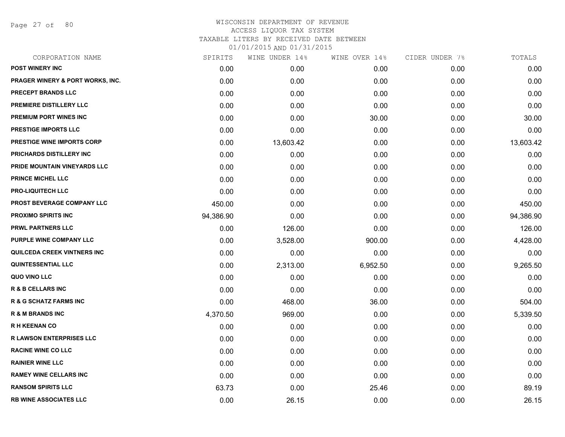Page 27 of 80

| CORPORATION NAME                    | SPIRITS   | WINE UNDER 14% | WINE OVER 14% | CIDER UNDER 7% | TOTALS    |
|-------------------------------------|-----------|----------------|---------------|----------------|-----------|
| <b>POST WINERY INC</b>              | 0.00      | 0.00           | 0.00          | 0.00           | 0.00      |
| PRAGER WINERY & PORT WORKS, INC.    | 0.00      | 0.00           | 0.00          | 0.00           | 0.00      |
| <b>PRECEPT BRANDS LLC</b>           | 0.00      | 0.00           | 0.00          | 0.00           | 0.00      |
| <b>PREMIERE DISTILLERY LLC</b>      | 0.00      | 0.00           | 0.00          | 0.00           | 0.00      |
| <b>PREMIUM PORT WINES INC</b>       | 0.00      | 0.00           | 30.00         | 0.00           | 30.00     |
| <b>PRESTIGE IMPORTS LLC</b>         | 0.00      | 0.00           | 0.00          | 0.00           | 0.00      |
| <b>PRESTIGE WINE IMPORTS CORP</b>   | 0.00      | 13,603.42      | 0.00          | 0.00           | 13,603.42 |
| PRICHARDS DISTILLERY INC            | 0.00      | 0.00           | 0.00          | 0.00           | 0.00      |
| <b>PRIDE MOUNTAIN VINEYARDS LLC</b> | 0.00      | 0.00           | 0.00          | 0.00           | 0.00      |
| PRINCE MICHEL LLC                   | 0.00      | 0.00           | 0.00          | 0.00           | 0.00      |
| <b>PRO-LIQUITECH LLC</b>            | 0.00      | 0.00           | 0.00          | 0.00           | 0.00      |
| PROST BEVERAGE COMPANY LLC          | 450.00    | 0.00           | 0.00          | 0.00           | 450.00    |
| <b>PROXIMO SPIRITS INC</b>          | 94,386.90 | 0.00           | 0.00          | 0.00           | 94,386.90 |
| <b>PRWL PARTNERS LLC</b>            | 0.00      | 126.00         | 0.00          | 0.00           | 126.00    |
| PURPLE WINE COMPANY LLC             | 0.00      | 3,528.00       | 900.00        | 0.00           | 4,428.00  |
| QUILCEDA CREEK VINTNERS INC         | 0.00      | 0.00           | 0.00          | 0.00           | 0.00      |
| <b>QUINTESSENTIAL LLC</b>           | 0.00      | 2,313.00       | 6,952.50      | 0.00           | 9,265.50  |
| QUO VINO LLC                        | 0.00      | 0.00           | 0.00          | 0.00           | 0.00      |
| <b>R &amp; B CELLARS INC</b>        | 0.00      | 0.00           | 0.00          | 0.00           | 0.00      |
| <b>R &amp; G SCHATZ FARMS INC</b>   | 0.00      | 468.00         | 36.00         | 0.00           | 504.00    |
| <b>R &amp; M BRANDS INC</b>         | 4,370.50  | 969.00         | 0.00          | 0.00           | 5,339.50  |
| <b>RH KEENAN CO</b>                 | 0.00      | 0.00           | 0.00          | 0.00           | 0.00      |
| <b>R LAWSON ENTERPRISES LLC</b>     | 0.00      | 0.00           | 0.00          | 0.00           | 0.00      |
| <b>RACINE WINE CO LLC</b>           | 0.00      | 0.00           | 0.00          | 0.00           | 0.00      |
| <b>RAINIER WINE LLC</b>             | 0.00      | 0.00           | 0.00          | 0.00           | 0.00      |
| <b>RAMEY WINE CELLARS INC</b>       | 0.00      | 0.00           | 0.00          | 0.00           | 0.00      |
| <b>RANSOM SPIRITS LLC</b>           | 63.73     | 0.00           | 25.46         | 0.00           | 89.19     |
| <b>RB WINE ASSOCIATES LLC</b>       | 0.00      | 26.15          | 0.00          | 0.00           | 26.15     |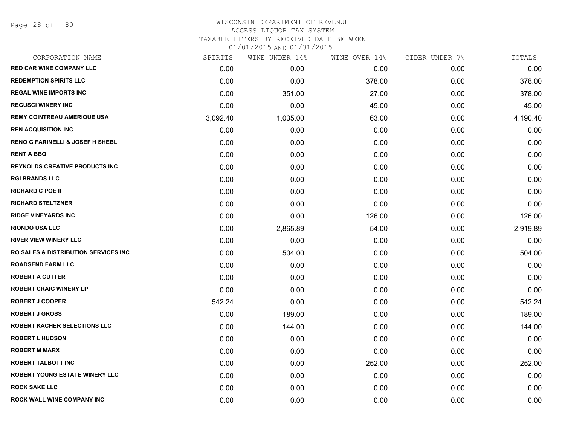## WISCONSIN DEPARTMENT OF REVENUE ACCESS LIQUOR TAX SYSTEM TAXABLE LITERS BY RECEIVED DATE BETWEEN

| CORPORATION NAME                            | SPIRITS  | WINE UNDER 14% | WINE OVER 14% | CIDER UNDER 7% | TOTALS   |
|---------------------------------------------|----------|----------------|---------------|----------------|----------|
| <b>RED CAR WINE COMPANY LLC</b>             | 0.00     | 0.00           | 0.00          | 0.00           | 0.00     |
| <b>REDEMPTION SPIRITS LLC</b>               | 0.00     | 0.00           | 378.00        | 0.00           | 378.00   |
| <b>REGAL WINE IMPORTS INC</b>               | 0.00     | 351.00         | 27.00         | 0.00           | 378.00   |
| <b>REGUSCI WINERY INC</b>                   | 0.00     | 0.00           | 45.00         | 0.00           | 45.00    |
| <b>REMY COINTREAU AMERIQUE USA</b>          | 3,092.40 | 1,035.00       | 63.00         | 0.00           | 4,190.40 |
| <b>REN ACQUISITION INC</b>                  | 0.00     | 0.00           | 0.00          | 0.00           | 0.00     |
| <b>RENO G FARINELLI &amp; JOSEF H SHEBL</b> | 0.00     | 0.00           | 0.00          | 0.00           | 0.00     |
| <b>RENT A BBQ</b>                           | 0.00     | 0.00           | 0.00          | 0.00           | 0.00     |
| <b>REYNOLDS CREATIVE PRODUCTS INC</b>       | 0.00     | 0.00           | 0.00          | 0.00           | 0.00     |
| <b>RGI BRANDS LLC</b>                       | 0.00     | 0.00           | 0.00          | 0.00           | 0.00     |
| <b>RICHARD C POE II</b>                     | 0.00     | 0.00           | 0.00          | 0.00           | 0.00     |
| <b>RICHARD STELTZNER</b>                    | 0.00     | 0.00           | 0.00          | 0.00           | 0.00     |
| <b>RIDGE VINEYARDS INC</b>                  | 0.00     | 0.00           | 126.00        | 0.00           | 126.00   |
| <b>RIONDO USA LLC</b>                       | 0.00     | 2,865.89       | 54.00         | 0.00           | 2,919.89 |
| <b>RIVER VIEW WINERY LLC</b>                | 0.00     | 0.00           | 0.00          | 0.00           | 0.00     |
| RO SALES & DISTRIBUTION SERVICES INC        | 0.00     | 504.00         | 0.00          | 0.00           | 504.00   |
| <b>ROADSEND FARM LLC</b>                    | 0.00     | 0.00           | 0.00          | 0.00           | 0.00     |
| <b>ROBERT A CUTTER</b>                      | 0.00     | 0.00           | 0.00          | 0.00           | 0.00     |
| <b>ROBERT CRAIG WINERY LP</b>               | 0.00     | 0.00           | 0.00          | 0.00           | 0.00     |
| <b>ROBERT J COOPER</b>                      | 542.24   | 0.00           | 0.00          | 0.00           | 542.24   |
| <b>ROBERT J GROSS</b>                       | 0.00     | 189.00         | 0.00          | 0.00           | 189.00   |
| <b>ROBERT KACHER SELECTIONS LLC</b>         | 0.00     | 144.00         | 0.00          | 0.00           | 144.00   |
| <b>ROBERT L HUDSON</b>                      | 0.00     | 0.00           | 0.00          | 0.00           | 0.00     |
| <b>ROBERT M MARX</b>                        | 0.00     | 0.00           | 0.00          | 0.00           | 0.00     |
| <b>ROBERT TALBOTT INC</b>                   | 0.00     | 0.00           | 252.00        | 0.00           | 252.00   |
| <b>ROBERT YOUNG ESTATE WINERY LLC</b>       | 0.00     | 0.00           | 0.00          | 0.00           | 0.00     |
| <b>ROCK SAKE LLC</b>                        | 0.00     | 0.00           | 0.00          | 0.00           | 0.00     |
| ROCK WALL WINE COMPANY INC                  | 0.00     | 0.00           | 0.00          | 0.00           | 0.00     |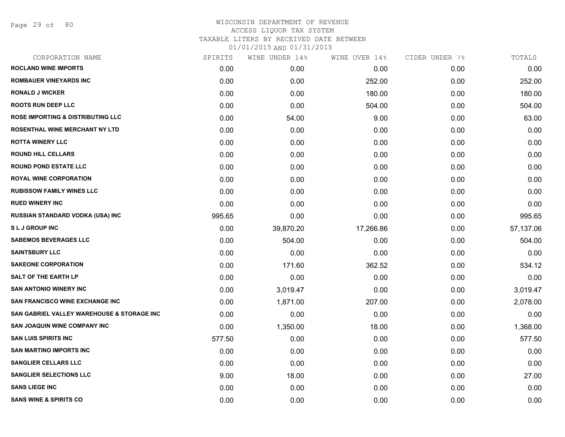Page 29 of 80

| CORPORATION NAME                                      | SPIRITS | WINE UNDER 14% | WINE OVER 14% | CIDER UNDER 7% | TOTALS    |
|-------------------------------------------------------|---------|----------------|---------------|----------------|-----------|
| <b>ROCLAND WINE IMPORTS</b>                           | 0.00    | 0.00           | 0.00          | 0.00           | 0.00      |
| <b>ROMBAUER VINEYARDS INC</b>                         | 0.00    | 0.00           | 252.00        | 0.00           | 252.00    |
| <b>RONALD J WICKER</b>                                | 0.00    | 0.00           | 180.00        | 0.00           | 180.00    |
| <b>ROOTS RUN DEEP LLC</b>                             | 0.00    | 0.00           | 504.00        | 0.00           | 504.00    |
| <b>ROSE IMPORTING &amp; DISTRIBUTING LLC</b>          | 0.00    | 54.00          | 9.00          | 0.00           | 63.00     |
| <b>ROSENTHAL WINE MERCHANT NY LTD</b>                 | 0.00    | 0.00           | 0.00          | 0.00           | 0.00      |
| <b>ROTTA WINERY LLC</b>                               | 0.00    | 0.00           | 0.00          | 0.00           | 0.00      |
| <b>ROUND HILL CELLARS</b>                             | 0.00    | 0.00           | 0.00          | 0.00           | 0.00      |
| <b>ROUND POND ESTATE LLC</b>                          | 0.00    | 0.00           | 0.00          | 0.00           | 0.00      |
| <b>ROYAL WINE CORPORATION</b>                         | 0.00    | 0.00           | 0.00          | 0.00           | 0.00      |
| <b>RUBISSOW FAMILY WINES LLC</b>                      | 0.00    | 0.00           | 0.00          | 0.00           | 0.00      |
| <b>RUED WINERY INC</b>                                | 0.00    | 0.00           | 0.00          | 0.00           | 0.00      |
| <b>RUSSIAN STANDARD VODKA (USA) INC</b>               | 995.65  | 0.00           | 0.00          | 0.00           | 995.65    |
| <b>SLJ GROUP INC</b>                                  | 0.00    | 39,870.20      | 17,266.86     | 0.00           | 57,137.06 |
| <b>SABEMOS BEVERAGES LLC</b>                          | 0.00    | 504.00         | 0.00          | 0.00           | 504.00    |
| <b>SAINTSBURY LLC</b>                                 | 0.00    | 0.00           | 0.00          | 0.00           | 0.00      |
| <b>SAKEONE CORPORATION</b>                            | 0.00    | 171.60         | 362.52        | 0.00           | 534.12    |
| <b>SALT OF THE EARTH LP</b>                           | 0.00    | 0.00           | 0.00          | 0.00           | 0.00      |
| <b>SAN ANTONIO WINERY INC</b>                         | 0.00    | 3,019.47       | 0.00          | 0.00           | 3,019.47  |
| <b>SAN FRANCISCO WINE EXCHANGE INC</b>                | 0.00    | 1,871.00       | 207.00        | 0.00           | 2,078.00  |
| <b>SAN GABRIEL VALLEY WAREHOUSE &amp; STORAGE INC</b> | 0.00    | 0.00           | 0.00          | 0.00           | 0.00      |
| <b>SAN JOAQUIN WINE COMPANY INC</b>                   | 0.00    | 1,350.00       | 18.00         | 0.00           | 1,368.00  |
| <b>SAN LUIS SPIRITS INC</b>                           | 577.50  | 0.00           | 0.00          | 0.00           | 577.50    |
| <b>SAN MARTINO IMPORTS INC</b>                        | 0.00    | 0.00           | 0.00          | 0.00           | 0.00      |
| <b>SANGLIER CELLARS LLC</b>                           | 0.00    | 0.00           | 0.00          | 0.00           | 0.00      |
| <b>SANGLIER SELECTIONS LLC</b>                        | 9.00    | 18.00          | 0.00          | 0.00           | 27.00     |
| <b>SANS LIEGE INC</b>                                 | 0.00    | 0.00           | 0.00          | 0.00           | 0.00      |
| <b>SANS WINE &amp; SPIRITS CO</b>                     | 0.00    | 0.00           | 0.00          | 0.00           | 0.00      |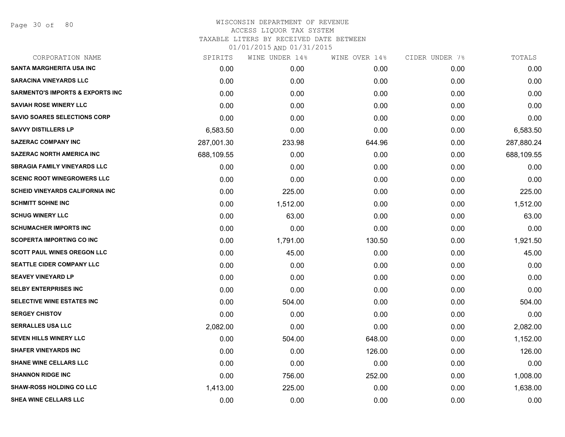Page 30 of 80

| CORPORATION NAME                            | SPIRITS    | WINE UNDER 14% | WINE OVER 14% | CIDER UNDER 7% | TOTALS     |
|---------------------------------------------|------------|----------------|---------------|----------------|------------|
| <b>SANTA MARGHERITA USA INC</b>             | 0.00       | 0.00           | 0.00          | 0.00           | 0.00       |
| <b>SARACINA VINEYARDS LLC</b>               | 0.00       | 0.00           | 0.00          | 0.00           | 0.00       |
| <b>SARMENTO'S IMPORTS &amp; EXPORTS INC</b> | 0.00       | 0.00           | 0.00          | 0.00           | 0.00       |
| <b>SAVIAH ROSE WINERY LLC</b>               | 0.00       | 0.00           | 0.00          | 0.00           | 0.00       |
| <b>SAVIO SOARES SELECTIONS CORP</b>         | 0.00       | 0.00           | 0.00          | 0.00           | 0.00       |
| <b>SAVVY DISTILLERS LP</b>                  | 6,583.50   | 0.00           | 0.00          | 0.00           | 6,583.50   |
| <b>SAZERAC COMPANY INC</b>                  | 287,001.30 | 233.98         | 644.96        | 0.00           | 287,880.24 |
| <b>SAZERAC NORTH AMERICA INC</b>            | 688,109.55 | 0.00           | 0.00          | 0.00           | 688,109.55 |
| <b>SBRAGIA FAMILY VINEYARDS LLC</b>         | 0.00       | 0.00           | 0.00          | 0.00           | 0.00       |
| <b>SCENIC ROOT WINEGROWERS LLC</b>          | 0.00       | 0.00           | 0.00          | 0.00           | 0.00       |
| <b>SCHEID VINEYARDS CALIFORNIA INC</b>      | 0.00       | 225.00         | 0.00          | 0.00           | 225.00     |
| <b>SCHMITT SOHNE INC</b>                    | 0.00       | 1,512.00       | 0.00          | 0.00           | 1,512.00   |
| <b>SCHUG WINERY LLC</b>                     | 0.00       | 63.00          | 0.00          | 0.00           | 63.00      |
| <b>SCHUMACHER IMPORTS INC</b>               | 0.00       | 0.00           | 0.00          | 0.00           | 0.00       |
| <b>SCOPERTA IMPORTING CO INC</b>            | 0.00       | 1,791.00       | 130.50        | 0.00           | 1,921.50   |
| <b>SCOTT PAUL WINES OREGON LLC</b>          | 0.00       | 45.00          | 0.00          | 0.00           | 45.00      |
| <b>SEATTLE CIDER COMPANY LLC</b>            | 0.00       | 0.00           | 0.00          | 0.00           | 0.00       |
| <b>SEAVEY VINEYARD LP</b>                   | 0.00       | 0.00           | 0.00          | 0.00           | 0.00       |
| <b>SELBY ENTERPRISES INC</b>                | 0.00       | 0.00           | 0.00          | 0.00           | 0.00       |
| SELECTIVE WINE ESTATES INC                  | 0.00       | 504.00         | 0.00          | 0.00           | 504.00     |
| <b>SERGEY CHISTOV</b>                       | 0.00       | 0.00           | 0.00          | 0.00           | 0.00       |
| <b>SERRALLES USA LLC</b>                    | 2,082.00   | 0.00           | 0.00          | 0.00           | 2,082.00   |
| SEVEN HILLS WINERY LLC                      | 0.00       | 504.00         | 648.00        | 0.00           | 1,152.00   |
| <b>SHAFER VINEYARDS INC</b>                 | 0.00       | 0.00           | 126.00        | 0.00           | 126.00     |
| <b>SHANE WINE CELLARS LLC</b>               | 0.00       | 0.00           | 0.00          | 0.00           | 0.00       |
| <b>SHANNON RIDGE INC</b>                    | 0.00       | 756.00         | 252.00        | 0.00           | 1,008.00   |
| <b>SHAW-ROSS HOLDING CO LLC</b>             | 1,413.00   | 225.00         | 0.00          | 0.00           | 1,638.00   |
| SHEA WINE CELLARS LLC                       | 0.00       | 0.00           | 0.00          | 0.00           | 0.00       |
|                                             |            |                |               |                |            |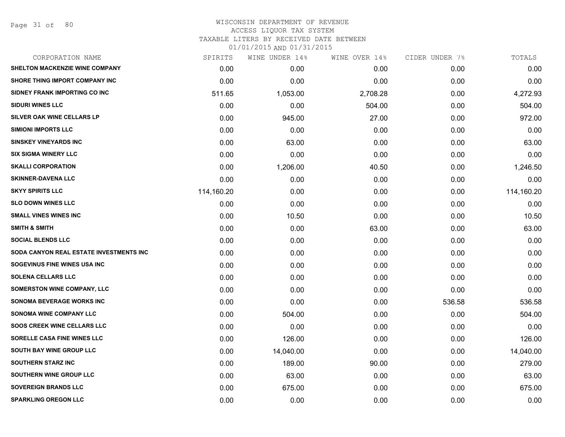Page 31 of 80

| CORPORATION NAME                        | SPIRITS    | WINE UNDER 14% | WINE OVER 14% | CIDER UNDER 7% | TOTALS     |
|-----------------------------------------|------------|----------------|---------------|----------------|------------|
| <b>SHELTON MACKENZIE WINE COMPANY</b>   | 0.00       | 0.00           | 0.00          | 0.00           | 0.00       |
| SHORE THING IMPORT COMPANY INC          | 0.00       | 0.00           | 0.00          | 0.00           | 0.00       |
| SIDNEY FRANK IMPORTING CO INC           | 511.65     | 1,053.00       | 2,708.28      | 0.00           | 4,272.93   |
| <b>SIDURI WINES LLC</b>                 | 0.00       | 0.00           | 504.00        | 0.00           | 504.00     |
| SILVER OAK WINE CELLARS LP              | 0.00       | 945.00         | 27.00         | 0.00           | 972.00     |
| <b>SIMIONI IMPORTS LLC</b>              | 0.00       | 0.00           | 0.00          | 0.00           | 0.00       |
| <b>SINSKEY VINEYARDS INC</b>            | 0.00       | 63.00          | 0.00          | 0.00           | 63.00      |
| <b>SIX SIGMA WINERY LLC</b>             | 0.00       | 0.00           | 0.00          | 0.00           | 0.00       |
| <b>SKALLI CORPORATION</b>               | 0.00       | 1,206.00       | 40.50         | 0.00           | 1,246.50   |
| <b>SKINNER-DAVENA LLC</b>               | 0.00       | 0.00           | 0.00          | 0.00           | 0.00       |
| <b>SKYY SPIRITS LLC</b>                 | 114,160.20 | 0.00           | 0.00          | 0.00           | 114,160.20 |
| <b>SLO DOWN WINES LLC</b>               | 0.00       | 0.00           | 0.00          | 0.00           | 0.00       |
| <b>SMALL VINES WINES INC</b>            | 0.00       | 10.50          | 0.00          | 0.00           | 10.50      |
| <b>SMITH &amp; SMITH</b>                | 0.00       | 0.00           | 63.00         | 0.00           | 63.00      |
| <b>SOCIAL BLENDS LLC</b>                | 0.00       | 0.00           | 0.00          | 0.00           | 0.00       |
| SODA CANYON REAL ESTATE INVESTMENTS INC | 0.00       | 0.00           | 0.00          | 0.00           | 0.00       |
| SOGEVINUS FINE WINES USA INC            | 0.00       | 0.00           | 0.00          | 0.00           | 0.00       |
| <b>SOLENA CELLARS LLC</b>               | 0.00       | 0.00           | 0.00          | 0.00           | 0.00       |
| <b>SOMERSTON WINE COMPANY, LLC</b>      | 0.00       | 0.00           | 0.00          | 0.00           | 0.00       |
| SONOMA BEVERAGE WORKS INC               | 0.00       | 0.00           | 0.00          | 536.58         | 536.58     |
| <b>SONOMA WINE COMPANY LLC</b>          | 0.00       | 504.00         | 0.00          | 0.00           | 504.00     |
| <b>SOOS CREEK WINE CELLARS LLC</b>      | 0.00       | 0.00           | 0.00          | 0.00           | 0.00       |
| SORELLE CASA FINE WINES LLC             | 0.00       | 126.00         | 0.00          | 0.00           | 126.00     |
| <b>SOUTH BAY WINE GROUP LLC</b>         | 0.00       | 14,040.00      | 0.00          | 0.00           | 14,040.00  |
| <b>SOUTHERN STARZ INC</b>               | 0.00       | 189.00         | 90.00         | 0.00           | 279.00     |
| SOUTHERN WINE GROUP LLC                 | 0.00       | 63.00          | 0.00          | 0.00           | 63.00      |
| <b>SOVEREIGN BRANDS LLC</b>             | 0.00       | 675.00         | 0.00          | 0.00           | 675.00     |
| <b>SPARKLING OREGON LLC</b>             | 0.00       | 0.00           | 0.00          | 0.00           | 0.00       |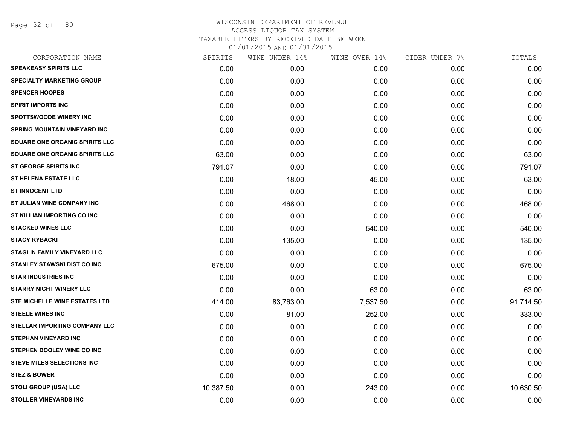Page 32 of 80

| CORPORATION NAME                      | SPIRITS   | WINE UNDER 14% | WINE OVER 14% | CIDER UNDER 7%    | TOTALS    |
|---------------------------------------|-----------|----------------|---------------|-------------------|-----------|
| <b>SPEAKEASY SPIRITS LLC</b>          | 0.00      | 0.00           | 0.00          | 0.00              | 0.00      |
| <b>SPECIALTY MARKETING GROUP</b>      | 0.00      | 0.00           | 0.00          | 0.00              | 0.00      |
| <b>SPENCER HOOPES</b>                 | 0.00      | 0.00           | 0.00          | 0.00              | 0.00      |
| <b>SPIRIT IMPORTS INC</b>             | 0.00      | 0.00           | 0.00          | 0.00              | 0.00      |
| <b>SPOTTSWOODE WINERY INC</b>         | 0.00      | 0.00           | 0.00          | 0.00              | 0.00      |
| <b>SPRING MOUNTAIN VINEYARD INC</b>   | 0.00      | 0.00           | 0.00          | 0.00              | 0.00      |
| <b>SQUARE ONE ORGANIC SPIRITS LLC</b> | 0.00      | 0.00           | 0.00          | 0.00              | 0.00      |
| <b>SQUARE ONE ORGANIC SPIRITS LLC</b> | 63.00     | 0.00           | 0.00          | 0.00              | 63.00     |
| <b>ST GEORGE SPIRITS INC</b>          | 791.07    | 0.00           | 0.00          | 0.00              | 791.07    |
| <b>ST HELENA ESTATE LLC</b>           | 0.00      | 18.00          | 45.00         | 0.00              | 63.00     |
| <b>ST INNOCENT LTD</b>                | 0.00      | 0.00           | 0.00          | 0.00              | 0.00      |
| <b>ST JULIAN WINE COMPANY INC</b>     | 0.00      | 468.00         | 0.00          | 0.00              | 468.00    |
| ST KILLIAN IMPORTING CO INC           | 0.00      | 0.00           | 0.00          | 0.00              | 0.00      |
| <b>STACKED WINES LLC</b>              | 0.00      | 0.00           | 540.00        | 0.00              | 540.00    |
| <b>STACY RYBACKI</b>                  | 0.00      | 135.00         | 0.00          | 0.00              | 135.00    |
| <b>STAGLIN FAMILY VINEYARD LLC</b>    | 0.00      | 0.00           | 0.00          | 0.00              | 0.00      |
| <b>STANLEY STAWSKI DIST CO INC</b>    | 675.00    | 0.00           | 0.00          | 0.00              | 675.00    |
| <b>STAR INDUSTRIES INC</b>            | 0.00      | 0.00           | 0.00          | 0.00              | 0.00      |
| <b>STARRY NIGHT WINERY LLC</b>        | 0.00      | 0.00           | 63.00         | 0.00              | 63.00     |
| STE MICHELLE WINE ESTATES LTD         | 414.00    | 83,763.00      | 7,537.50      | 0.00              | 91,714.50 |
| <b>STEELE WINES INC</b>               | 0.00      | 81.00          | 252.00        | 0.00              | 333.00    |
| <b>STELLAR IMPORTING COMPANY LLC</b>  | 0.00      | 0.00           | 0.00          | 0.00              | 0.00      |
| <b>STEPHAN VINEYARD INC</b>           | 0.00      | 0.00           | 0.00          | 0.00              | 0.00      |
| STEPHEN DOOLEY WINE CO INC            | 0.00      | 0.00           | 0.00          | 0.00 <sub>1</sub> | 0.00      |
| <b>STEVE MILES SELECTIONS INC</b>     | 0.00      | 0.00           | 0.00          | 0.00              | 0.00      |
| <b>STEZ &amp; BOWER</b>               | 0.00      | 0.00           | 0.00          | 0.00              | 0.00      |
| <b>STOLI GROUP (USA) LLC</b>          | 10,387.50 | 0.00           | 243.00        | 0.00              | 10,630.50 |
| <b>STOLLER VINEYARDS INC</b>          | 0.00      | 0.00           | 0.00          | 0.00              | 0.00      |
|                                       |           |                |               |                   |           |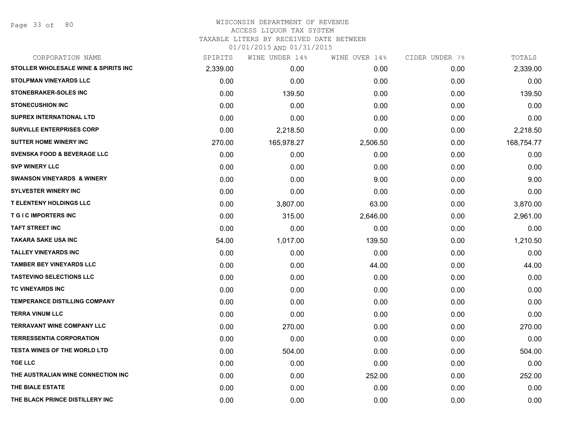# WISCONSIN DEPARTMENT OF REVENUE ACCESS LIQUOR TAX SYSTEM TAXABLE LITERS BY RECEIVED DATE BETWEEN

| CORPORATION NAME                       | SPIRITS  | WINE UNDER 14% | WINE OVER 14% | CIDER UNDER 7% | TOTALS     |
|----------------------------------------|----------|----------------|---------------|----------------|------------|
| STOLLER WHOLESALE WINE & SPIRITS INC   | 2,339.00 | 0.00           | 0.00          | 0.00           | 2,339.00   |
| <b>STOLPMAN VINEYARDS LLC</b>          | 0.00     | 0.00           | 0.00          | 0.00           | 0.00       |
| <b>STONEBRAKER-SOLES INC</b>           | 0.00     | 139.50         | 0.00          | 0.00           | 139.50     |
| <b>STONECUSHION INC</b>                | 0.00     | 0.00           | 0.00          | 0.00           | 0.00       |
| <b>SUPREX INTERNATIONAL LTD</b>        | 0.00     | 0.00           | 0.00          | 0.00           | 0.00       |
| <b>SURVILLE ENTERPRISES CORP</b>       | 0.00     | 2,218.50       | 0.00          | 0.00           | 2,218.50   |
| <b>SUTTER HOME WINERY INC</b>          | 270.00   | 165,978.27     | 2,506.50      | 0.00           | 168,754.77 |
| <b>SVENSKA FOOD &amp; BEVERAGE LLC</b> | 0.00     | 0.00           | 0.00          | 0.00           | 0.00       |
| <b>SVP WINERY LLC</b>                  | 0.00     | 0.00           | 0.00          | 0.00           | 0.00       |
| <b>SWANSON VINEYARDS &amp; WINERY</b>  | 0.00     | 0.00           | 9.00          | 0.00           | 9.00       |
| <b>SYLVESTER WINERY INC</b>            | 0.00     | 0.00           | 0.00          | 0.00           | 0.00       |
| <b>T ELENTENY HOLDINGS LLC</b>         | 0.00     | 3,807.00       | 63.00         | 0.00           | 3,870.00   |
| <b>T G I C IMPORTERS INC</b>           | 0.00     | 315.00         | 2,646.00      | 0.00           | 2,961.00   |
| <b>TAFT STREET INC</b>                 | 0.00     | 0.00           | 0.00          | 0.00           | 0.00       |
| <b>TAKARA SAKE USA INC</b>             | 54.00    | 1,017.00       | 139.50        | 0.00           | 1,210.50   |
| <b>TALLEY VINEYARDS INC</b>            | 0.00     | 0.00           | 0.00          | 0.00           | 0.00       |
| <b>TAMBER BEY VINEYARDS LLC</b>        | 0.00     | 0.00           | 44.00         | 0.00           | 44.00      |
| <b>TASTEVINO SELECTIONS LLC</b>        | 0.00     | 0.00           | 0.00          | 0.00           | 0.00       |
| TC VINEYARDS INC                       | 0.00     | 0.00           | 0.00          | 0.00           | 0.00       |
| <b>TEMPERANCE DISTILLING COMPANY</b>   | 0.00     | 0.00           | 0.00          | 0.00           | 0.00       |
| <b>TERRA VINUM LLC</b>                 | 0.00     | 0.00           | 0.00          | 0.00           | 0.00       |
| <b>TERRAVANT WINE COMPANY LLC</b>      | 0.00     | 270.00         | 0.00          | 0.00           | 270.00     |
| <b>TERRESSENTIA CORPORATION</b>        | 0.00     | 0.00           | 0.00          | 0.00           | 0.00       |
| <b>TESTA WINES OF THE WORLD LTD</b>    | 0.00     | 504.00         | 0.00          | 0.00           | 504.00     |
| <b>TGE LLC</b>                         | 0.00     | 0.00           | 0.00          | 0.00           | 0.00       |
| THE AUSTRALIAN WINE CONNECTION INC     | 0.00     | 0.00           | 252.00        | 0.00           | 252.00     |
| THE BIALE ESTATE                       | 0.00     | 0.00           | 0.00          | 0.00           | 0.00       |
| THE BLACK PRINCE DISTILLERY INC        | 0.00     | 0.00           | 0.00          | 0.00           | 0.00       |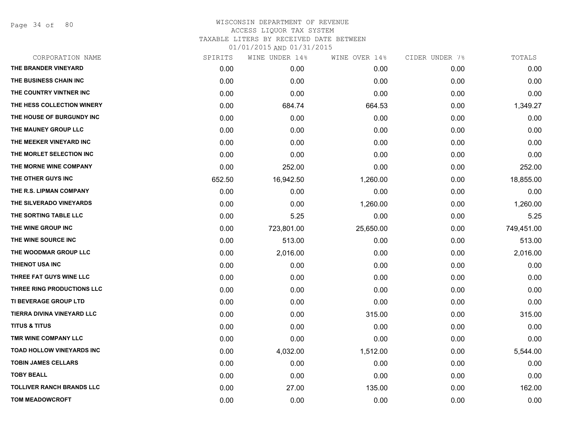Page 34 of 80

| SPIRITS | WINE UNDER 14% | WINE OVER 14% |      | TOTALS         |
|---------|----------------|---------------|------|----------------|
| 0.00    | 0.00           | 0.00          | 0.00 | 0.00           |
| 0.00    | 0.00           | 0.00          | 0.00 | 0.00           |
| 0.00    | 0.00           | 0.00          | 0.00 | 0.00           |
| 0.00    | 684.74         | 664.53        | 0.00 | 1,349.27       |
| 0.00    | 0.00           | 0.00          | 0.00 | 0.00           |
| 0.00    | 0.00           | 0.00          | 0.00 | 0.00           |
| 0.00    | 0.00           | 0.00          | 0.00 | 0.00           |
| 0.00    | 0.00           | 0.00          | 0.00 | 0.00           |
| 0.00    | 252.00         | 0.00          | 0.00 | 252.00         |
| 652.50  | 16,942.50      | 1,260.00      | 0.00 | 18,855.00      |
| 0.00    | 0.00           | 0.00          | 0.00 | 0.00           |
| 0.00    | 0.00           | 1,260.00      | 0.00 | 1,260.00       |
| 0.00    | 5.25           | 0.00          | 0.00 | 5.25           |
| 0.00    | 723,801.00     | 25,650.00     | 0.00 | 749,451.00     |
| 0.00    | 513.00         | 0.00          | 0.00 | 513.00         |
| 0.00    | 2,016.00       | 0.00          | 0.00 | 2,016.00       |
| 0.00    | 0.00           | 0.00          | 0.00 | 0.00           |
| 0.00    | 0.00           | 0.00          | 0.00 | 0.00           |
| 0.00    | 0.00           | 0.00          | 0.00 | 0.00           |
| 0.00    | 0.00           | 0.00          | 0.00 | 0.00           |
| 0.00    | 0.00           | 315.00        | 0.00 | 315.00         |
| 0.00    | 0.00           | 0.00          | 0.00 | 0.00           |
| 0.00    | 0.00           | 0.00          | 0.00 | 0.00           |
| 0.00    | 4,032.00       | 1,512.00      | 0.00 | 5,544.00       |
| 0.00    | 0.00           | 0.00          | 0.00 | 0.00           |
| 0.00    | 0.00           | 0.00          | 0.00 | 0.00           |
| 0.00    | 27.00          | 135.00        | 0.00 | 162.00         |
| 0.00    | 0.00           | 0.00          | 0.00 | 0.00           |
|         |                |               |      | CIDER UNDER 7% |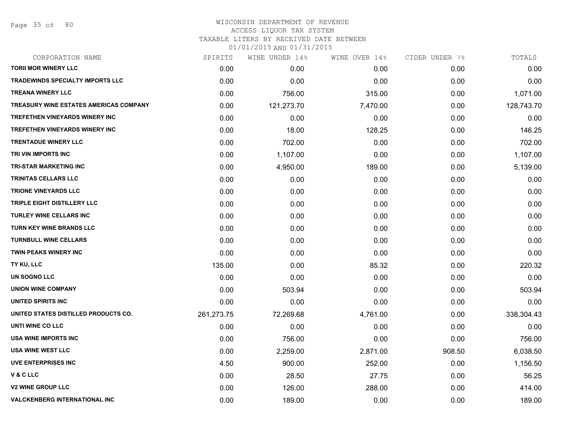# WISCONSIN DEPARTMENT OF REVENUE ACCESS LIQUOR TAX SYSTEM

TAXABLE LITERS BY RECEIVED DATE BETWEEN

| CORPORATION NAME                              | SPIRITS    | WINE UNDER 14% | WINE OVER 14% | CIDER UNDER 7% | TOTALS     |
|-----------------------------------------------|------------|----------------|---------------|----------------|------------|
| <b>TORII MOR WINERY LLC</b>                   | 0.00       | 0.00           | 0.00          | 0.00           | 0.00       |
| <b>TRADEWINDS SPECIALTY IMPORTS LLC</b>       | 0.00       | 0.00           | 0.00          | 0.00           | 0.00       |
| <b>TREANA WINERY LLC</b>                      | 0.00       | 756.00         | 315.00        | 0.00           | 1,071.00   |
| <b>TREASURY WINE ESTATES AMERICAS COMPANY</b> | 0.00       | 121,273.70     | 7,470.00      | 0.00           | 128,743.70 |
| <b>TREFETHEN VINEYARDS WINERY INC</b>         | 0.00       | 0.00           | 0.00          | 0.00           | 0.00       |
| <b>TREFETHEN VINEYARDS WINERY INC</b>         | 0.00       | 18.00          | 128.25        | 0.00           | 146.25     |
| <b>TRENTADUE WINERY LLC</b>                   | 0.00       | 702.00         | 0.00          | 0.00           | 702.00     |
| TRI VIN IMPORTS INC                           | 0.00       | 1,107.00       | 0.00          | 0.00           | 1,107.00   |
| <b>TRI-STAR MARKETING INC</b>                 | 0.00       | 4,950.00       | 189.00        | 0.00           | 5,139.00   |
| <b>TRINITAS CELLARS LLC</b>                   | 0.00       | 0.00           | 0.00          | 0.00           | 0.00       |
| <b>TRIONE VINEYARDS LLC</b>                   | 0.00       | 0.00           | 0.00          | 0.00           | 0.00       |
| TRIPLE EIGHT DISTILLERY LLC                   | 0.00       | 0.00           | 0.00          | 0.00           | 0.00       |
| <b>TURLEY WINE CELLARS INC</b>                | 0.00       | 0.00           | 0.00          | 0.00           | 0.00       |
| <b>TURN KEY WINE BRANDS LLC</b>               | 0.00       | 0.00           | 0.00          | 0.00           | 0.00       |
| <b>TURNBULL WINE CELLARS</b>                  | 0.00       | 0.00           | 0.00          | 0.00           | 0.00       |
| TWIN PEAKS WINERY INC                         | 0.00       | 0.00           | 0.00          | 0.00           | 0.00       |
| TY KU, LLC                                    | 135.00     | 0.00           | 85.32         | 0.00           | 220.32     |
| UN SOGNO LLC                                  | 0.00       | 0.00           | 0.00          | 0.00           | 0.00       |
| <b>UNION WINE COMPANY</b>                     | 0.00       | 503.94         | 0.00          | 0.00           | 503.94     |
| <b>UNITED SPIRITS INC</b>                     | 0.00       | 0.00           | 0.00          | 0.00           | 0.00       |
| UNITED STATES DISTILLED PRODUCTS CO.          | 261,273.75 | 72,269.68      | 4,761.00      | 0.00           | 338,304.43 |
| UNTI WINE CO LLC                              | 0.00       | 0.00           | 0.00          | 0.00           | 0.00       |
| <b>USA WINE IMPORTS INC</b>                   | 0.00       | 756.00         | 0.00          | 0.00           | 756.00     |
| <b>USA WINE WEST LLC</b>                      | 0.00       | 2,259.00       | 2,871.00      | 908.50         | 6,038.50   |
| <b>UVE ENTERPRISES INC</b>                    | 4.50       | 900.00         | 252.00        | 0.00           | 1,156.50   |
| V & C LLC                                     | 0.00       | 28.50          | 27.75         | 0.00           | 56.25      |
| <b>V2 WINE GROUP LLC</b>                      | 0.00       | 126.00         | 288.00        | 0.00           | 414.00     |
| <b>VALCKENBERG INTERNATIONAL INC</b>          | 0.00       | 189.00         | 0.00          | 0.00           | 189.00     |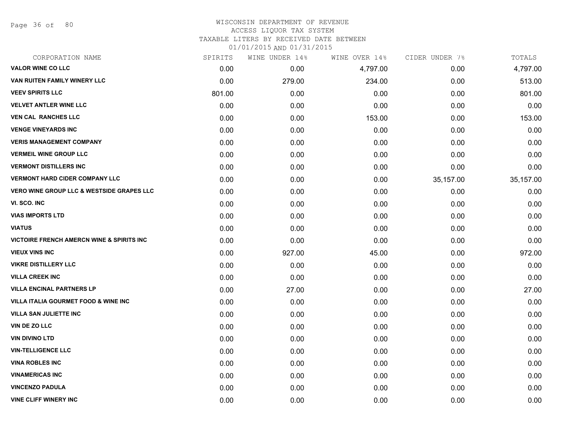Page 36 of 80

# WISCONSIN DEPARTMENT OF REVENUE ACCESS LIQUOR TAX SYSTEM

TAXABLE LITERS BY RECEIVED DATE BETWEEN

| CORPORATION NAME                                     | SPIRITS | WINE UNDER 14% | WINE OVER 14% | CIDER UNDER 7% | TOTALS    |
|------------------------------------------------------|---------|----------------|---------------|----------------|-----------|
| <b>VALOR WINE CO LLC</b>                             | 0.00    | 0.00           | 4,797.00      | 0.00           | 4,797.00  |
| <b>VAN RUITEN FAMILY WINERY LLC</b>                  | 0.00    | 279.00         | 234.00        | 0.00           | 513.00    |
| <b>VEEV SPIRITS LLC</b>                              | 801.00  | 0.00           | 0.00          | 0.00           | 801.00    |
| <b>VELVET ANTLER WINE LLC</b>                        | 0.00    | 0.00           | 0.00          | 0.00           | 0.00      |
| <b>VEN CAL RANCHES LLC</b>                           | 0.00    | 0.00           | 153.00        | 0.00           | 153.00    |
| <b>VENGE VINEYARDS INC</b>                           | 0.00    | 0.00           | 0.00          | 0.00           | 0.00      |
| <b>VERIS MANAGEMENT COMPANY</b>                      | 0.00    | 0.00           | 0.00          | 0.00           | 0.00      |
| <b>VERMEIL WINE GROUP LLC</b>                        | 0.00    | 0.00           | 0.00          | 0.00           | 0.00      |
| <b>VERMONT DISTILLERS INC</b>                        | 0.00    | 0.00           | 0.00          | 0.00           | 0.00      |
| <b>VERMONT HARD CIDER COMPANY LLC</b>                | 0.00    | 0.00           | 0.00          | 35,157.00      | 35,157.00 |
| <b>VERO WINE GROUP LLC &amp; WESTSIDE GRAPES LLC</b> | 0.00    | 0.00           | 0.00          | 0.00           | 0.00      |
| VI. SCO. INC                                         | 0.00    | 0.00           | 0.00          | 0.00           | 0.00      |
| <b>VIAS IMPORTS LTD</b>                              | 0.00    | 0.00           | 0.00          | 0.00           | 0.00      |
| <b>VIATUS</b>                                        | 0.00    | 0.00           | 0.00          | 0.00           | 0.00      |
| <b>VICTOIRE FRENCH AMERCN WINE &amp; SPIRITS INC</b> | 0.00    | 0.00           | 0.00          | 0.00           | 0.00      |
| <b>VIEUX VINS INC</b>                                | 0.00    | 927.00         | 45.00         | 0.00           | 972.00    |
| <b>VIKRE DISTILLERY LLC</b>                          | 0.00    | 0.00           | 0.00          | 0.00           | 0.00      |
| <b>VILLA CREEK INC</b>                               | 0.00    | 0.00           | 0.00          | 0.00           | 0.00      |
| <b>VILLA ENCINAL PARTNERS LP</b>                     | 0.00    | 27.00          | 0.00          | 0.00           | 27.00     |
| VILLA ITALIA GOURMET FOOD & WINE INC                 | 0.00    | 0.00           | 0.00          | 0.00           | 0.00      |
| <b>VILLA SAN JULIETTE INC</b>                        | 0.00    | 0.00           | 0.00          | 0.00           | 0.00      |
| VIN DE ZO LLC                                        | 0.00    | 0.00           | 0.00          | 0.00           | 0.00      |
| <b>VIN DIVINO LTD</b>                                | 0.00    | 0.00           | 0.00          | 0.00           | 0.00      |
| <b>VIN-TELLIGENCE LLC</b>                            | 0.00    | 0.00           | 0.00          | 0.00           | 0.00      |
| <b>VINA ROBLES INC</b>                               | 0.00    | 0.00           | 0.00          | 0.00           | 0.00      |
| <b>VINAMERICAS INC</b>                               | 0.00    | 0.00           | 0.00          | 0.00           | 0.00      |
| <b>VINCENZO PADULA</b>                               | 0.00    | 0.00           | 0.00          | 0.00           | 0.00      |
| <b>VINE CLIFF WINERY INC</b>                         | 0.00    | 0.00           | 0.00          | 0.00           | 0.00      |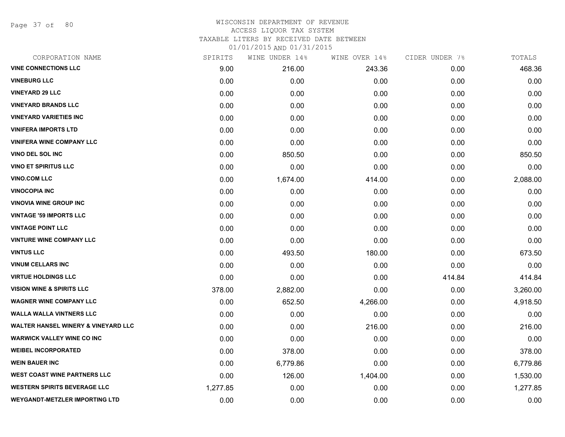Page 37 of 80

#### WISCONSIN DEPARTMENT OF REVENUE ACCESS LIQUOR TAX SYSTEM

TAXABLE LITERS BY RECEIVED DATE BETWEEN

| CORPORATION NAME                               | SPIRITS  | WINE UNDER 14% | WINE OVER 14% | CIDER UNDER 7% | TOTALS   |
|------------------------------------------------|----------|----------------|---------------|----------------|----------|
| <b>VINE CONNECTIONS LLC</b>                    | 9.00     | 216.00         | 243.36        | 0.00           | 468.36   |
| <b>VINEBURG LLC</b>                            | 0.00     | 0.00           | 0.00          | 0.00           | 0.00     |
| <b>VINEYARD 29 LLC</b>                         | 0.00     | 0.00           | 0.00          | 0.00           | 0.00     |
| <b>VINEYARD BRANDS LLC</b>                     | 0.00     | 0.00           | 0.00          | 0.00           | 0.00     |
| <b>VINEYARD VARIETIES INC</b>                  | 0.00     | 0.00           | 0.00          | 0.00           | 0.00     |
| <b>VINIFERA IMPORTS LTD</b>                    | 0.00     | 0.00           | 0.00          | 0.00           | 0.00     |
| <b>VINIFERA WINE COMPANY LLC</b>               | 0.00     | 0.00           | 0.00          | 0.00           | 0.00     |
| <b>VINO DEL SOL INC</b>                        | 0.00     | 850.50         | 0.00          | 0.00           | 850.50   |
| <b>VINO ET SPIRITUS LLC</b>                    | 0.00     | 0.00           | 0.00          | 0.00           | 0.00     |
| <b>VINO.COM LLC</b>                            | 0.00     | 1,674.00       | 414.00        | 0.00           | 2,088.00 |
| <b>VINOCOPIA INC</b>                           | 0.00     | 0.00           | 0.00          | 0.00           | 0.00     |
| <b>VINOVIA WINE GROUP INC</b>                  | 0.00     | 0.00           | 0.00          | 0.00           | 0.00     |
| <b>VINTAGE '59 IMPORTS LLC</b>                 | 0.00     | 0.00           | 0.00          | 0.00           | 0.00     |
| <b>VINTAGE POINT LLC</b>                       | 0.00     | 0.00           | 0.00          | 0.00           | 0.00     |
| <b>VINTURE WINE COMPANY LLC</b>                | 0.00     | 0.00           | 0.00          | 0.00           | 0.00     |
| <b>VINTUS LLC</b>                              | 0.00     | 493.50         | 180.00        | 0.00           | 673.50   |
| <b>VINUM CELLARS INC</b>                       | 0.00     | 0.00           | 0.00          | 0.00           | 0.00     |
| <b>VIRTUE HOLDINGS LLC</b>                     | 0.00     | 0.00           | 0.00          | 414.84         | 414.84   |
| <b>VISION WINE &amp; SPIRITS LLC</b>           | 378.00   | 2,882.00       | 0.00          | 0.00           | 3,260.00 |
| <b>WAGNER WINE COMPANY LLC</b>                 | 0.00     | 652.50         | 4,266.00      | 0.00           | 4,918.50 |
| <b>WALLA WALLA VINTNERS LLC</b>                | 0.00     | 0.00           | 0.00          | 0.00           | 0.00     |
| <b>WALTER HANSEL WINERY &amp; VINEYARD LLC</b> | 0.00     | 0.00           | 216.00        | 0.00           | 216.00   |
| <b>WARWICK VALLEY WINE CO INC</b>              | 0.00     | 0.00           | 0.00          | 0.00           | 0.00     |
| <b>WEIBEL INCORPORATED</b>                     | 0.00     | 378.00         | 0.00          | 0.00           | 378.00   |
| <b>WEIN BAUER INC</b>                          | 0.00     | 6,779.86       | 0.00          | 0.00           | 6,779.86 |
| <b>WEST COAST WINE PARTNERS LLC</b>            | 0.00     | 126.00         | 1,404.00      | 0.00           | 1,530.00 |
| <b>WESTERN SPIRITS BEVERAGE LLC</b>            | 1,277.85 | 0.00           | 0.00          | 0.00           | 1,277.85 |
| <b>WEYGANDT-METZLER IMPORTING LTD</b>          | 0.00     | 0.00           | 0.00          | 0.00           | 0.00     |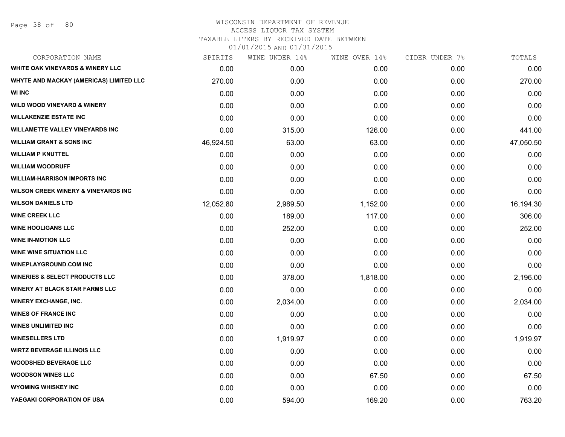# WISCONSIN DEPARTMENT OF REVENUE ACCESS LIQUOR TAX SYSTEM TAXABLE LITERS BY RECEIVED DATE BETWEEN

| CORPORATION NAME                               | SPIRITS   | WINE UNDER 14% | WINE OVER 14% | CIDER UNDER 7% | TOTALS    |
|------------------------------------------------|-----------|----------------|---------------|----------------|-----------|
| <b>WHITE OAK VINEYARDS &amp; WINERY LLC</b>    | 0.00      | 0.00           | 0.00          | 0.00           | 0.00      |
| WHYTE AND MACKAY (AMERICAS) LIMITED LLC        | 270.00    | 0.00           | 0.00          | 0.00           | 270.00    |
| <b>WI INC</b>                                  | 0.00      | 0.00           | 0.00          | 0.00           | 0.00      |
| <b>WILD WOOD VINEYARD &amp; WINERY</b>         | 0.00      | 0.00           | 0.00          | 0.00           | 0.00      |
| <b>WILLAKENZIE ESTATE INC</b>                  | 0.00      | 0.00           | 0.00          | 0.00           | 0.00      |
| <b>WILLAMETTE VALLEY VINEYARDS INC</b>         | 0.00      | 315.00         | 126.00        | 0.00           | 441.00    |
| <b>WILLIAM GRANT &amp; SONS INC</b>            | 46,924.50 | 63.00          | 63.00         | 0.00           | 47,050.50 |
| <b>WILLIAM P KNUTTEL</b>                       | 0.00      | 0.00           | 0.00          | 0.00           | 0.00      |
| <b>WILLIAM WOODRUFF</b>                        | 0.00      | 0.00           | 0.00          | 0.00           | 0.00      |
| <b>WILLIAM-HARRISON IMPORTS INC</b>            | 0.00      | 0.00           | 0.00          | 0.00           | 0.00      |
| <b>WILSON CREEK WINERY &amp; VINEYARDS INC</b> | 0.00      | 0.00           | 0.00          | 0.00           | 0.00      |
| <b>WILSON DANIELS LTD</b>                      | 12,052.80 | 2,989.50       | 1,152.00      | 0.00           | 16,194.30 |
| <b>WINE CREEK LLC</b>                          | 0.00      | 189.00         | 117.00        | 0.00           | 306.00    |
| <b>WINE HOOLIGANS LLC</b>                      | 0.00      | 252.00         | 0.00          | 0.00           | 252.00    |
| <b>WINE IN-MOTION LLC</b>                      | 0.00      | 0.00           | 0.00          | 0.00           | 0.00      |
| <b>WINE WINE SITUATION LLC</b>                 | 0.00      | 0.00           | 0.00          | 0.00           | 0.00      |
| <b>WINEPLAYGROUND.COM INC</b>                  | 0.00      | 0.00           | 0.00          | 0.00           | 0.00      |
| <b>WINERIES &amp; SELECT PRODUCTS LLC</b>      | 0.00      | 378.00         | 1,818.00      | 0.00           | 2,196.00  |
| <b>WINERY AT BLACK STAR FARMS LLC</b>          | 0.00      | 0.00           | 0.00          | 0.00           | 0.00      |
| <b>WINERY EXCHANGE, INC.</b>                   | 0.00      | 2,034.00       | 0.00          | 0.00           | 2,034.00  |
| <b>WINES OF FRANCE INC</b>                     | 0.00      | 0.00           | 0.00          | 0.00           | 0.00      |
| <b>WINES UNLIMITED INC</b>                     | 0.00      | 0.00           | 0.00          | 0.00           | 0.00      |
| <b>WINESELLERS LTD</b>                         | 0.00      | 1,919.97       | 0.00          | 0.00           | 1,919.97  |
| <b>WIRTZ BEVERAGE ILLINOIS LLC</b>             | 0.00      | 0.00           | 0.00          | 0.00           | 0.00      |
| <b>WOODSHED BEVERAGE LLC</b>                   | 0.00      | 0.00           | 0.00          | 0.00           | 0.00      |
| <b>WOODSON WINES LLC</b>                       | 0.00      | 0.00           | 67.50         | 0.00           | 67.50     |
| <b>WYOMING WHISKEY INC</b>                     | 0.00      | 0.00           | 0.00          | 0.00           | 0.00      |
| YAEGAKI CORPORATION OF USA                     | 0.00      | 594.00         | 169.20        | 0.00           | 763.20    |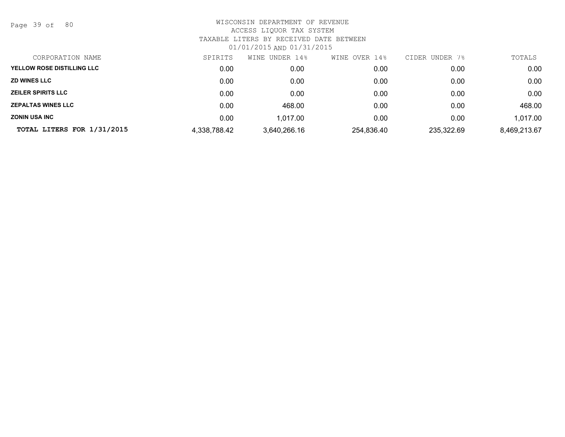Page 39 of 80

| CORPORATION NAME           | SPIRITS      | WINE UNDER 14% | WINE OVER 14% | CIDER UNDER<br>7% | TOTALS       |
|----------------------------|--------------|----------------|---------------|-------------------|--------------|
| YELLOW ROSE DISTILLING LLC | 0.00         | 0.00           | 0.00          | 0.00              | 0.00         |
| <b>ZD WINES LLC</b>        | 0.00         | 0.00           | 0.00          | 0.00              | 0.00         |
| <b>ZEILER SPIRITS LLC</b>  | 0.00         | 0.00           | 0.00          | 0.00              | 0.00         |
| <b>ZEPALTAS WINES LLC</b>  | 0.00         | 468.00         | 0.00          | 0.00              | 468.00       |
| <b>ZONIN USA INC</b>       | 0.00         | 1.017.00       | 0.00          | 0.00              | 1,017.00     |
| TOTAL LITERS FOR 1/31/2015 | 4,338,788.42 | 3,640,266.16   | 254,836.40    | 235,322.69        | 8,469,213.67 |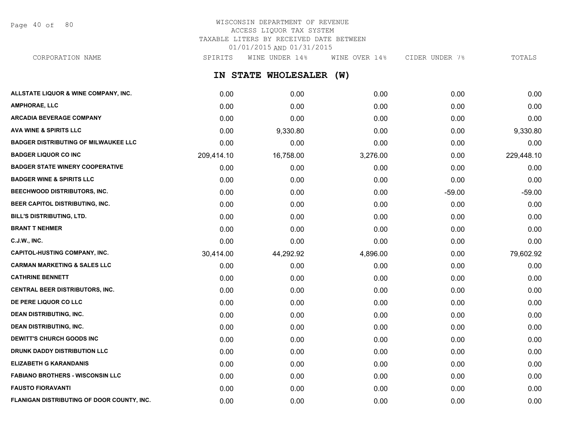Page 40 of 80

### WISCONSIN DEPARTMENT OF REVENUE ACCESS LIQUOR TAX SYSTEM TAXABLE LITERS BY RECEIVED DATE BETWEEN 01/01/2015 AND 01/31/2015 CORPORATION NAME SPIRITS WINE UNDER 14% WINE OVER 14% CIDER UNDER 7% TOTALS

**IN STATE WHOLESALER (W) ALLSTATE LIQUOR & WINE COMPANY, INC.** 0.00 0.00 0.00 0.00 0.00 **AMPHORAE, LLC** 0.00 0.00 0.00 0.00 0.00 **ARCADIA BEVERAGE COMPANY** 0.00 0.00 0.00 0.00 0.00 **AVA WINE & SPIRITS LLC** 0.00 9,330.80 0.00 0.00 9,330.80 **BADGER DISTRIBUTING OF MILWAUKEE LLC** 0.00 0.00 0.00 0.00 0.00 **BADGER LIQUOR CO INC** 209,414.10 16,758.00 3,276.00 0.00 229,448.10 **BADGER STATE WINERY COOPERATIVE** 0.00 0.00 0.00 0.00 0.00 **BADGER WINE & SPIRITS LLC** 0.00 0.00 0.00 0.00 0.00 **BEECHWOOD DISTRIBUTORS, INC.** 0.00 0.00 0.00 -59.00 -59.00 **BEER CAPITOL DISTRIBUTING, INC.** 0.00 0.00 0.00 0.00 0.00 **BILL'S DISTRIBUTING, LTD.** 0.00 0.00 0.00 0.00 0.00 **BRANT T NEHMER** 0.00 0.00 0.00 0.00 0.00 **C.J.W., INC.** 0.00 0.00 0.00 0.00 0.00 **CAPITOL-HUSTING COMPANY, INC.** 30,414.00 44,292.92 4,896.00 0.00 79,602.92 **CARMAN MARKETING & SALES LLC** 0.00 0.00 0.00 0.00 0.00 **CATHRINE BENNETT** 0.00 0.00 0.00 0.00 0.00 **CENTRAL BEER DISTRIBUTORS, INC.** 0.00 0.00 0.00 0.00 0.00 **DE PERE LIQUOR CO LLC DESCRIPTION ON COLLECT CONSUMING A LOCAL CONSUMING ON CONSUMING A LOCAL CONSUMING ON COO DEAN DISTRIBUTING, INC.** 0.00 0.00 0.00 0.00 0.00 **DEAN DISTRIBUTING, INC.** 0.00 0.00 0.00 0.00 0.00 **DEWITT'S CHURCH GOODS INC** 0.00 0.00 0.00 0.00 0.00 **DRUNK DADDY DISTRIBUTION LLC** 0.00 0.00 0.00 0.00 0.00 **ELIZABETH G KARANDANIS** 0.00 0.00 0.00 0.00 0.00

**FABIANO BROTHERS - WISCONSIN LLC** 0.00 0.00 0.00 0.00 0.00 **FAUSTO FIORAVANTI** 0.00 0.00 0.00 0.00 0.00 **FLANIGAN DISTRIBUTING OF DOOR COUNTY, INC.** 0.00 0.00 0.00 0.00 0.00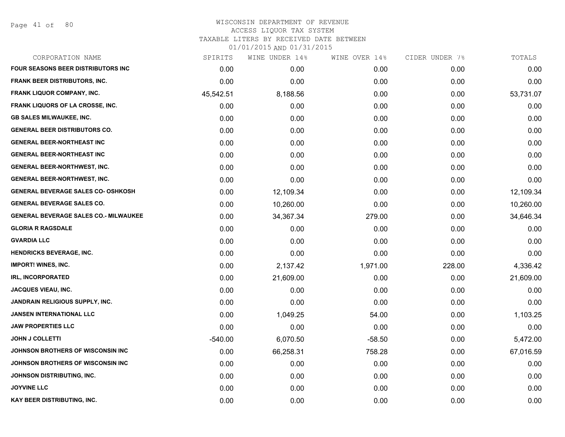Page 41 of 80

| CORPORATION NAME                             | SPIRITS   | WINE UNDER 14% | WINE OVER 14% | CIDER UNDER 7% | TOTALS    |
|----------------------------------------------|-----------|----------------|---------------|----------------|-----------|
| <b>FOUR SEASONS BEER DISTRIBUTORS INC</b>    | 0.00      | 0.00           | 0.00          | 0.00           | 0.00      |
| <b>FRANK BEER DISTRIBUTORS, INC.</b>         | 0.00      | 0.00           | 0.00          | 0.00           | 0.00      |
| FRANK LIQUOR COMPANY, INC.                   | 45,542.51 | 8,188.56       | 0.00          | 0.00           | 53,731.07 |
| <b>FRANK LIQUORS OF LA CROSSE, INC.</b>      | 0.00      | 0.00           | 0.00          | 0.00           | 0.00      |
| <b>GB SALES MILWAUKEE, INC.</b>              | 0.00      | 0.00           | 0.00          | 0.00           | 0.00      |
| <b>GENERAL BEER DISTRIBUTORS CO.</b>         | 0.00      | 0.00           | 0.00          | 0.00           | 0.00      |
| <b>GENERAL BEER-NORTHEAST INC</b>            | 0.00      | 0.00           | 0.00          | 0.00           | 0.00      |
| <b>GENERAL BEER-NORTHEAST INC</b>            | 0.00      | 0.00           | 0.00          | 0.00           | 0.00      |
| <b>GENERAL BEER-NORTHWEST, INC.</b>          | 0.00      | 0.00           | 0.00          | 0.00           | 0.00      |
| <b>GENERAL BEER-NORTHWEST, INC.</b>          | 0.00      | 0.00           | 0.00          | 0.00           | 0.00      |
| <b>GENERAL BEVERAGE SALES CO- OSHKOSH</b>    | 0.00      | 12,109.34      | 0.00          | 0.00           | 12,109.34 |
| <b>GENERAL BEVERAGE SALES CO.</b>            | 0.00      | 10,260.00      | 0.00          | 0.00           | 10,260.00 |
| <b>GENERAL BEVERAGE SALES CO.- MILWAUKEE</b> | 0.00      | 34,367.34      | 279.00        | 0.00           | 34,646.34 |
| <b>GLORIA R RAGSDALE</b>                     | 0.00      | 0.00           | 0.00          | 0.00           | 0.00      |
| <b>GVARDIA LLC</b>                           | 0.00      | 0.00           | 0.00          | 0.00           | 0.00      |
| <b>HENDRICKS BEVERAGE, INC.</b>              | 0.00      | 0.00           | 0.00          | 0.00           | 0.00      |
| <b>IMPORT! WINES, INC.</b>                   | 0.00      | 2,137.42       | 1,971.00      | 228.00         | 4,336.42  |
| <b>IRL, INCORPORATED</b>                     | 0.00      | 21,609.00      | 0.00          | 0.00           | 21,609.00 |
| <b>JACQUES VIEAU, INC.</b>                   | 0.00      | 0.00           | 0.00          | 0.00           | 0.00      |
| JANDRAIN RELIGIOUS SUPPLY, INC.              | 0.00      | 0.00           | 0.00          | 0.00           | 0.00      |
| <b>JANSEN INTERNATIONAL LLC</b>              | 0.00      | 1,049.25       | 54.00         | 0.00           | 1,103.25  |
| <b>JAW PROPERTIES LLC</b>                    | 0.00      | 0.00           | 0.00          | 0.00           | 0.00      |
| <b>JOHN J COLLETTI</b>                       | $-540.00$ | 6,070.50       | $-58.50$      | 0.00           | 5,472.00  |
| JOHNSON BROTHERS OF WISCONSIN INC            | 0.00      | 66,258.31      | 758.28        | 0.00           | 67,016.59 |
| JOHNSON BROTHERS OF WISCONSIN INC            | 0.00      | 0.00           | 0.00          | 0.00           | 0.00      |
| <b>JOHNSON DISTRIBUTING, INC.</b>            | 0.00      | 0.00           | 0.00          | 0.00           | 0.00      |
| <b>JOYVINE LLC</b>                           | 0.00      | 0.00           | 0.00          | 0.00           | 0.00      |
| KAY BEER DISTRIBUTING, INC.                  | 0.00      | 0.00           | 0.00          | 0.00           | 0.00      |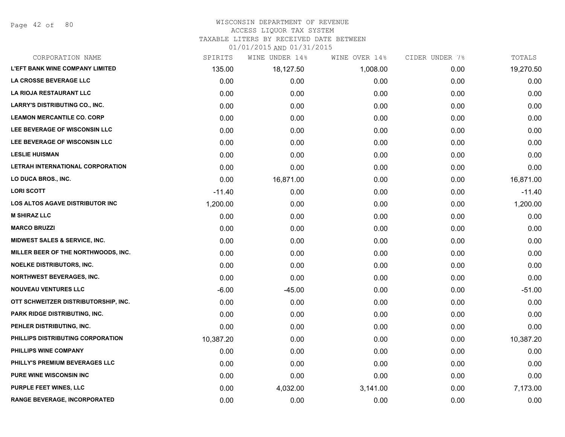Page 42 of 80

#### WISCONSIN DEPARTMENT OF REVENUE ACCESS LIQUOR TAX SYSTEM

TAXABLE LITERS BY RECEIVED DATE BETWEEN

| CORPORATION NAME                         | SPIRITS   | WINE UNDER 14% | WINE OVER 14% | CIDER UNDER 7% | TOTALS    |
|------------------------------------------|-----------|----------------|---------------|----------------|-----------|
| <b>L'EFT BANK WINE COMPANY LIMITED</b>   | 135.00    | 18,127.50      | 1,008.00      | 0.00           | 19,270.50 |
| LA CROSSE BEVERAGE LLC                   | 0.00      | 0.00           | 0.00          | 0.00           | 0.00      |
| LA RIOJA RESTAURANT LLC                  | 0.00      | 0.00           | 0.00          | 0.00           | 0.00      |
| <b>LARRY'S DISTRIBUTING CO., INC.</b>    | 0.00      | 0.00           | 0.00          | 0.00           | 0.00      |
| <b>LEAMON MERCANTILE CO. CORP</b>        | 0.00      | 0.00           | 0.00          | 0.00           | 0.00      |
| LEE BEVERAGE OF WISCONSIN LLC            | 0.00      | 0.00           | 0.00          | 0.00           | 0.00      |
| LEE BEVERAGE OF WISCONSIN LLC            | 0.00      | 0.00           | 0.00          | 0.00           | 0.00      |
| <b>LESLIE HUISMAN</b>                    | 0.00      | 0.00           | 0.00          | 0.00           | 0.00      |
| LETRAH INTERNATIONAL CORPORATION         | 0.00      | 0.00           | 0.00          | 0.00           | 0.00      |
| LO DUCA BROS., INC.                      | 0.00      | 16,871.00      | 0.00          | 0.00           | 16,871.00 |
| <b>LORI SCOTT</b>                        | $-11.40$  | 0.00           | 0.00          | 0.00           | $-11.40$  |
| LOS ALTOS AGAVE DISTRIBUTOR INC          | 1,200.00  | 0.00           | 0.00          | 0.00           | 1,200.00  |
| <b>M SHIRAZ LLC</b>                      | 0.00      | 0.00           | 0.00          | 0.00           | 0.00      |
| <b>MARCO BRUZZI</b>                      | 0.00      | 0.00           | 0.00          | 0.00           | 0.00      |
| <b>MIDWEST SALES &amp; SERVICE, INC.</b> | 0.00      | 0.00           | 0.00          | 0.00           | 0.00      |
| MILLER BEER OF THE NORTHWOODS, INC.      | 0.00      | 0.00           | 0.00          | 0.00           | 0.00      |
| <b>NOELKE DISTRIBUTORS, INC.</b>         | 0.00      | 0.00           | 0.00          | 0.00           | 0.00      |
| <b>NORTHWEST BEVERAGES, INC.</b>         | 0.00      | 0.00           | 0.00          | 0.00           | 0.00      |
| <b>NOUVEAU VENTURES LLC</b>              | $-6.00$   | $-45.00$       | 0.00          | 0.00           | $-51.00$  |
| OTT SCHWEITZER DISTRIBUTORSHIP, INC.     | 0.00      | 0.00           | 0.00          | 0.00           | 0.00      |
| PARK RIDGE DISTRIBUTING, INC.            | 0.00      | 0.00           | 0.00          | 0.00           | 0.00      |
| PEHLER DISTRIBUTING, INC.                | 0.00      | 0.00           | 0.00          | 0.00           | 0.00      |
| PHILLIPS DISTRIBUTING CORPORATION        | 10,387.20 | 0.00           | 0.00          | 0.00           | 10,387.20 |
| PHILLIPS WINE COMPANY                    | 0.00      | 0.00           | 0.00          | 0.00           | 0.00      |
| PHILLY'S PREMIUM BEVERAGES LLC           | 0.00      | 0.00           | 0.00          | 0.00           | 0.00      |
| PURE WINE WISCONSIN INC                  | 0.00      | 0.00           | 0.00          | 0.00           | 0.00      |
| <b>PURPLE FEET WINES, LLC</b>            | 0.00      | 4,032.00       | 3,141.00      | 0.00           | 7,173.00  |
| RANGE BEVERAGE, INCORPORATED             | 0.00      | 0.00           | 0.00          | 0.00           | 0.00      |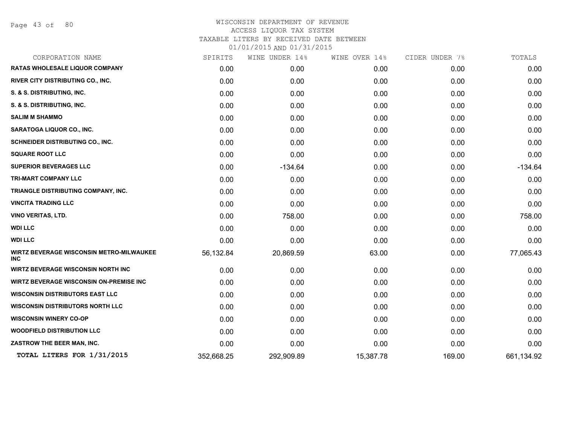Page 43 of 80

| SPIRITS    |            |                | CIDER UNDER 7% | TOTALS     |
|------------|------------|----------------|----------------|------------|
| 0.00       | 0.00       | 0.00           | 0.00           | 0.00       |
| 0.00       | 0.00       | 0.00           | 0.00           | 0.00       |
| 0.00       | 0.00       | 0.00           | 0.00           | 0.00       |
| 0.00       | 0.00       | 0.00           | 0.00           | 0.00       |
| 0.00       | 0.00       | 0.00           | 0.00           | 0.00       |
| 0.00       | 0.00       | 0.00           | 0.00           | 0.00       |
| 0.00       | 0.00       | 0.00           | 0.00           | 0.00       |
| 0.00       | 0.00       | 0.00           | 0.00           | 0.00       |
| 0.00       | $-134.64$  | 0.00           | 0.00           | $-134.64$  |
| 0.00       | 0.00       | 0.00           | 0.00           | 0.00       |
| 0.00       | 0.00       | 0.00           | 0.00           | 0.00       |
| 0.00       | 0.00       | 0.00           | 0.00           | 0.00       |
| 0.00       | 758.00     | 0.00           | 0.00           | 758.00     |
| 0.00       | 0.00       | 0.00           | 0.00           | 0.00       |
| 0.00       | 0.00       | 0.00           | 0.00           | 0.00       |
| 56,132.84  | 20,869.59  | 63.00          | 0.00           | 77,065.43  |
| 0.00       | 0.00       | 0.00           | 0.00           | 0.00       |
| 0.00       | 0.00       | 0.00           | 0.00           | 0.00       |
| 0.00       | 0.00       | 0.00           | 0.00           | 0.00       |
| 0.00       | 0.00       | 0.00           | 0.00           | 0.00       |
| 0.00       | 0.00       | 0.00           | 0.00           | 0.00       |
| 0.00       | 0.00       | 0.00           | 0.00           | 0.00       |
| 0.00       | 0.00       | 0.00           | 0.00           | 0.00       |
| 352,668.25 | 292,909.89 | 15,387.78      | 169.00         | 661,134.92 |
|            |            | WINE UNDER 14% | WINE OVER 14%  |            |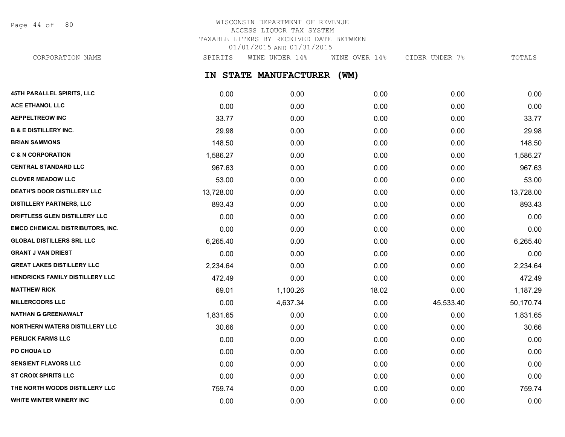Page 44 of 80

# WISCONSIN DEPARTMENT OF REVENUE ACCESS LIQUOR TAX SYSTEM TAXABLE LITERS BY RECEIVED DATE BETWEEN 01/01/2015 AND 01/31/2015

**IN STATE MANUFACTURER (WM)** CORPORATION NAME SPIRITS WINE UNDER 14% WINE OVER 14% CIDER UNDER 7% TOTALS

| 45TH PARALLEL SPIRITS, LLC              | 0.00      | 0.00     | 0.00  | 0.00      | 0.00      |
|-----------------------------------------|-----------|----------|-------|-----------|-----------|
| <b>ACE ETHANOL LLC</b>                  | 0.00      | 0.00     | 0.00  | 0.00      | 0.00      |
| <b>AEPPELTREOW INC</b>                  | 33.77     | 0.00     | 0.00  | 0.00      | 33.77     |
| <b>B &amp; E DISTILLERY INC.</b>        | 29.98     | 0.00     | 0.00  | 0.00      | 29.98     |
| <b>BRIAN SAMMONS</b>                    | 148.50    | 0.00     | 0.00  | 0.00      | 148.50    |
| <b>C &amp; N CORPORATION</b>            | 1,586.27  | 0.00     | 0.00  | 0.00      | 1,586.27  |
| <b>CENTRAL STANDARD LLC</b>             | 967.63    | 0.00     | 0.00  | 0.00      | 967.63    |
| <b>CLOVER MEADOW LLC</b>                | 53.00     | 0.00     | 0.00  | 0.00      | 53.00     |
| <b>DEATH'S DOOR DISTILLERY LLC</b>      | 13,728.00 | 0.00     | 0.00  | 0.00      | 13,728.00 |
| <b>DISTILLERY PARTNERS, LLC</b>         | 893.43    | 0.00     | 0.00  | 0.00      | 893.43    |
| DRIFTLESS GLEN DISTILLERY LLC           | 0.00      | 0.00     | 0.00  | 0.00      | 0.00      |
| <b>EMCO CHEMICAL DISTRIBUTORS, INC.</b> | 0.00      | 0.00     | 0.00  | 0.00      | 0.00      |
| <b>GLOBAL DISTILLERS SRL LLC</b>        | 6,265.40  | 0.00     | 0.00  | 0.00      | 6,265.40  |
| <b>GRANT J VAN DRIEST</b>               | 0.00      | 0.00     | 0.00  | 0.00      | 0.00      |
| <b>GREAT LAKES DISTILLERY LLC</b>       | 2,234.64  | 0.00     | 0.00  | 0.00      | 2,234.64  |
| HENDRICKS FAMILY DISTILLERY LLC         | 472.49    | 0.00     | 0.00  | 0.00      | 472.49    |
| <b>MATTHEW RICK</b>                     | 69.01     | 1,100.26 | 18.02 | 0.00      | 1,187.29  |
| <b>MILLERCOORS LLC</b>                  | 0.00      | 4,637.34 | 0.00  | 45,533.40 | 50,170.74 |
| <b>NATHAN G GREENAWALT</b>              | 1,831.65  | 0.00     | 0.00  | 0.00      | 1,831.65  |
| <b>NORTHERN WATERS DISTILLERY LLC</b>   | 30.66     | 0.00     | 0.00  | 0.00      | 30.66     |
| PERLICK FARMS LLC                       | 0.00      | 0.00     | 0.00  | 0.00      | 0.00      |
| PO CHOUA LO                             | 0.00      | 0.00     | 0.00  | 0.00      | 0.00      |
| <b>SENSIENT FLAVORS LLC</b>             | 0.00      | 0.00     | 0.00  | 0.00      | 0.00      |
| <b>ST CROIX SPIRITS LLC</b>             | 0.00      | 0.00     | 0.00  | 0.00      | 0.00      |
| THE NORTH WOODS DISTILLERY LLC          | 759.74    | 0.00     | 0.00  | 0.00      | 759.74    |
| WHITE WINTER WINERY INC                 | 0.00      | 0.00     | 0.00  | 0.00      | 0.00      |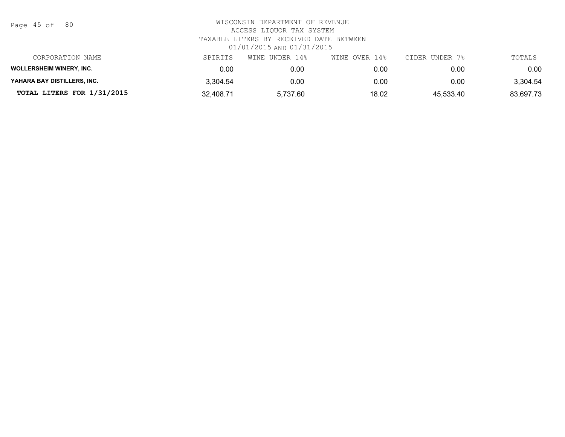Page 45 of 80

| CORPORATION NAME                | SPIRITS   | UNDER 14%<br>WINE | WINE OVER 14% | CIDER UNDER 7% | TOTALS    |
|---------------------------------|-----------|-------------------|---------------|----------------|-----------|
| <b>WOLLERSHEIM WINERY, INC.</b> | 0.00      | 0.00              | 0.00          | 0.00           | 0.00      |
| YAHARA BAY DISTILLERS, INC.     | 3.304.54  | 0.00              | 0.00          | 0.00           | 3.304.54  |
| TOTAL LITERS FOR 1/31/2015      | 32,408.71 | 5.737.60          | 18.02         | 45,533.40      | 83,697.73 |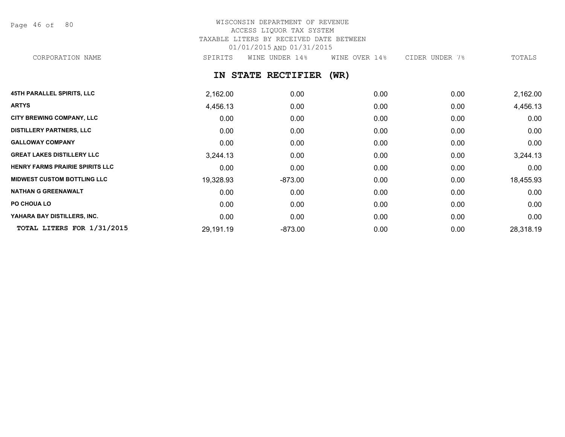Page 46 of 80

## WISCONSIN DEPARTMENT OF REVENUE ACCESS LIQUOR TAX SYSTEM TAXABLE LITERS BY RECEIVED DATE BETWEEN 01/01/2015 AND 01/31/2015 CORPORATION NAME SPIRITS WINE UNDER 14% WINE OVER 14% CIDER UNDER 7% TOTALS

### **IN STATE RECTIFIER (WR)**

| <b>45TH PARALLEL SPIRITS, LLC</b>      | 2,162.00  | 0.00      | 0.00 | 0.00 | 2,162.00  |
|----------------------------------------|-----------|-----------|------|------|-----------|
| <b>ARTYS</b>                           | 4,456.13  | 0.00      | 0.00 | 0.00 | 4,456.13  |
| CITY BREWING COMPANY, LLC              | 0.00      | 0.00      | 0.00 | 0.00 | 0.00      |
| <b>DISTILLERY PARTNERS, LLC</b>        | 0.00      | 0.00      | 0.00 | 0.00 | 0.00      |
| <b>GALLOWAY COMPANY</b>                | 0.00      | 0.00      | 0.00 | 0.00 | 0.00      |
| <b>GREAT LAKES DISTILLERY LLC</b>      | 3,244.13  | 0.00      | 0.00 | 0.00 | 3,244.13  |
| <b>HENRY FARMS PRAIRIE SPIRITS LLC</b> | 0.00      | 0.00      | 0.00 | 0.00 | 0.00      |
| <b>MIDWEST CUSTOM BOTTLING LLC</b>     | 19,328.93 | $-873.00$ | 0.00 | 0.00 | 18,455.93 |
| <b>NATHAN G GREENAWALT</b>             | 0.00      | 0.00      | 0.00 | 0.00 | 0.00      |
| PO CHOUA LO                            | 0.00      | 0.00      | 0.00 | 0.00 | 0.00      |
| YAHARA BAY DISTILLERS, INC.            | 0.00      | 0.00      | 0.00 | 0.00 | 0.00      |
| TOTAL LITERS FOR 1/31/2015             | 29,191.19 | $-873.00$ | 0.00 | 0.00 | 28,318.19 |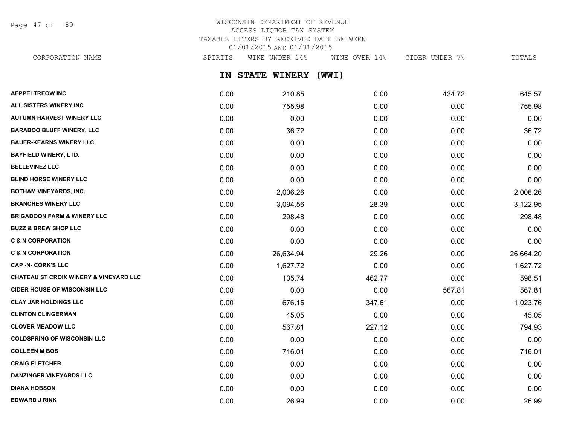Page 47 of 80

## WISCONSIN DEPARTMENT OF REVENUE ACCESS LIQUOR TAX SYSTEM TAXABLE LITERS BY RECEIVED DATE BETWEEN 01/01/2015 AND 01/31/2015 CORPORATION NAME SPIRITS WINE UNDER 14% WINE OVER 14% CIDER UNDER 7% TOTALS

**IN STATE WINERY (WWI)**

| <b>AEPPELTREOW INC</b>                 | 0.00 | 210.85    | 0.00   | 434.72 | 645.57    |
|----------------------------------------|------|-----------|--------|--------|-----------|
| ALL SISTERS WINERY INC                 | 0.00 | 755.98    | 0.00   | 0.00   | 755.98    |
| <b>AUTUMN HARVEST WINERY LLC</b>       | 0.00 | 0.00      | 0.00   | 0.00   | 0.00      |
| <b>BARABOO BLUFF WINERY, LLC</b>       | 0.00 | 36.72     | 0.00   | 0.00   | 36.72     |
| <b>BAUER-KEARNS WINERY LLC</b>         | 0.00 | 0.00      | 0.00   | 0.00   | 0.00      |
| <b>BAYFIELD WINERY, LTD.</b>           | 0.00 | 0.00      | 0.00   | 0.00   | 0.00      |
| <b>BELLEVINEZ LLC</b>                  | 0.00 | 0.00      | 0.00   | 0.00   | 0.00      |
| <b>BLIND HORSE WINERY LLC</b>          | 0.00 | 0.00      | 0.00   | 0.00   | 0.00      |
| <b>BOTHAM VINEYARDS, INC.</b>          | 0.00 | 2,006.26  | 0.00   | 0.00   | 2,006.26  |
| <b>BRANCHES WINERY LLC</b>             | 0.00 | 3,094.56  | 28.39  | 0.00   | 3,122.95  |
| <b>BRIGADOON FARM &amp; WINERY LLC</b> | 0.00 | 298.48    | 0.00   | 0.00   | 298.48    |
| <b>BUZZ &amp; BREW SHOP LLC</b>        | 0.00 | 0.00      | 0.00   | 0.00   | 0.00      |
| <b>C &amp; N CORPORATION</b>           | 0.00 | 0.00      | 0.00   | 0.00   | 0.00      |
| <b>C &amp; N CORPORATION</b>           | 0.00 | 26,634.94 | 29.26  | 0.00   | 26,664.20 |
| <b>CAP -N- CORK'S LLC</b>              | 0.00 | 1,627.72  | 0.00   | 0.00   | 1,627.72  |
| CHATEAU ST CROIX WINERY & VINEYARD LLC | 0.00 | 135.74    | 462.77 | 0.00   | 598.51    |
| <b>CIDER HOUSE OF WISCONSIN LLC</b>    | 0.00 | 0.00      | 0.00   | 567.81 | 567.81    |
| <b>CLAY JAR HOLDINGS LLC</b>           | 0.00 | 676.15    | 347.61 | 0.00   | 1,023.76  |
| <b>CLINTON CLINGERMAN</b>              | 0.00 | 45.05     | 0.00   | 0.00   | 45.05     |
| <b>CLOVER MEADOW LLC</b>               | 0.00 | 567.81    | 227.12 | 0.00   | 794.93    |
| <b>COLDSPRING OF WISCONSIN LLC</b>     | 0.00 | 0.00      | 0.00   | 0.00   | 0.00      |
| <b>COLLEEN M BOS</b>                   | 0.00 | 716.01    | 0.00   | 0.00   | 716.01    |
| <b>CRAIG FLETCHER</b>                  | 0.00 | 0.00      | 0.00   | 0.00   | 0.00      |
| <b>DANZINGER VINEYARDS LLC</b>         | 0.00 | 0.00      | 0.00   | 0.00   | 0.00      |
| <b>DIANA HOBSON</b>                    | 0.00 | 0.00      | 0.00   | 0.00   | 0.00      |
| <b>EDWARD J RINK</b>                   | 0.00 | 26.99     | 0.00   | 0.00   | 26.99     |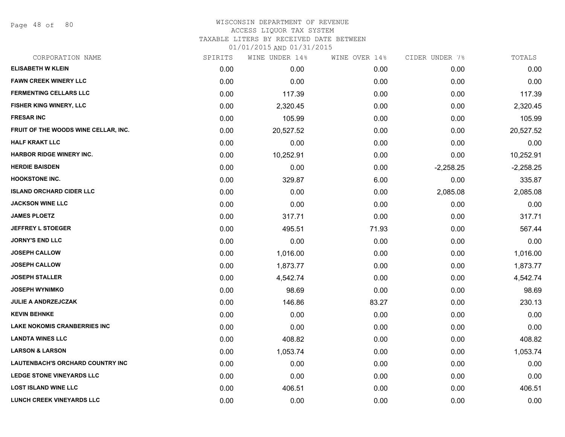Page 48 of 80

#### WISCONSIN DEPARTMENT OF REVENUE ACCESS LIQUOR TAX SYSTEM

TAXABLE LITERS BY RECEIVED DATE BETWEEN

| CORPORATION NAME                     | SPIRITS | WINE UNDER 14% | WINE OVER 14% | CIDER UNDER 7% | TOTALS      |
|--------------------------------------|---------|----------------|---------------|----------------|-------------|
| <b>ELISABETH W KLEIN</b>             | 0.00    | 0.00           | 0.00          | 0.00           | 0.00        |
| <b>FAWN CREEK WINERY LLC</b>         | 0.00    | 0.00           | 0.00          | 0.00           | 0.00        |
| <b>FERMENTING CELLARS LLC</b>        | 0.00    | 117.39         | 0.00          | 0.00           | 117.39      |
| FISHER KING WINERY, LLC              | 0.00    | 2,320.45       | 0.00          | 0.00           | 2,320.45    |
| <b>FRESAR INC</b>                    | 0.00    | 105.99         | 0.00          | 0.00           | 105.99      |
| FRUIT OF THE WOODS WINE CELLAR, INC. | 0.00    | 20,527.52      | 0.00          | 0.00           | 20,527.52   |
| <b>HALF KRAKT LLC</b>                | 0.00    | 0.00           | 0.00          | 0.00           | 0.00        |
| <b>HARBOR RIDGE WINERY INC.</b>      | 0.00    | 10,252.91      | 0.00          | 0.00           | 10,252.91   |
| <b>HERDIE BAISDEN</b>                | 0.00    | 0.00           | 0.00          | $-2,258.25$    | $-2,258.25$ |
| <b>HOOKSTONE INC.</b>                | 0.00    | 329.87         | 6.00          | 0.00           | 335.87      |
| <b>ISLAND ORCHARD CIDER LLC</b>      | 0.00    | 0.00           | 0.00          | 2,085.08       | 2,085.08    |
| <b>JACKSON WINE LLC</b>              | 0.00    | 0.00           | 0.00          | 0.00           | 0.00        |
| <b>JAMES PLOETZ</b>                  | 0.00    | 317.71         | 0.00          | 0.00           | 317.71      |
| <b>JEFFREY L STOEGER</b>             | 0.00    | 495.51         | 71.93         | 0.00           | 567.44      |
| <b>JORNY'S END LLC</b>               | 0.00    | 0.00           | 0.00          | 0.00           | 0.00        |
| <b>JOSEPH CALLOW</b>                 | 0.00    | 1,016.00       | 0.00          | 0.00           | 1,016.00    |
| <b>JOSEPH CALLOW</b>                 | 0.00    | 1,873.77       | 0.00          | 0.00           | 1,873.77    |
| <b>JOSEPH STALLER</b>                | 0.00    | 4,542.74       | 0.00          | 0.00           | 4,542.74    |
| <b>JOSEPH WYNIMKO</b>                | 0.00    | 98.69          | 0.00          | 0.00           | 98.69       |
| JULIE A ANDRZEJCZAK                  | 0.00    | 146.86         | 83.27         | 0.00           | 230.13      |
| <b>KEVIN BEHNKE</b>                  | 0.00    | 0.00           | 0.00          | 0.00           | 0.00        |
| <b>LAKE NOKOMIS CRANBERRIES INC</b>  | 0.00    | 0.00           | 0.00          | 0.00           | 0.00        |
| <b>LANDTA WINES LLC</b>              | 0.00    | 408.82         | 0.00          | 0.00           | 408.82      |
| <b>LARSON &amp; LARSON</b>           | 0.00    | 1,053.74       | 0.00          | 0.00           | 1,053.74    |
| LAUTENBACH'S ORCHARD COUNTRY INC     | 0.00    | 0.00           | 0.00          | 0.00           | 0.00        |
| LEDGE STONE VINEYARDS LLC            | 0.00    | 0.00           | 0.00          | 0.00           | 0.00        |
| <b>LOST ISLAND WINE LLC</b>          | 0.00    | 406.51         | 0.00          | 0.00           | 406.51      |
| <b>LUNCH CREEK VINEYARDS LLC</b>     | 0.00    | 0.00           | 0.00          | 0.00           | 0.00        |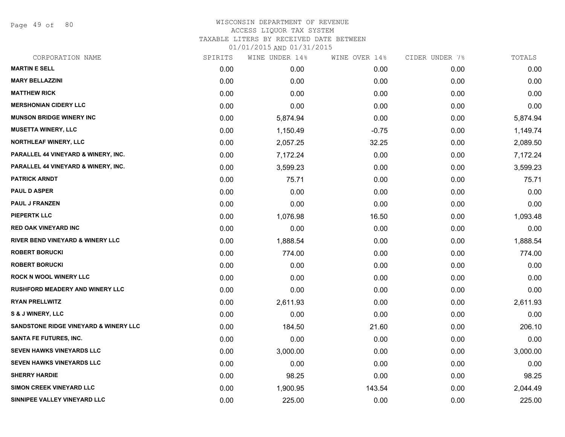Page 49 of 80

## WISCONSIN DEPARTMENT OF REVENUE ACCESS LIQUOR TAX SYSTEM TAXABLE LITERS BY RECEIVED DATE BETWEEN

| CORPORATION NAME                            | SPIRITS | WINE UNDER 14% | WINE OVER 14% | CIDER UNDER 7% | TOTALS   |
|---------------------------------------------|---------|----------------|---------------|----------------|----------|
| <b>MARTIN E SELL</b>                        | 0.00    | 0.00           | 0.00          | 0.00           | 0.00     |
| <b>MARY BELLAZZINI</b>                      | 0.00    | 0.00           | 0.00          | 0.00           | 0.00     |
| <b>MATTHEW RICK</b>                         | 0.00    | 0.00           | 0.00          | 0.00           | 0.00     |
| <b>MERSHONIAN CIDERY LLC</b>                | 0.00    | 0.00           | 0.00          | 0.00           | 0.00     |
| <b>MUNSON BRIDGE WINERY INC</b>             | 0.00    | 5,874.94       | 0.00          | 0.00           | 5,874.94 |
| <b>MUSETTA WINERY, LLC</b>                  | 0.00    | 1,150.49       | $-0.75$       | 0.00           | 1,149.74 |
| <b>NORTHLEAF WINERY, LLC</b>                | 0.00    | 2,057.25       | 32.25         | 0.00           | 2,089.50 |
| PARALLEL 44 VINEYARD & WINERY, INC.         | 0.00    | 7,172.24       | 0.00          | 0.00           | 7,172.24 |
| PARALLEL 44 VINEYARD & WINERY, INC.         | 0.00    | 3,599.23       | 0.00          | 0.00           | 3,599.23 |
| <b>PATRICK ARNDT</b>                        | 0.00    | 75.71          | 0.00          | 0.00           | 75.71    |
| <b>PAUL D ASPER</b>                         | 0.00    | 0.00           | 0.00          | 0.00           | 0.00     |
| <b>PAUL J FRANZEN</b>                       | 0.00    | 0.00           | 0.00          | 0.00           | 0.00     |
| <b>PIEPERTK LLC</b>                         | 0.00    | 1,076.98       | 16.50         | 0.00           | 1,093.48 |
| <b>RED OAK VINEYARD INC</b>                 | 0.00    | 0.00           | 0.00          | 0.00           | 0.00     |
| <b>RIVER BEND VINEYARD &amp; WINERY LLC</b> | 0.00    | 1,888.54       | 0.00          | 0.00           | 1,888.54 |
| <b>ROBERT BORUCKI</b>                       | 0.00    | 774.00         | 0.00          | 0.00           | 774.00   |
| <b>ROBERT BORUCKI</b>                       | 0.00    | 0.00           | 0.00          | 0.00           | 0.00     |
| <b>ROCK N WOOL WINERY LLC</b>               | 0.00    | 0.00           | 0.00          | 0.00           | 0.00     |
| <b>RUSHFORD MEADERY AND WINERY LLC</b>      | 0.00    | 0.00           | 0.00          | 0.00           | 0.00     |
| <b>RYAN PRELLWITZ</b>                       | 0.00    | 2,611.93       | 0.00          | 0.00           | 2,611.93 |
| <b>S &amp; J WINERY, LLC</b>                | 0.00    | 0.00           | 0.00          | 0.00           | 0.00     |
| SANDSTONE RIDGE VINEYARD & WINERY LLC       | 0.00    | 184.50         | 21.60         | 0.00           | 206.10   |
| <b>SANTA FE FUTURES, INC.</b>               | 0.00    | 0.00           | 0.00          | 0.00           | 0.00     |
| SEVEN HAWKS VINEYARDS LLC                   | 0.00    | 3,000.00       | 0.00          | 0.00           | 3,000.00 |
| <b>SEVEN HAWKS VINEYARDS LLC</b>            | 0.00    | 0.00           | 0.00          | 0.00           | 0.00     |
| <b>SHERRY HARDIE</b>                        | 0.00    | 98.25          | 0.00          | 0.00           | 98.25    |
| <b>SIMON CREEK VINEYARD LLC</b>             | 0.00    | 1,900.95       | 143.54        | 0.00           | 2,044.49 |
| SINNIPEE VALLEY VINEYARD LLC                | 0.00    | 225.00         | 0.00          | 0.00           | 225.00   |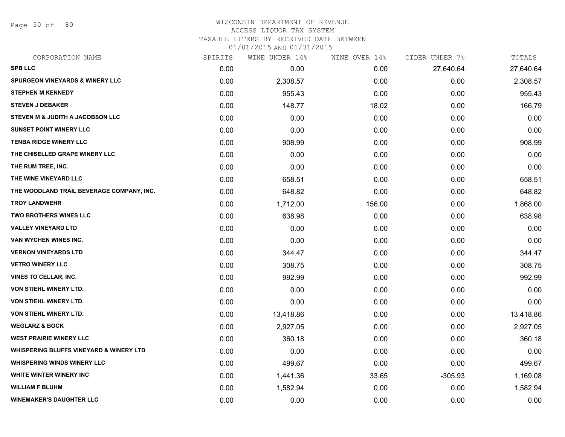Page 50 of 80

#### WISCONSIN DEPARTMENT OF REVENUE ACCESS LIQUOR TAX SYSTEM TAXABLE LITERS BY RECEIVED DATE BETWEEN

| CORPORATION NAME                                   | SPIRITS | WINE UNDER 14% | WINE OVER 14% | CIDER UNDER 7% | TOTALS    |
|----------------------------------------------------|---------|----------------|---------------|----------------|-----------|
| <b>SPB LLC</b>                                     | 0.00    | 0.00           | 0.00          | 27,640.64      | 27,640.64 |
| <b>SPURGEON VINEYARDS &amp; WINERY LLC</b>         | 0.00    | 2,308.57       | 0.00          | 0.00           | 2,308.57  |
| <b>STEPHEN M KENNEDY</b>                           | 0.00    | 955.43         | 0.00          | 0.00           | 955.43    |
| <b>STEVEN J DEBAKER</b>                            | 0.00    | 148.77         | 18.02         | 0.00           | 166.79    |
| STEVEN M & JUDITH A JACOBSON LLC                   | 0.00    | 0.00           | 0.00          | 0.00           | 0.00      |
| <b>SUNSET POINT WINERY LLC</b>                     | 0.00    | 0.00           | 0.00          | 0.00           | 0.00      |
| <b>TENBA RIDGE WINERY LLC</b>                      | 0.00    | 908.99         | 0.00          | 0.00           | 908.99    |
| THE CHISELLED GRAPE WINERY LLC                     | 0.00    | 0.00           | 0.00          | 0.00           | 0.00      |
| THE RUM TREE, INC.                                 | 0.00    | 0.00           | 0.00          | 0.00           | 0.00      |
| THE WINE VINEYARD LLC                              | 0.00    | 658.51         | 0.00          | 0.00           | 658.51    |
| THE WOODLAND TRAIL BEVERAGE COMPANY, INC.          | 0.00    | 648.82         | 0.00          | 0.00           | 648.82    |
| <b>TROY LANDWEHR</b>                               | 0.00    | 1,712.00       | 156.00        | 0.00           | 1,868.00  |
| <b>TWO BROTHERS WINES LLC</b>                      | 0.00    | 638.98         | 0.00          | 0.00           | 638.98    |
| <b>VALLEY VINEYARD LTD</b>                         | 0.00    | 0.00           | 0.00          | 0.00           | 0.00      |
| VAN WYCHEN WINES INC.                              | 0.00    | 0.00           | 0.00          | 0.00           | 0.00      |
| <b>VERNON VINEYARDS LTD</b>                        | 0.00    | 344.47         | 0.00          | 0.00           | 344.47    |
| <b>VETRO WINERY LLC</b>                            | 0.00    | 308.75         | 0.00          | 0.00           | 308.75    |
| <b>VINES TO CELLAR, INC.</b>                       | 0.00    | 992.99         | 0.00          | 0.00           | 992.99    |
| <b>VON STIEHL WINERY LTD.</b>                      | 0.00    | 0.00           | 0.00          | 0.00           | 0.00      |
| <b>VON STIEHL WINERY LTD.</b>                      | 0.00    | 0.00           | 0.00          | 0.00           | 0.00      |
| VON STIEHL WINERY LTD.                             | 0.00    | 13,418.86      | 0.00          | 0.00           | 13,418.86 |
| <b>WEGLARZ &amp; BOCK</b>                          | 0.00    | 2,927.05       | 0.00          | 0.00           | 2,927.05  |
| <b>WEST PRAIRIE WINERY LLC</b>                     | 0.00    | 360.18         | 0.00          | 0.00           | 360.18    |
| <b>WHISPERING BLUFFS VINEYARD &amp; WINERY LTD</b> | 0.00    | 0.00           | 0.00          | 0.00           | 0.00      |
| <b>WHISPERING WINDS WINERY LLC</b>                 | 0.00    | 499.67         | 0.00          | 0.00           | 499.67    |
| WHITE WINTER WINERY INC                            | 0.00    | 1,441.36       | 33.65         | $-305.93$      | 1,169.08  |
| <b>WILLIAM F BLUHM</b>                             | 0.00    | 1,582.94       | 0.00          | 0.00           | 1,582.94  |
| <b>WINEMAKER'S DAUGHTER LLC</b>                    | 0.00    | 0.00           | 0.00          | 0.00           | 0.00      |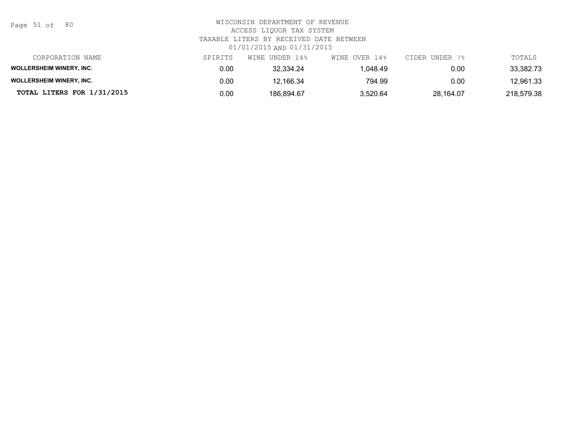Page 51 of 80

| CORPORATION NAME                | SPIRITS | WINE UNDER 14% | WINE OVER 14% | CIDER UNDER 7% | TOTALS     |
|---------------------------------|---------|----------------|---------------|----------------|------------|
| <b>WOLLERSHEIM WINERY, INC.</b> | 0.00    | 32.334.24      | 1.048.49      | 0.00           | 33,382.73  |
| <b>WOLLERSHEIM WINERY, INC.</b> | 0.00    | 12.166.34      | 794.99        | 0.00           | 12.961.33  |
| TOTAL LITERS FOR 1/31/2015      | 0.00    | 186.894.67     | 3,520.64      | 28.164.07      | 218,579.38 |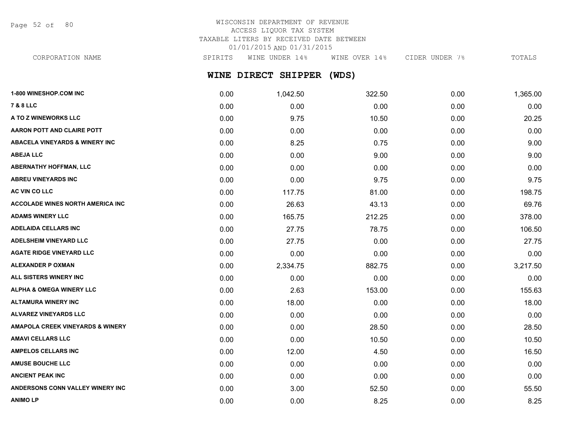Page 52 of 80

# WISCONSIN DEPARTMENT OF REVENUE ACCESS LIQUOR TAX SYSTEM TAXABLE LITERS BY RECEIVED DATE BETWEEN 01/01/2015 AND 01/31/2015

CORPORATION NAME SPIRITS WINE UNDER 14% WINE OVER 14% CIDER UNDER 7% TOTALS

# **WINE DIRECT SHIPPER (WDS)**

| 1-800 WINESHOP.COM INC                    | 0.00 | 1,042.50 | 322.50 | 0.00 | 1,365.00 |
|-------------------------------------------|------|----------|--------|------|----------|
| <b>7 &amp; 8 LLC</b>                      | 0.00 | 0.00     | 0.00   | 0.00 | 0.00     |
| A TO Z WINEWORKS LLC                      | 0.00 | 9.75     | 10.50  | 0.00 | 20.25    |
| AARON POTT AND CLAIRE POTT                | 0.00 | 0.00     | 0.00   | 0.00 | 0.00     |
| <b>ABACELA VINEYARDS &amp; WINERY INC</b> | 0.00 | 8.25     | 0.75   | 0.00 | 9.00     |
| <b>ABEJA LLC</b>                          | 0.00 | 0.00     | 9.00   | 0.00 | 9.00     |
| <b>ABERNATHY HOFFMAN, LLC</b>             | 0.00 | 0.00     | 0.00   | 0.00 | 0.00     |
| <b>ABREU VINEYARDS INC</b>                | 0.00 | 0.00     | 9.75   | 0.00 | 9.75     |
| AC VIN CO LLC                             | 0.00 | 117.75   | 81.00  | 0.00 | 198.75   |
| <b>ACCOLADE WINES NORTH AMERICA INC</b>   | 0.00 | 26.63    | 43.13  | 0.00 | 69.76    |
| <b>ADAMS WINERY LLC</b>                   | 0.00 | 165.75   | 212.25 | 0.00 | 378.00   |
| <b>ADELAIDA CELLARS INC</b>               | 0.00 | 27.75    | 78.75  | 0.00 | 106.50   |
| <b>ADELSHEIM VINEYARD LLC</b>             | 0.00 | 27.75    | 0.00   | 0.00 | 27.75    |
| <b>AGATE RIDGE VINEYARD LLC</b>           | 0.00 | 0.00     | 0.00   | 0.00 | 0.00     |
| <b>ALEXANDER P OXMAN</b>                  | 0.00 | 2,334.75 | 882.75 | 0.00 | 3,217.50 |
| ALL SISTERS WINERY INC                    | 0.00 | 0.00     | 0.00   | 0.00 | 0.00     |
| <b>ALPHA &amp; OMEGA WINERY LLC</b>       | 0.00 | 2.63     | 153.00 | 0.00 | 155.63   |
| <b>ALTAMURA WINERY INC</b>                | 0.00 | 18.00    | 0.00   | 0.00 | 18.00    |
| <b>ALVAREZ VINEYARDS LLC</b>              | 0.00 | 0.00     | 0.00   | 0.00 | 0.00     |
| AMAPOLA CREEK VINEYARDS & WINERY          | 0.00 | 0.00     | 28.50  | 0.00 | 28.50    |
| <b>AMAVI CELLARS LLC</b>                  | 0.00 | 0.00     | 10.50  | 0.00 | 10.50    |
| <b>AMPELOS CELLARS INC</b>                | 0.00 | 12.00    | 4.50   | 0.00 | 16.50    |
| <b>AMUSE BOUCHE LLC</b>                   | 0.00 | 0.00     | 0.00   | 0.00 | 0.00     |
| <b>ANCIENT PEAK INC</b>                   | 0.00 | 0.00     | 0.00   | 0.00 | 0.00     |
| ANDERSONS CONN VALLEY WINERY INC          | 0.00 | 3.00     | 52.50  | 0.00 | 55.50    |
| <b>ANIMOLP</b>                            | 0.00 | 0.00     | 8.25   | 0.00 | 8.25     |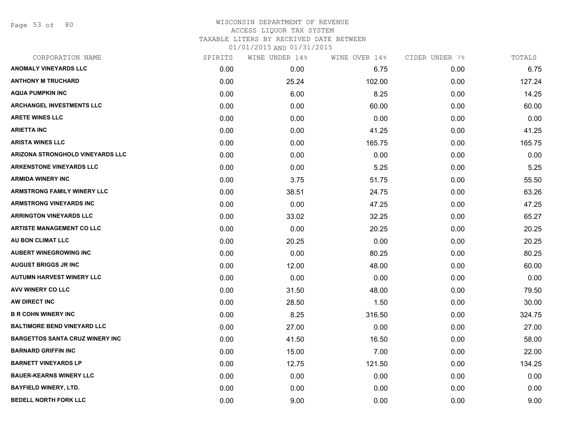Page 53 of 80

# WISCONSIN DEPARTMENT OF REVENUE ACCESS LIQUOR TAX SYSTEM TAXABLE LITERS BY RECEIVED DATE BETWEEN

| CORPORATION NAME                        | SPIRITS | WINE UNDER 14% | WINE OVER 14% | CIDER UNDER 7% | TOTALS |
|-----------------------------------------|---------|----------------|---------------|----------------|--------|
| <b>ANOMALY VINEYARDS LLC</b>            | 0.00    | 0.00           | 6.75          | 0.00           | 6.75   |
| <b>ANTHONY M TRUCHARD</b>               | 0.00    | 25.24          | 102.00        | 0.00           | 127.24 |
| <b>AQUA PUMPKIN INC</b>                 | 0.00    | 6.00           | 8.25          | 0.00           | 14.25  |
| <b>ARCHANGEL INVESTMENTS LLC</b>        | 0.00    | 0.00           | 60.00         | 0.00           | 60.00  |
| <b>ARETE WINES LLC</b>                  | 0.00    | 0.00           | 0.00          | 0.00           | 0.00   |
| <b>ARIETTA INC</b>                      | 0.00    | 0.00           | 41.25         | 0.00           | 41.25  |
| <b>ARISTA WINES LLC</b>                 | 0.00    | 0.00           | 165.75        | 0.00           | 165.75 |
| <b>ARIZONA STRONGHOLD VINEYARDS LLC</b> | 0.00    | 0.00           | 0.00          | 0.00           | 0.00   |
| <b>ARKENSTONE VINEYARDS LLC</b>         | 0.00    | 0.00           | 5.25          | 0.00           | 5.25   |
| <b>ARMIDA WINERY INC</b>                | 0.00    | 3.75           | 51.75         | 0.00           | 55.50  |
| <b>ARMSTRONG FAMILY WINERY LLC</b>      | 0.00    | 38.51          | 24.75         | 0.00           | 63.26  |
| <b>ARMSTRONG VINEYARDS INC</b>          | 0.00    | 0.00           | 47.25         | 0.00           | 47.25  |
| <b>ARRINGTON VINEYARDS LLC</b>          | 0.00    | 33.02          | 32.25         | 0.00           | 65.27  |
| <b>ARTISTE MANAGEMENT CO LLC</b>        | 0.00    | 0.00           | 20.25         | 0.00           | 20.25  |
| AU BON CLIMAT LLC                       | 0.00    | 20.25          | 0.00          | 0.00           | 20.25  |
| <b>AUBERT WINEGROWING INC</b>           | 0.00    | 0.00           | 80.25         | 0.00           | 80.25  |
| <b>AUGUST BRIGGS JR INC</b>             | 0.00    | 12.00          | 48.00         | 0.00           | 60.00  |
| <b>AUTUMN HARVEST WINERY LLC</b>        | 0.00    | 0.00           | 0.00          | 0.00           | 0.00   |
| AVV WINERY CO LLC                       | 0.00    | 31.50          | 48.00         | 0.00           | 79.50  |
| AW DIRECT INC                           | 0.00    | 28.50          | 1.50          | 0.00           | 30.00  |
| <b>B R COHN WINERY INC</b>              | 0.00    | 8.25           | 316.50        | 0.00           | 324.75 |
| <b>BALTIMORE BEND VINEYARD LLC</b>      | 0.00    | 27.00          | 0.00          | 0.00           | 27.00  |
| <b>BARGETTOS SANTA CRUZ WINERY INC</b>  | 0.00    | 41.50          | 16.50         | 0.00           | 58.00  |
| <b>BARNARD GRIFFIN INC</b>              | 0.00    | 15.00          | 7.00          | 0.00           | 22.00  |
| <b>BARNETT VINEYARDS LP</b>             | 0.00    | 12.75          | 121.50        | 0.00           | 134.25 |
| <b>BAUER-KEARNS WINERY LLC</b>          | 0.00    | 0.00           | 0.00          | 0.00           | 0.00   |
| <b>BAYFIELD WINERY, LTD.</b>            | 0.00    | 0.00           | 0.00          | 0.00           | 0.00   |
| <b>BEDELL NORTH FORK LLC</b>            | 0.00    | 9.00           | 0.00          | 0.00           | 9.00   |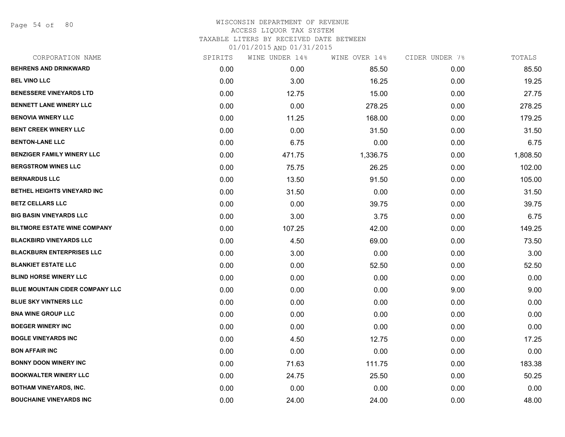Page 54 of 80

| CORPORATION NAME                    | SPIRITS | WINE UNDER 14% | WINE OVER 14% | CIDER UNDER 7% | TOTALS   |
|-------------------------------------|---------|----------------|---------------|----------------|----------|
| <b>BEHRENS AND DRINKWARD</b>        | 0.00    | 0.00           | 85.50         | 0.00           | 85.50    |
| <b>BEL VINO LLC</b>                 | 0.00    | 3.00           | 16.25         | 0.00           | 19.25    |
| <b>BENESSERE VINEYARDS LTD</b>      | 0.00    | 12.75          | 15.00         | 0.00           | 27.75    |
| <b>BENNETT LANE WINERY LLC</b>      | 0.00    | 0.00           | 278.25        | 0.00           | 278.25   |
| <b>BENOVIA WINERY LLC</b>           | 0.00    | 11.25          | 168.00        | 0.00           | 179.25   |
| <b>BENT CREEK WINERY LLC</b>        | 0.00    | 0.00           | 31.50         | 0.00           | 31.50    |
| <b>BENTON-LANE LLC</b>              | 0.00    | 6.75           | 0.00          | 0.00           | 6.75     |
| <b>BENZIGER FAMILY WINERY LLC</b>   | 0.00    | 471.75         | 1,336.75      | 0.00           | 1,808.50 |
| <b>BERGSTROM WINES LLC</b>          | 0.00    | 75.75          | 26.25         | 0.00           | 102.00   |
| <b>BERNARDUS LLC</b>                | 0.00    | 13.50          | 91.50         | 0.00           | 105.00   |
| BETHEL HEIGHTS VINEYARD INC         | 0.00    | 31.50          | 0.00          | 0.00           | 31.50    |
| <b>BETZ CELLARS LLC</b>             | 0.00    | 0.00           | 39.75         | 0.00           | 39.75    |
| <b>BIG BASIN VINEYARDS LLC</b>      | 0.00    | 3.00           | 3.75          | 0.00           | 6.75     |
| <b>BILTMORE ESTATE WINE COMPANY</b> | 0.00    | 107.25         | 42.00         | 0.00           | 149.25   |
| <b>BLACKBIRD VINEYARDS LLC</b>      | 0.00    | 4.50           | 69.00         | 0.00           | 73.50    |
| <b>BLACKBURN ENTERPRISES LLC</b>    | 0.00    | 3.00           | 0.00          | 0.00           | 3.00     |
| <b>BLANKIET ESTATE LLC</b>          | 0.00    | 0.00           | 52.50         | 0.00           | 52.50    |
| <b>BLIND HORSE WINERY LLC</b>       | 0.00    | 0.00           | 0.00          | 0.00           | 0.00     |
| BLUE MOUNTAIN CIDER COMPANY LLC     | 0.00    | 0.00           | 0.00          | 9.00           | 9.00     |
| <b>BLUE SKY VINTNERS LLC</b>        | 0.00    | 0.00           | 0.00          | 0.00           | 0.00     |
| <b>BNA WINE GROUP LLC</b>           | 0.00    | 0.00           | 0.00          | 0.00           | 0.00     |
| <b>BOEGER WINERY INC</b>            | 0.00    | 0.00           | 0.00          | 0.00           | 0.00     |
| <b>BOGLE VINEYARDS INC</b>          | 0.00    | 4.50           | 12.75         | 0.00           | 17.25    |
| <b>BON AFFAIR INC</b>               | 0.00    | 0.00           | 0.00          | 0.00           | 0.00     |
| <b>BONNY DOON WINERY INC</b>        | 0.00    | 71.63          | 111.75        | 0.00           | 183.38   |
| <b>BOOKWALTER WINERY LLC</b>        | 0.00    | 24.75          | 25.50         | 0.00           | 50.25    |
| <b>BOTHAM VINEYARDS, INC.</b>       | 0.00    | 0.00           | 0.00          | 0.00           | 0.00     |
| <b>BOUCHAINE VINEYARDS INC</b>      | 0.00    | 24.00          | 24.00         | 0.00           | 48.00    |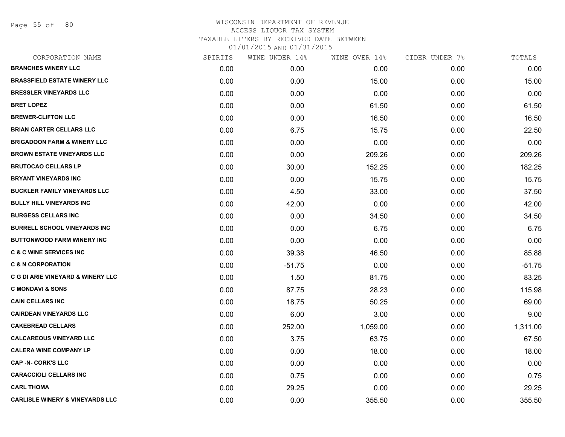Page 55 of 80

| CORPORATION NAME                             | SPIRITS | WINE UNDER 14% | WINE OVER 14% | CIDER UNDER 7% | TOTALS   |
|----------------------------------------------|---------|----------------|---------------|----------------|----------|
| <b>BRANCHES WINERY LLC</b>                   | 0.00    | 0.00           | 0.00          | 0.00           | 0.00     |
| <b>BRASSFIELD ESTATE WINERY LLC</b>          | 0.00    | 0.00           | 15.00         | 0.00           | 15.00    |
| <b>BRESSLER VINEYARDS LLC</b>                | 0.00    | 0.00           | 0.00          | 0.00           | 0.00     |
| <b>BRET LOPEZ</b>                            | 0.00    | 0.00           | 61.50         | 0.00           | 61.50    |
| <b>BREWER-CLIFTON LLC</b>                    | 0.00    | 0.00           | 16.50         | 0.00           | 16.50    |
| <b>BRIAN CARTER CELLARS LLC</b>              | 0.00    | 6.75           | 15.75         | 0.00           | 22.50    |
| <b>BRIGADOON FARM &amp; WINERY LLC</b>       | 0.00    | 0.00           | 0.00          | 0.00           | 0.00     |
| <b>BROWN ESTATE VINEYARDS LLC</b>            | 0.00    | 0.00           | 209.26        | 0.00           | 209.26   |
| <b>BRUTOCAO CELLARS LP</b>                   | 0.00    | 30.00          | 152.25        | 0.00           | 182.25   |
| <b>BRYANT VINEYARDS INC</b>                  | 0.00    | 0.00           | 15.75         | 0.00           | 15.75    |
| <b>BUCKLER FAMILY VINEYARDS LLC</b>          | 0.00    | 4.50           | 33.00         | 0.00           | 37.50    |
| <b>BULLY HILL VINEYARDS INC</b>              | 0.00    | 42.00          | 0.00          | 0.00           | 42.00    |
| <b>BURGESS CELLARS INC</b>                   | 0.00    | 0.00           | 34.50         | 0.00           | 34.50    |
| <b>BURRELL SCHOOL VINEYARDS INC</b>          | 0.00    | 0.00           | 6.75          | 0.00           | 6.75     |
| <b>BUTTONWOOD FARM WINERY INC</b>            | 0.00    | 0.00           | 0.00          | 0.00           | 0.00     |
| <b>C &amp; C WINE SERVICES INC</b>           | 0.00    | 39.38          | 46.50         | 0.00           | 85.88    |
| <b>C &amp; N CORPORATION</b>                 | 0.00    | $-51.75$       | 0.00          | 0.00           | $-51.75$ |
| <b>C G DI ARIE VINEYARD &amp; WINERY LLC</b> | 0.00    | 1.50           | 81.75         | 0.00           | 83.25    |
| <b>C MONDAVI &amp; SONS</b>                  | 0.00    | 87.75          | 28.23         | 0.00           | 115.98   |
| <b>CAIN CELLARS INC</b>                      | 0.00    | 18.75          | 50.25         | 0.00           | 69.00    |
| <b>CAIRDEAN VINEYARDS LLC</b>                | 0.00    | 6.00           | 3.00          | 0.00           | 9.00     |
| <b>CAKEBREAD CELLARS</b>                     | 0.00    | 252.00         | 1,059.00      | 0.00           | 1,311.00 |
| <b>CALCAREOUS VINEYARD LLC</b>               | 0.00    | 3.75           | 63.75         | 0.00           | 67.50    |
| <b>CALERA WINE COMPANY LP</b>                | 0.00    | 0.00           | 18.00         | 0.00           | 18.00    |
| <b>CAP -N- CORK'S LLC</b>                    | 0.00    | 0.00           | 0.00          | 0.00           | 0.00     |
| <b>CARACCIOLI CELLARS INC</b>                | 0.00    | 0.75           | 0.00          | 0.00           | 0.75     |
| <b>CARL THOMA</b>                            | 0.00    | 29.25          | 0.00          | 0.00           | 29.25    |
| <b>CARLISLE WINERY &amp; VINEYARDS LLC</b>   | 0.00    | 0.00           | 355.50        | 0.00           | 355.50   |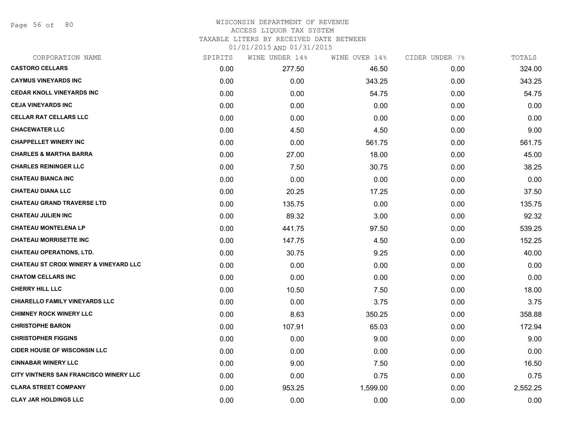Page 56 of 80

### WISCONSIN DEPARTMENT OF REVENUE ACCESS LIQUOR TAX SYSTEM TAXABLE LITERS BY RECEIVED DATE BETWEEN

| CORPORATION NAME                                  | SPIRITS | WINE UNDER 14% | WINE OVER 14% | CIDER UNDER 7% | TOTALS   |
|---------------------------------------------------|---------|----------------|---------------|----------------|----------|
| <b>CASTORO CELLARS</b>                            | 0.00    | 277.50         | 46.50         | 0.00           | 324.00   |
| <b>CAYMUS VINEYARDS INC</b>                       | 0.00    | 0.00           | 343.25        | 0.00           | 343.25   |
| <b>CEDAR KNOLL VINEYARDS INC</b>                  | 0.00    | 0.00           | 54.75         | 0.00           | 54.75    |
| <b>CEJA VINEYARDS INC</b>                         | 0.00    | 0.00           | 0.00          | 0.00           | 0.00     |
| <b>CELLAR RAT CELLARS LLC</b>                     | 0.00    | 0.00           | 0.00          | 0.00           | 0.00     |
| <b>CHACEWATER LLC</b>                             | 0.00    | 4.50           | 4.50          | 0.00           | 9.00     |
| <b>CHAPPELLET WINERY INC</b>                      | 0.00    | 0.00           | 561.75        | 0.00           | 561.75   |
| <b>CHARLES &amp; MARTHA BARRA</b>                 | 0.00    | 27.00          | 18.00         | 0.00           | 45.00    |
| <b>CHARLES REININGER LLC</b>                      | 0.00    | 7.50           | 30.75         | 0.00           | 38.25    |
| <b>CHATEAU BIANCA INC</b>                         | 0.00    | 0.00           | 0.00          | 0.00           | 0.00     |
| <b>CHATEAU DIANA LLC</b>                          | 0.00    | 20.25          | 17.25         | 0.00           | 37.50    |
| <b>CHATEAU GRAND TRAVERSE LTD</b>                 | 0.00    | 135.75         | 0.00          | 0.00           | 135.75   |
| <b>CHATEAU JULIEN INC</b>                         | 0.00    | 89.32          | 3.00          | 0.00           | 92.32    |
| <b>CHATEAU MONTELENA LP</b>                       | 0.00    | 441.75         | 97.50         | 0.00           | 539.25   |
| <b>CHATEAU MORRISETTE INC</b>                     | 0.00    | 147.75         | 4.50          | 0.00           | 152.25   |
| <b>CHATEAU OPERATIONS, LTD.</b>                   | 0.00    | 30.75          | 9.25          | 0.00           | 40.00    |
| <b>CHATEAU ST CROIX WINERY &amp; VINEYARD LLC</b> | 0.00    | 0.00           | 0.00          | 0.00           | 0.00     |
| <b>CHATOM CELLARS INC</b>                         | 0.00    | 0.00           | 0.00          | 0.00           | 0.00     |
| <b>CHERRY HILL LLC</b>                            | 0.00    | 10.50          | 7.50          | 0.00           | 18.00    |
| <b>CHIARELLO FAMILY VINEYARDS LLC</b>             | 0.00    | 0.00           | 3.75          | 0.00           | 3.75     |
| <b>CHIMNEY ROCK WINERY LLC</b>                    | 0.00    | 8.63           | 350.25        | 0.00           | 358.88   |
| <b>CHRISTOPHE BARON</b>                           | 0.00    | 107.91         | 65.03         | 0.00           | 172.94   |
| <b>CHRISTOPHER FIGGINS</b>                        | 0.00    | 0.00           | 9.00          | 0.00           | 9.00     |
| <b>CIDER HOUSE OF WISCONSIN LLC</b>               | 0.00    | 0.00           | 0.00          | 0.00           | 0.00     |
| <b>CINNABAR WINERY LLC</b>                        | 0.00    | 9.00           | 7.50          | 0.00           | 16.50    |
| CITY VINTNERS SAN FRANCISCO WINERY LLC            | 0.00    | 0.00           | 0.75          | 0.00           | 0.75     |
| <b>CLARA STREET COMPANY</b>                       | 0.00    | 953.25         | 1,599.00      | 0.00           | 2,552.25 |
| <b>CLAY JAR HOLDINGS LLC</b>                      | 0.00    | 0.00           | 0.00          | 0.00           | 0.00     |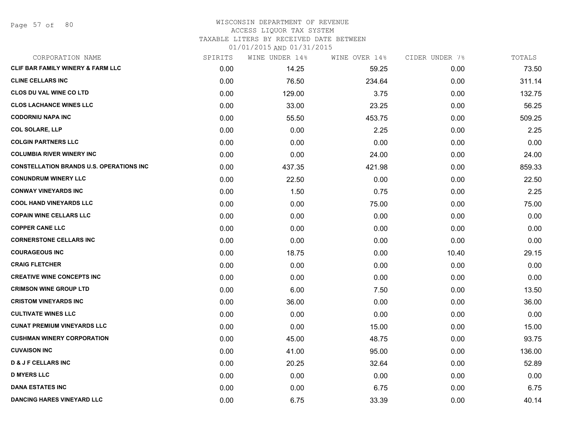Page 57 of 80

#### WISCONSIN DEPARTMENT OF REVENUE ACCESS LIQUOR TAX SYSTEM

TAXABLE LITERS BY RECEIVED DATE BETWEEN

| CORPORATION NAME                                | SPIRITS | WINE UNDER 14% | WINE OVER 14% | CIDER UNDER 7% | TOTALS |
|-------------------------------------------------|---------|----------------|---------------|----------------|--------|
| <b>CLIF BAR FAMILY WINERY &amp; FARM LLC</b>    | 0.00    | 14.25          | 59.25         | 0.00           | 73.50  |
| <b>CLINE CELLARS INC</b>                        | 0.00    | 76.50          | 234.64        | 0.00           | 311.14 |
| <b>CLOS DU VAL WINE CO LTD</b>                  | 0.00    | 129.00         | 3.75          | 0.00           | 132.75 |
| <b>CLOS LACHANCE WINES LLC</b>                  | 0.00    | 33.00          | 23.25         | 0.00           | 56.25  |
| <b>CODORNIU NAPA INC</b>                        | 0.00    | 55.50          | 453.75        | 0.00           | 509.25 |
| <b>COL SOLARE, LLP</b>                          | 0.00    | 0.00           | 2.25          | 0.00           | 2.25   |
| <b>COLGIN PARTNERS LLC</b>                      | 0.00    | 0.00           | 0.00          | 0.00           | 0.00   |
| <b>COLUMBIA RIVER WINERY INC</b>                | 0.00    | 0.00           | 24.00         | 0.00           | 24.00  |
| <b>CONSTELLATION BRANDS U.S. OPERATIONS INC</b> | 0.00    | 437.35         | 421.98        | 0.00           | 859.33 |
| <b>CONUNDRUM WINERY LLC</b>                     | 0.00    | 22.50          | 0.00          | 0.00           | 22.50  |
| <b>CONWAY VINEYARDS INC</b>                     | 0.00    | 1.50           | 0.75          | 0.00           | 2.25   |
| <b>COOL HAND VINEYARDS LLC</b>                  | 0.00    | 0.00           | 75.00         | 0.00           | 75.00  |
| <b>COPAIN WINE CELLARS LLC</b>                  | 0.00    | 0.00           | 0.00          | 0.00           | 0.00   |
| <b>COPPER CANE LLC</b>                          | 0.00    | 0.00           | 0.00          | 0.00           | 0.00   |
| <b>CORNERSTONE CELLARS INC</b>                  | 0.00    | 0.00           | 0.00          | 0.00           | 0.00   |
| <b>COURAGEOUS INC</b>                           | 0.00    | 18.75          | 0.00          | 10.40          | 29.15  |
| <b>CRAIG FLETCHER</b>                           | 0.00    | 0.00           | 0.00          | 0.00           | 0.00   |
| <b>CREATIVE WINE CONCEPTS INC</b>               | 0.00    | 0.00           | 0.00          | 0.00           | 0.00   |
| <b>CRIMSON WINE GROUP LTD</b>                   | 0.00    | 6.00           | 7.50          | 0.00           | 13.50  |
| <b>CRISTOM VINEYARDS INC</b>                    | 0.00    | 36.00          | 0.00          | 0.00           | 36.00  |
| <b>CULTIVATE WINES LLC</b>                      | 0.00    | 0.00           | 0.00          | 0.00           | 0.00   |
| <b>CUNAT PREMIUM VINEYARDS LLC</b>              | 0.00    | 0.00           | 15.00         | 0.00           | 15.00  |
| <b>CUSHMAN WINERY CORPORATION</b>               | 0.00    | 45.00          | 48.75         | 0.00           | 93.75  |
| <b>CUVAISON INC</b>                             | 0.00    | 41.00          | 95.00         | 0.00           | 136.00 |
| <b>D &amp; J F CELLARS INC</b>                  | 0.00    | 20.25          | 32.64         | 0.00           | 52.89  |
| <b>D MYERS LLC</b>                              | 0.00    | 0.00           | 0.00          | 0.00           | 0.00   |
| <b>DANA ESTATES INC</b>                         | 0.00    | 0.00           | 6.75          | 0.00           | 6.75   |
| <b>DANCING HARES VINEYARD LLC</b>               | 0.00    | 6.75           | 33.39         | 0.00           | 40.14  |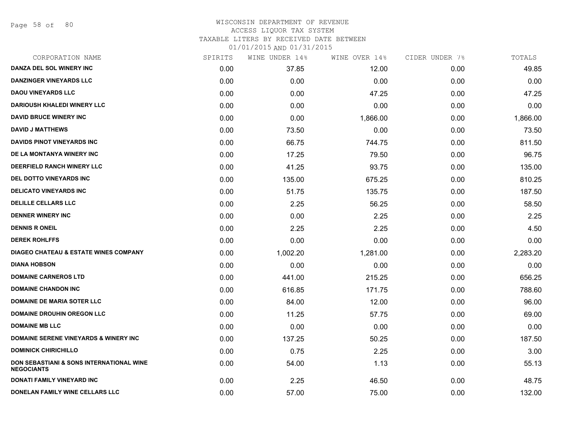Page 58 of 80

## WISCONSIN DEPARTMENT OF REVENUE ACCESS LIQUOR TAX SYSTEM TAXABLE LITERS BY RECEIVED DATE BETWEEN

| CORPORATION NAME                                              | SPIRITS | WINE UNDER 14% | WINE OVER 14% | CIDER UNDER 7% | TOTALS   |
|---------------------------------------------------------------|---------|----------------|---------------|----------------|----------|
| DANZA DEL SOL WINERY INC                                      | 0.00    | 37.85          | 12.00         | 0.00           | 49.85    |
| <b>DANZINGER VINEYARDS LLC</b>                                | 0.00    | 0.00           | 0.00          | 0.00           | 0.00     |
| <b>DAOU VINEYARDS LLC</b>                                     | 0.00    | 0.00           | 47.25         | 0.00           | 47.25    |
| DARIOUSH KHALEDI WINERY LLC                                   | 0.00    | 0.00           | 0.00          | 0.00           | 0.00     |
| <b>DAVID BRUCE WINERY INC</b>                                 | 0.00    | 0.00           | 1,866.00      | 0.00           | 1,866.00 |
| <b>DAVID J MATTHEWS</b>                                       | 0.00    | 73.50          | 0.00          | 0.00           | 73.50    |
| <b>DAVIDS PINOT VINEYARDS INC</b>                             | 0.00    | 66.75          | 744.75        | 0.00           | 811.50   |
| DE LA MONTANYA WINERY INC                                     | 0.00    | 17.25          | 79.50         | 0.00           | 96.75    |
| <b>DEERFIELD RANCH WINERY LLC</b>                             | 0.00    | 41.25          | 93.75         | 0.00           | 135.00   |
| <b>DEL DOTTO VINEYARDS INC</b>                                | 0.00    | 135.00         | 675.25        | 0.00           | 810.25   |
| <b>DELICATO VINEYARDS INC</b>                                 | 0.00    | 51.75          | 135.75        | 0.00           | 187.50   |
| <b>DELILLE CELLARS LLC</b>                                    | 0.00    | 2.25           | 56.25         | 0.00           | 58.50    |
| <b>DENNER WINERY INC</b>                                      | 0.00    | 0.00           | 2.25          | 0.00           | 2.25     |
| <b>DENNIS R ONEIL</b>                                         | 0.00    | 2.25           | 2.25          | 0.00           | 4.50     |
| <b>DEREK ROHLFFS</b>                                          | 0.00    | 0.00           | 0.00          | 0.00           | 0.00     |
| <b>DIAGEO CHATEAU &amp; ESTATE WINES COMPANY</b>              | 0.00    | 1,002.20       | 1,281.00      | 0.00           | 2,283.20 |
| <b>DIANA HOBSON</b>                                           | 0.00    | 0.00           | 0.00          | 0.00           | 0.00     |
| <b>DOMAINE CARNEROS LTD</b>                                   | 0.00    | 441.00         | 215.25        | 0.00           | 656.25   |
| <b>DOMAINE CHANDON INC</b>                                    | 0.00    | 616.85         | 171.75        | 0.00           | 788.60   |
| <b>DOMAINE DE MARIA SOTER LLC</b>                             | 0.00    | 84.00          | 12.00         | 0.00           | 96.00    |
| <b>DOMAINE DROUHIN OREGON LLC</b>                             | 0.00    | 11.25          | 57.75         | 0.00           | 69.00    |
| <b>DOMAINE MB LLC</b>                                         | 0.00    | 0.00           | 0.00          | 0.00           | 0.00     |
| <b>DOMAINE SERENE VINEYARDS &amp; WINERY INC</b>              | 0.00    | 137.25         | 50.25         | 0.00           | 187.50   |
| <b>DOMINICK CHIRICHILLO</b>                                   | 0.00    | 0.75           | 2.25          | 0.00           | 3.00     |
| DON SEBASTIANI & SONS INTERNATIONAL WINE<br><b>NEGOCIANTS</b> | 0.00    | 54.00          | 1.13          | 0.00           | 55.13    |
| DONATI FAMILY VINEYARD INC                                    | 0.00    | 2.25           | 46.50         | 0.00           | 48.75    |
| DONELAN FAMILY WINE CELLARS LLC                               | 0.00    | 57.00          | 75.00         | 0.00           | 132.00   |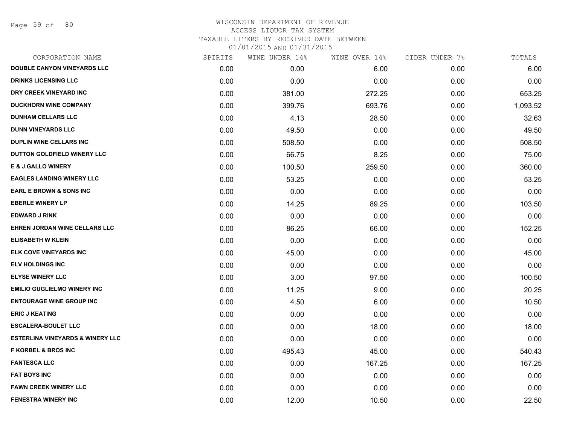Page 59 of 80

# WISCONSIN DEPARTMENT OF REVENUE ACCESS LIQUOR TAX SYSTEM TAXABLE LITERS BY RECEIVED DATE BETWEEN

| CORPORATION NAME                            | SPIRITS | WINE UNDER 14% | WINE OVER 14% | CIDER UNDER 7% | TOTALS   |
|---------------------------------------------|---------|----------------|---------------|----------------|----------|
| <b>DOUBLE CANYON VINEYARDS LLC</b>          | 0.00    | 0.00           | 6.00          | 0.00           | 6.00     |
| <b>DRINKS LICENSING LLC</b>                 | 0.00    | 0.00           | 0.00          | 0.00           | 0.00     |
| DRY CREEK VINEYARD INC                      | 0.00    | 381.00         | 272.25        | 0.00           | 653.25   |
| <b>DUCKHORN WINE COMPANY</b>                | 0.00    | 399.76         | 693.76        | 0.00           | 1,093.52 |
| <b>DUNHAM CELLARS LLC</b>                   | 0.00    | 4.13           | 28.50         | 0.00           | 32.63    |
| <b>DUNN VINEYARDS LLC</b>                   | 0.00    | 49.50          | 0.00          | 0.00           | 49.50    |
| <b>DUPLIN WINE CELLARS INC</b>              | 0.00    | 508.50         | 0.00          | 0.00           | 508.50   |
| DUTTON GOLDFIELD WINERY LLC                 | 0.00    | 66.75          | 8.25          | 0.00           | 75.00    |
| <b>E &amp; J GALLO WINERY</b>               | 0.00    | 100.50         | 259.50        | 0.00           | 360.00   |
| <b>EAGLES LANDING WINERY LLC</b>            | 0.00    | 53.25          | 0.00          | 0.00           | 53.25    |
| <b>EARL E BROWN &amp; SONS INC</b>          | 0.00    | 0.00           | 0.00          | 0.00           | 0.00     |
| <b>EBERLE WINERY LP</b>                     | 0.00    | 14.25          | 89.25         | 0.00           | 103.50   |
| <b>EDWARD J RINK</b>                        | 0.00    | 0.00           | 0.00          | 0.00           | 0.00     |
| EHREN JORDAN WINE CELLARS LLC               | 0.00    | 86.25          | 66.00         | 0.00           | 152.25   |
| <b>ELISABETH W KLEIN</b>                    | 0.00    | 0.00           | 0.00          | 0.00           | 0.00     |
| <b>ELK COVE VINEYARDS INC</b>               | 0.00    | 45.00          | 0.00          | 0.00           | 45.00    |
| <b>ELV HOLDINGS INC</b>                     | 0.00    | 0.00           | 0.00          | 0.00           | 0.00     |
| <b>ELYSE WINERY LLC</b>                     | 0.00    | 3.00           | 97.50         | 0.00           | 100.50   |
| <b>EMILIO GUGLIELMO WINERY INC</b>          | 0.00    | 11.25          | 9.00          | 0.00           | 20.25    |
| <b>ENTOURAGE WINE GROUP INC</b>             | 0.00    | 4.50           | 6.00          | 0.00           | 10.50    |
| <b>ERIC J KEATING</b>                       | 0.00    | 0.00           | 0.00          | 0.00           | 0.00     |
| <b>ESCALERA-BOULET LLC</b>                  | 0.00    | 0.00           | 18.00         | 0.00           | 18.00    |
| <b>ESTERLINA VINEYARDS &amp; WINERY LLC</b> | 0.00    | 0.00           | 0.00          | 0.00           | 0.00     |
| <b>F KORBEL &amp; BROS INC</b>              | 0.00    | 495.43         | 45.00         | 0.00           | 540.43   |
| <b>FANTESCA LLC</b>                         | 0.00    | 0.00           | 167.25        | 0.00           | 167.25   |
| <b>FAT BOYS INC</b>                         | 0.00    | 0.00           | 0.00          | 0.00           | 0.00     |
| <b>FAWN CREEK WINERY LLC</b>                | 0.00    | 0.00           | 0.00          | 0.00           | 0.00     |
| <b>FENESTRA WINERY INC</b>                  | 0.00    | 12.00          | 10.50         | 0.00           | 22.50    |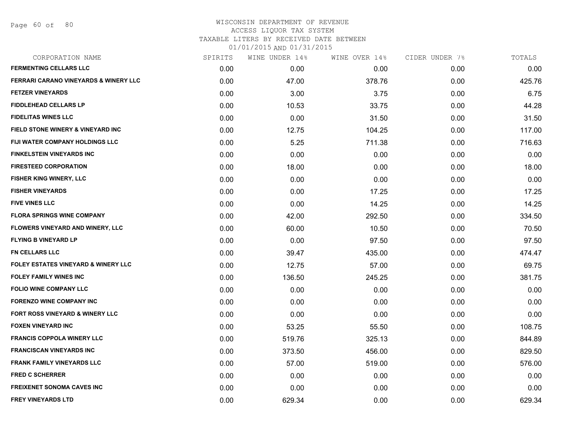Page 60 of 80

# WISCONSIN DEPARTMENT OF REVENUE ACCESS LIQUOR TAX SYSTEM TAXABLE LITERS BY RECEIVED DATE BETWEEN

| CORPORATION NAME                                 | SPIRITS | WINE UNDER 14% | WINE OVER 14% | CIDER UNDER 7% | TOTALS |
|--------------------------------------------------|---------|----------------|---------------|----------------|--------|
| <b>FERMENTING CELLARS LLC</b>                    | 0.00    | 0.00           | 0.00          | 0.00           | 0.00   |
| <b>FERRARI CARANO VINEYARDS &amp; WINERY LLC</b> | 0.00    | 47.00          | 378.76        | 0.00           | 425.76 |
| <b>FETZER VINEYARDS</b>                          | 0.00    | 3.00           | 3.75          | 0.00           | 6.75   |
| <b>FIDDLEHEAD CELLARS LP</b>                     | 0.00    | 10.53          | 33.75         | 0.00           | 44.28  |
| <b>FIDELITAS WINES LLC</b>                       | 0.00    | 0.00           | 31.50         | 0.00           | 31.50  |
| FIELD STONE WINERY & VINEYARD INC                | 0.00    | 12.75          | 104.25        | 0.00           | 117.00 |
| <b>FIJI WATER COMPANY HOLDINGS LLC</b>           | 0.00    | 5.25           | 711.38        | 0.00           | 716.63 |
| FINKELSTEIN VINEYARDS INC                        | 0.00    | 0.00           | 0.00          | 0.00           | 0.00   |
| <b>FIRESTEED CORPORATION</b>                     | 0.00    | 18.00          | 0.00          | 0.00           | 18.00  |
| <b>FISHER KING WINERY, LLC</b>                   | 0.00    | 0.00           | 0.00          | 0.00           | 0.00   |
| <b>FISHER VINEYARDS</b>                          | 0.00    | 0.00           | 17.25         | 0.00           | 17.25  |
| <b>FIVE VINES LLC</b>                            | 0.00    | 0.00           | 14.25         | 0.00           | 14.25  |
| <b>FLORA SPRINGS WINE COMPANY</b>                | 0.00    | 42.00          | 292.50        | 0.00           | 334.50 |
| <b>FLOWERS VINEYARD AND WINERY, LLC</b>          | 0.00    | 60.00          | 10.50         | 0.00           | 70.50  |
| <b>FLYING B VINEYARD LP</b>                      | 0.00    | 0.00           | 97.50         | 0.00           | 97.50  |
| <b>FN CELLARS LLC</b>                            | 0.00    | 39.47          | 435.00        | 0.00           | 474.47 |
| <b>FOLEY ESTATES VINEYARD &amp; WINERY LLC</b>   | 0.00    | 12.75          | 57.00         | 0.00           | 69.75  |
| <b>FOLEY FAMILY WINES INC</b>                    | 0.00    | 136.50         | 245.25        | 0.00           | 381.75 |
| <b>FOLIO WINE COMPANY LLC</b>                    | 0.00    | 0.00           | 0.00          | 0.00           | 0.00   |
| <b>FORENZO WINE COMPANY INC</b>                  | 0.00    | 0.00           | 0.00          | 0.00           | 0.00   |
| <b>FORT ROSS VINEYARD &amp; WINERY LLC</b>       | 0.00    | 0.00           | 0.00          | 0.00           | 0.00   |
| <b>FOXEN VINEYARD INC</b>                        | 0.00    | 53.25          | 55.50         | 0.00           | 108.75 |
| <b>FRANCIS COPPOLA WINERY LLC</b>                | 0.00    | 519.76         | 325.13        | 0.00           | 844.89 |
| <b>FRANCISCAN VINEYARDS INC</b>                  | 0.00    | 373.50         | 456.00        | 0.00           | 829.50 |
| <b>FRANK FAMILY VINEYARDS LLC</b>                | 0.00    | 57.00          | 519.00        | 0.00           | 576.00 |
| <b>FRED C SCHERRER</b>                           | 0.00    | 0.00           | 0.00          | 0.00           | 0.00   |
| <b>FREIXENET SONOMA CAVES INC</b>                | 0.00    | 0.00           | 0.00          | 0.00           | 0.00   |
| <b>FREY VINEYARDS LTD</b>                        | 0.00    | 629.34         | 0.00          | 0.00           | 629.34 |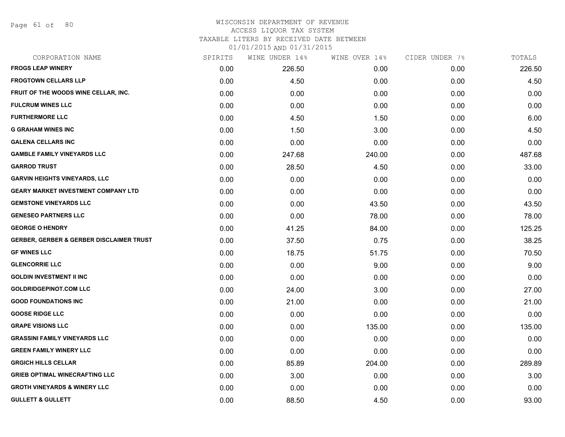Page 61 of 80

#### WISCONSIN DEPARTMENT OF REVENUE ACCESS LIQUOR TAX SYSTEM TAXABLE LITERS BY RECEIVED DATE BETWEEN

| CORPORATION NAME                                    | SPIRITS | WINE UNDER 14% | WINE OVER 14% | CIDER UNDER 7% | TOTALS |
|-----------------------------------------------------|---------|----------------|---------------|----------------|--------|
| <b>FROGS LEAP WINERY</b>                            | 0.00    | 226.50         | 0.00          | 0.00           | 226.50 |
| <b>FROGTOWN CELLARS LLP</b>                         | 0.00    | 4.50           | 0.00          | 0.00           | 4.50   |
| FRUIT OF THE WOODS WINE CELLAR, INC.                | 0.00    | 0.00           | 0.00          | 0.00           | 0.00   |
| <b>FULCRUM WINES LLC</b>                            | 0.00    | 0.00           | 0.00          | 0.00           | 0.00   |
| <b>FURTHERMORE LLC</b>                              | 0.00    | 4.50           | 1.50          | 0.00           | 6.00   |
| <b>G GRAHAM WINES INC</b>                           | 0.00    | 1.50           | 3.00          | 0.00           | 4.50   |
| <b>GALENA CELLARS INC</b>                           | 0.00    | 0.00           | 0.00          | 0.00           | 0.00   |
| <b>GAMBLE FAMILY VINEYARDS LLC</b>                  | 0.00    | 247.68         | 240.00        | 0.00           | 487.68 |
| <b>GARROD TRUST</b>                                 | 0.00    | 28.50          | 4.50          | 0.00           | 33.00  |
| <b>GARVIN HEIGHTS VINEYARDS, LLC</b>                | 0.00    | 0.00           | 0.00          | 0.00           | 0.00   |
| <b>GEARY MARKET INVESTMENT COMPANY LTD</b>          | 0.00    | 0.00           | 0.00          | 0.00           | 0.00   |
| <b>GEMSTONE VINEYARDS LLC</b>                       | 0.00    | 0.00           | 43.50         | 0.00           | 43.50  |
| <b>GENESEO PARTNERS LLC</b>                         | 0.00    | 0.00           | 78.00         | 0.00           | 78.00  |
| <b>GEORGE O HENDRY</b>                              | 0.00    | 41.25          | 84.00         | 0.00           | 125.25 |
| <b>GERBER, GERBER &amp; GERBER DISCLAIMER TRUST</b> | 0.00    | 37.50          | 0.75          | 0.00           | 38.25  |
| <b>GF WINES LLC</b>                                 | 0.00    | 18.75          | 51.75         | 0.00           | 70.50  |
| <b>GLENCORRIE LLC</b>                               | 0.00    | 0.00           | 9.00          | 0.00           | 9.00   |
| <b>GOLDIN INVESTMENT II INC</b>                     | 0.00    | 0.00           | 0.00          | 0.00           | 0.00   |
| <b>GOLDRIDGEPINOT.COM LLC</b>                       | 0.00    | 24.00          | 3.00          | 0.00           | 27.00  |
| <b>GOOD FOUNDATIONS INC</b>                         | 0.00    | 21.00          | 0.00          | 0.00           | 21.00  |
| <b>GOOSE RIDGE LLC</b>                              | 0.00    | 0.00           | 0.00          | 0.00           | 0.00   |
| <b>GRAPE VISIONS LLC</b>                            | 0.00    | 0.00           | 135.00        | 0.00           | 135.00 |
| <b>GRASSINI FAMILY VINEYARDS LLC</b>                | 0.00    | 0.00           | 0.00          | 0.00           | 0.00   |
| <b>GREEN FAMILY WINERY LLC</b>                      | 0.00    | 0.00           | 0.00          | 0.00           | 0.00   |
| <b>GRGICH HILLS CELLAR</b>                          | 0.00    | 85.89          | 204.00        | 0.00           | 289.89 |
| <b>GRIEB OPTIMAL WINECRAFTING LLC</b>               | 0.00    | 3.00           | 0.00          | 0.00           | 3.00   |
| <b>GROTH VINEYARDS &amp; WINERY LLC</b>             | 0.00    | 0.00           | 0.00          | 0.00           | 0.00   |
| <b>GULLETT &amp; GULLETT</b>                        | 0.00    | 88.50          | 4.50          | 0.00           | 93.00  |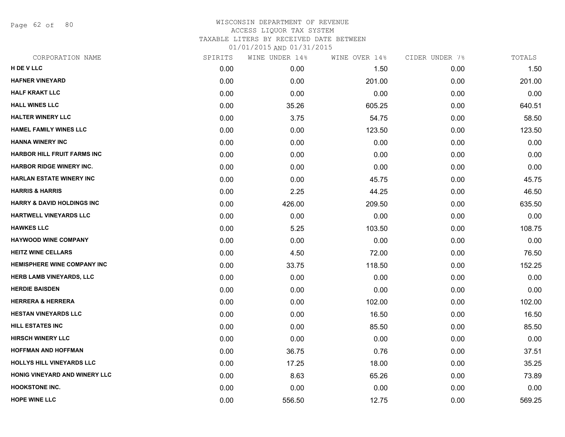Page 62 of 80

#### WISCONSIN DEPARTMENT OF REVENUE ACCESS LIQUOR TAX SYSTEM TAXABLE LITERS BY RECEIVED DATE BETWEEN

| AADID IIIRO DI REGEIVED DAIE DEIWE |  |  |  |
|------------------------------------|--|--|--|
| 01/01/2015 AND 01/31/2015          |  |  |  |

| CORPORATION NAME                      | SPIRITS | WINE UNDER 14% | WINE OVER 14% | CIDER UNDER 7% | TOTALS |
|---------------------------------------|---------|----------------|---------------|----------------|--------|
| H DE V LLC                            | 0.00    | 0.00           | 1.50          | 0.00           | 1.50   |
| <b>HAFNER VINEYARD</b>                | 0.00    | 0.00           | 201.00        | 0.00           | 201.00 |
| <b>HALF KRAKT LLC</b>                 | 0.00    | 0.00           | 0.00          | 0.00           | 0.00   |
| <b>HALL WINES LLC</b>                 | 0.00    | 35.26          | 605.25        | 0.00           | 640.51 |
| <b>HALTER WINERY LLC</b>              | 0.00    | 3.75           | 54.75         | 0.00           | 58.50  |
| <b>HAMEL FAMILY WINES LLC</b>         | 0.00    | 0.00           | 123.50        | 0.00           | 123.50 |
| <b>HANNA WINERY INC</b>               | 0.00    | 0.00           | 0.00          | 0.00           | 0.00   |
| <b>HARBOR HILL FRUIT FARMS INC</b>    | 0.00    | 0.00           | 0.00          | 0.00           | 0.00   |
| <b>HARBOR RIDGE WINERY INC.</b>       | 0.00    | 0.00           | 0.00          | 0.00           | 0.00   |
| <b>HARLAN ESTATE WINERY INC</b>       | 0.00    | 0.00           | 45.75         | 0.00           | 45.75  |
| <b>HARRIS &amp; HARRIS</b>            | 0.00    | 2.25           | 44.25         | 0.00           | 46.50  |
| <b>HARRY &amp; DAVID HOLDINGS INC</b> | 0.00    | 426.00         | 209.50        | 0.00           | 635.50 |
| HARTWELL VINEYARDS LLC                | 0.00    | 0.00           | 0.00          | 0.00           | 0.00   |
| <b>HAWKES LLC</b>                     | 0.00    | 5.25           | 103.50        | 0.00           | 108.75 |
| <b>HAYWOOD WINE COMPANY</b>           | 0.00    | 0.00           | 0.00          | 0.00           | 0.00   |
| <b>HEITZ WINE CELLARS</b>             | 0.00    | 4.50           | 72.00         | 0.00           | 76.50  |
| <b>HEMISPHERE WINE COMPANY INC</b>    | 0.00    | 33.75          | 118.50        | 0.00           | 152.25 |
| HERB LAMB VINEYARDS, LLC              | 0.00    | 0.00           | 0.00          | 0.00           | 0.00   |
| <b>HERDIE BAISDEN</b>                 | 0.00    | 0.00           | 0.00          | 0.00           | 0.00   |
| <b>HERRERA &amp; HERRERA</b>          | 0.00    | 0.00           | 102.00        | 0.00           | 102.00 |
| <b>HESTAN VINEYARDS LLC</b>           | 0.00    | 0.00           | 16.50         | 0.00           | 16.50  |
| <b>HILL ESTATES INC</b>               | 0.00    | 0.00           | 85.50         | 0.00           | 85.50  |
| <b>HIRSCH WINERY LLC</b>              | 0.00    | 0.00           | 0.00          | 0.00           | 0.00   |
| <b>HOFFMAN AND HOFFMAN</b>            | 0.00    | 36.75          | 0.76          | 0.00           | 37.51  |
| HOLLYS HILL VINEYARDS LLC             | 0.00    | 17.25          | 18.00         | 0.00           | 35.25  |
| HONIG VINEYARD AND WINERY LLC         | 0.00    | 8.63           | 65.26         | 0.00           | 73.89  |
| <b>HOOKSTONE INC.</b>                 | 0.00    | 0.00           | 0.00          | 0.00           | 0.00   |
| <b>HOPE WINE LLC</b>                  | 0.00    | 556.50         | 12.75         | 0.00           | 569.25 |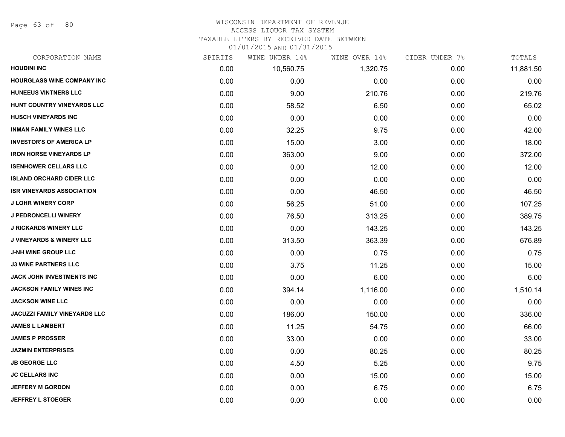Page 63 of 80

# WISCONSIN DEPARTMENT OF REVENUE

## ACCESS LIQUOR TAX SYSTEM

TAXABLE LITERS BY RECEIVED DATE BETWEEN

| CORPORATION NAME                    | SPIRITS | WINE UNDER 14% | WINE OVER 14% | CIDER UNDER 7% | TOTALS    |
|-------------------------------------|---------|----------------|---------------|----------------|-----------|
| <b>HOUDINI INC</b>                  | 0.00    | 10,560.75      | 1,320.75      | 0.00           | 11,881.50 |
| <b>HOURGLASS WINE COMPANY INC</b>   | 0.00    | 0.00           | 0.00          | 0.00           | 0.00      |
| <b>HUNEEUS VINTNERS LLC</b>         | 0.00    | 9.00           | 210.76        | 0.00           | 219.76    |
| HUNT COUNTRY VINEYARDS LLC          | 0.00    | 58.52          | 6.50          | 0.00           | 65.02     |
| <b>HUSCH VINEYARDS INC</b>          | 0.00    | 0.00           | 0.00          | 0.00           | 0.00      |
| <b>INMAN FAMILY WINES LLC</b>       | 0.00    | 32.25          | 9.75          | 0.00           | 42.00     |
| <b>INVESTOR'S OF AMERICA LP</b>     | 0.00    | 15.00          | 3.00          | 0.00           | 18.00     |
| <b>IRON HORSE VINEYARDS LP</b>      | 0.00    | 363.00         | 9.00          | 0.00           | 372.00    |
| <b>ISENHOWER CELLARS LLC</b>        | 0.00    | 0.00           | 12.00         | 0.00           | 12.00     |
| <b>ISLAND ORCHARD CIDER LLC</b>     | 0.00    | 0.00           | 0.00          | 0.00           | 0.00      |
| <b>ISR VINEYARDS ASSOCIATION</b>    | 0.00    | 0.00           | 46.50         | 0.00           | 46.50     |
| <b>J LOHR WINERY CORP</b>           | 0.00    | 56.25          | 51.00         | 0.00           | 107.25    |
| J PEDRONCELLI WINERY                | 0.00    | 76.50          | 313.25        | 0.00           | 389.75    |
| <b>J RICKARDS WINERY LLC</b>        | 0.00    | 0.00           | 143.25        | 0.00           | 143.25    |
| <b>J VINEYARDS &amp; WINERY LLC</b> | 0.00    | 313.50         | 363.39        | 0.00           | 676.89    |
| <b>J-NH WINE GROUP LLC</b>          | 0.00    | 0.00           | 0.75          | 0.00           | 0.75      |
| <b>J3 WINE PARTNERS LLC</b>         | 0.00    | 3.75           | 11.25         | 0.00           | 15.00     |
| <b>JACK JOHN INVESTMENTS INC</b>    | 0.00    | 0.00           | 6.00          | 0.00           | 6.00      |
| <b>JACKSON FAMILY WINES INC</b>     | 0.00    | 394.14         | 1,116.00      | 0.00           | 1,510.14  |
| <b>JACKSON WINE LLC</b>             | 0.00    | 0.00           | 0.00          | 0.00           | 0.00      |
| <b>JACUZZI FAMILY VINEYARDS LLC</b> | 0.00    | 186.00         | 150.00        | 0.00           | 336.00    |
| <b>JAMES L LAMBERT</b>              | 0.00    | 11.25          | 54.75         | 0.00           | 66.00     |
| <b>JAMES P PROSSER</b>              | 0.00    | 33.00          | 0.00          | 0.00           | 33.00     |
| <b>JAZMIN ENTERPRISES</b>           | 0.00    | 0.00           | 80.25         | 0.00           | 80.25     |
| <b>JB GEORGE LLC</b>                | 0.00    | 4.50           | 5.25          | 0.00           | 9.75      |
| <b>JC CELLARS INC</b>               | 0.00    | 0.00           | 15.00         | 0.00           | 15.00     |
| <b>JEFFERY M GORDON</b>             | 0.00    | 0.00           | 6.75          | 0.00           | 6.75      |
| <b>JEFFREY L STOEGER</b>            | 0.00    | 0.00           | 0.00          | 0.00           | 0.00      |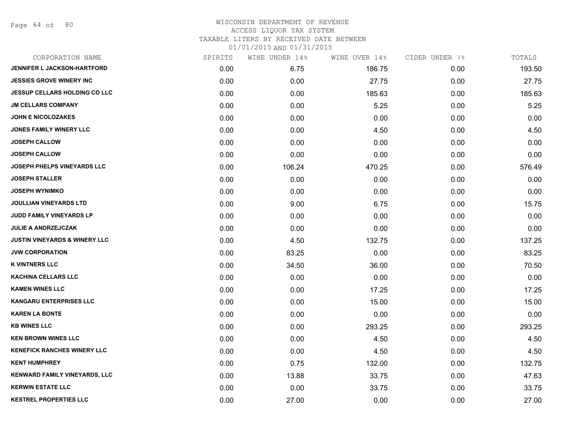Page 64 of 80

### WISCONSIN DEPARTMENT OF REVENUE ACCESS LIQUOR TAX SYSTEM TAXABLE LITERS BY RECEIVED DATE BETWEEN

| CORPORATION NAME                         | SPIRITS | WINE UNDER 14% | WINE OVER 14% | CIDER UNDER 7% | TOTALS |
|------------------------------------------|---------|----------------|---------------|----------------|--------|
| JENNIFER L JACKSON-HARTFORD              | 0.00    | 6.75           | 186.75        | 0.00           | 193.50 |
| <b>JESSIES GROVE WINERY INC</b>          | 0.00    | 0.00           | 27.75         | 0.00           | 27.75  |
| <b>JESSUP CELLARS HOLDING CO LLC</b>     | 0.00    | 0.00           | 185.63        | 0.00           | 185.63 |
| <b>JM CELLARS COMPANY</b>                | 0.00    | 0.00           | 5.25          | 0.00           | 5.25   |
| <b>JOHN E NICOLOZAKES</b>                | 0.00    | 0.00           | 0.00          | 0.00           | 0.00   |
| JONES FAMILY WINERY LLC                  | 0.00    | 0.00           | 4.50          | 0.00           | 4.50   |
| <b>JOSEPH CALLOW</b>                     | 0.00    | 0.00           | 0.00          | 0.00           | 0.00   |
| <b>JOSEPH CALLOW</b>                     | 0.00    | 0.00           | 0.00          | 0.00           | 0.00   |
| <b>JOSEPH PHELPS VINEYARDS LLC</b>       | 0.00    | 106.24         | 470.25        | 0.00           | 576.49 |
| <b>JOSEPH STALLER</b>                    | 0.00    | 0.00           | 0.00          | 0.00           | 0.00   |
| <b>JOSEPH WYNIMKO</b>                    | 0.00    | 0.00           | 0.00          | 0.00           | 0.00   |
| <b>JOULLIAN VINEYARDS LTD</b>            | 0.00    | 9.00           | 6.75          | 0.00           | 15.75  |
| JUDD FAMILY VINEYARDS LP                 | 0.00    | 0.00           | 0.00          | 0.00           | 0.00   |
| <b>JULIE A ANDRZEJCZAK</b>               | 0.00    | 0.00           | 0.00          | 0.00           | 0.00   |
| <b>JUSTIN VINEYARDS &amp; WINERY LLC</b> | 0.00    | 4.50           | 132.75        | 0.00           | 137.25 |
| <b>JVW CORPORATION</b>                   | 0.00    | 83.25          | 0.00          | 0.00           | 83.25  |
| <b>K VINTNERS LLC</b>                    | 0.00    | 34.50          | 36.00         | 0.00           | 70.50  |
| <b>KACHINA CELLARS LLC</b>               | 0.00    | 0.00           | 0.00          | 0.00           | 0.00   |
| <b>KAMEN WINES LLC</b>                   | 0.00    | 0.00           | 17.25         | 0.00           | 17.25  |
| <b>KANGARU ENTERPRISES LLC</b>           | 0.00    | 0.00           | 15.00         | 0.00           | 15.00  |
| <b>KAREN LA BONTE</b>                    | 0.00    | 0.00           | 0.00          | 0.00           | 0.00   |
| <b>KB WINES LLC</b>                      | 0.00    | 0.00           | 293.25        | 0.00           | 293.25 |
| <b>KEN BROWN WINES LLC</b>               | 0.00    | 0.00           | 4.50          | 0.00           | 4.50   |
| <b>KENEFICK RANCHES WINERY LLC</b>       | 0.00    | 0.00           | 4.50          | 0.00           | 4.50   |
| <b>KENT HUMPHREY</b>                     | 0.00    | 0.75           | 132.00        | 0.00           | 132.75 |
| KENWARD FAMILY VINEYARDS, LLC            | 0.00    | 13.88          | 33.75         | 0.00           | 47.63  |
| <b>KERWIN ESTATE LLC</b>                 | 0.00    | 0.00           | 33.75         | 0.00           | 33.75  |
| <b>KESTREL PROPERTIES LLC</b>            | 0.00    | 27.00          | 0.00          | 0.00           | 27.00  |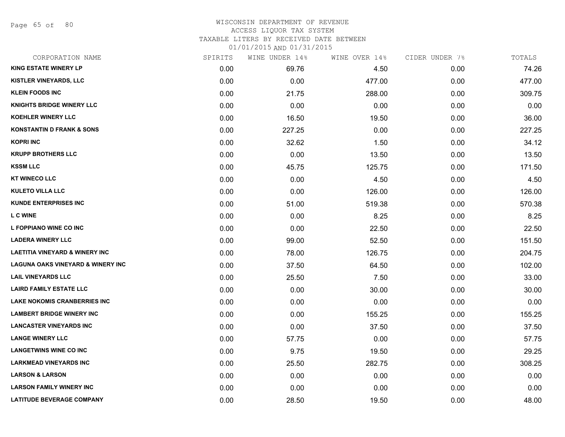Page 65 of 80

#### WISCONSIN DEPARTMENT OF REVENUE ACCESS LIQUOR TAX SYSTEM

TAXABLE LITERS BY RECEIVED DATE BETWEEN

| CORPORATION NAME                             | SPIRITS | WINE UNDER 14% | WINE OVER 14% | CIDER UNDER 7% | TOTALS |
|----------------------------------------------|---------|----------------|---------------|----------------|--------|
| <b>KING ESTATE WINERY LP</b>                 | 0.00    | 69.76          | 4.50          | 0.00           | 74.26  |
| KISTLER VINEYARDS, LLC                       | 0.00    | 0.00           | 477.00        | 0.00           | 477.00 |
| <b>KLEIN FOODS INC</b>                       | 0.00    | 21.75          | 288.00        | 0.00           | 309.75 |
| <b>KNIGHTS BRIDGE WINERY LLC</b>             | 0.00    | 0.00           | 0.00          | 0.00           | 0.00   |
| <b>KOEHLER WINERY LLC</b>                    | 0.00    | 16.50          | 19.50         | 0.00           | 36.00  |
| <b>KONSTANTIN D FRANK &amp; SONS</b>         | 0.00    | 227.25         | 0.00          | 0.00           | 227.25 |
| <b>KOPRI INC</b>                             | 0.00    | 32.62          | 1.50          | 0.00           | 34.12  |
| <b>KRUPP BROTHERS LLC</b>                    | 0.00    | 0.00           | 13.50         | 0.00           | 13.50  |
| <b>KSSM LLC</b>                              | 0.00    | 45.75          | 125.75        | 0.00           | 171.50 |
| <b>KT WINECO LLC</b>                         | 0.00    | 0.00           | 4.50          | 0.00           | 4.50   |
| <b>KULETO VILLA LLC</b>                      | 0.00    | 0.00           | 126.00        | 0.00           | 126.00 |
| <b>KUNDE ENTERPRISES INC</b>                 | 0.00    | 51.00          | 519.38        | 0.00           | 570.38 |
| <b>L C WINE</b>                              | 0.00    | 0.00           | 8.25          | 0.00           | 8.25   |
| L FOPPIANO WINE CO INC                       | 0.00    | 0.00           | 22.50         | 0.00           | 22.50  |
| <b>LADERA WINERY LLC</b>                     | 0.00    | 99.00          | 52.50         | 0.00           | 151.50 |
| <b>LAETITIA VINEYARD &amp; WINERY INC</b>    | 0.00    | 78.00          | 126.75        | 0.00           | 204.75 |
| <b>LAGUNA OAKS VINEYARD &amp; WINERY INC</b> | 0.00    | 37.50          | 64.50         | 0.00           | 102.00 |
| <b>LAIL VINEYARDS LLC</b>                    | 0.00    | 25.50          | 7.50          | 0.00           | 33.00  |
| <b>LAIRD FAMILY ESTATE LLC</b>               | 0.00    | 0.00           | 30.00         | 0.00           | 30.00  |
| <b>LAKE NOKOMIS CRANBERRIES INC</b>          | 0.00    | 0.00           | 0.00          | 0.00           | 0.00   |
| <b>LAMBERT BRIDGE WINERY INC</b>             | 0.00    | 0.00           | 155.25        | 0.00           | 155.25 |
| <b>LANCASTER VINEYARDS INC</b>               | 0.00    | 0.00           | 37.50         | 0.00           | 37.50  |
| <b>LANGE WINERY LLC</b>                      | 0.00    | 57.75          | 0.00          | 0.00           | 57.75  |
| <b>LANGETWINS WINE CO INC</b>                | 0.00    | 9.75           | 19.50         | 0.00           | 29.25  |
| <b>LARKMEAD VINEYARDS INC</b>                | 0.00    | 25.50          | 282.75        | 0.00           | 308.25 |
| <b>LARSON &amp; LARSON</b>                   | 0.00    | 0.00           | 0.00          | 0.00           | 0.00   |
| <b>LARSON FAMILY WINERY INC</b>              | 0.00    | 0.00           | 0.00          | 0.00           | 0.00   |
| <b>LATITUDE BEVERAGE COMPANY</b>             | 0.00    | 28.50          | 19.50         | 0.00           | 48.00  |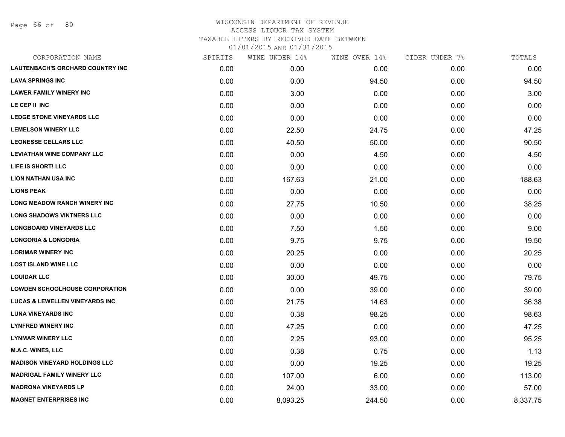Page 66 of 80

| CORPORATION NAME                          | SPIRITS | WINE UNDER 14% | WINE OVER 14% | CIDER UNDER 7% | TOTALS   |
|-------------------------------------------|---------|----------------|---------------|----------------|----------|
| <b>LAUTENBACH'S ORCHARD COUNTRY INC</b>   | 0.00    | 0.00           | 0.00          | 0.00           | 0.00     |
| <b>LAVA SPRINGS INC</b>                   | 0.00    | 0.00           | 94.50         | 0.00           | 94.50    |
| <b>LAWER FAMILY WINERY INC</b>            | 0.00    | 3.00           | 0.00          | 0.00           | 3.00     |
| LE CEP II INC                             | 0.00    | 0.00           | 0.00          | 0.00           | 0.00     |
| <b>LEDGE STONE VINEYARDS LLC</b>          | 0.00    | 0.00           | 0.00          | 0.00           | 0.00     |
| <b>LEMELSON WINERY LLC</b>                | 0.00    | 22.50          | 24.75         | 0.00           | 47.25    |
| <b>LEONESSE CELLARS LLC</b>               | 0.00    | 40.50          | 50.00         | 0.00           | 90.50    |
| <b>LEVIATHAN WINE COMPANY LLC</b>         | 0.00    | 0.00           | 4.50          | 0.00           | 4.50     |
| LIFE IS SHORT! LLC                        | 0.00    | 0.00           | 0.00          | 0.00           | 0.00     |
| <b>LION NATHAN USA INC</b>                | 0.00    | 167.63         | 21.00         | 0.00           | 188.63   |
| <b>LIONS PEAK</b>                         | 0.00    | 0.00           | 0.00          | 0.00           | 0.00     |
| <b>LONG MEADOW RANCH WINERY INC</b>       | 0.00    | 27.75          | 10.50         | 0.00           | 38.25    |
| <b>LONG SHADOWS VINTNERS LLC</b>          | 0.00    | 0.00           | 0.00          | 0.00           | 0.00     |
| <b>LONGBOARD VINEYARDS LLC</b>            | 0.00    | 7.50           | 1.50          | 0.00           | 9.00     |
| <b>LONGORIA &amp; LONGORIA</b>            | 0.00    | 9.75           | 9.75          | 0.00           | 19.50    |
| <b>LORIMAR WINERY INC</b>                 | 0.00    | 20.25          | 0.00          | 0.00           | 20.25    |
| <b>LOST ISLAND WINE LLC</b>               | 0.00    | 0.00           | 0.00          | 0.00           | 0.00     |
| <b>LOUIDAR LLC</b>                        | 0.00    | 30.00          | 49.75         | 0.00           | 79.75    |
| <b>LOWDEN SCHOOLHOUSE CORPORATION</b>     | 0.00    | 0.00           | 39.00         | 0.00           | 39.00    |
| <b>LUCAS &amp; LEWELLEN VINEYARDS INC</b> | 0.00    | 21.75          | 14.63         | 0.00           | 36.38    |
| <b>LUNA VINEYARDS INC</b>                 | 0.00    | 0.38           | 98.25         | 0.00           | 98.63    |
| <b>LYNFRED WINERY INC</b>                 | 0.00    | 47.25          | 0.00          | 0.00           | 47.25    |
| <b>LYNMAR WINERY LLC</b>                  | 0.00    | 2.25           | 93.00         | 0.00           | 95.25    |
| <b>M.A.C. WINES, LLC</b>                  | 0.00    | 0.38           | 0.75          | 0.00           | 1.13     |
| <b>MADISON VINEYARD HOLDINGS LLC</b>      | 0.00    | 0.00           | 19.25         | 0.00           | 19.25    |
| <b>MADRIGAL FAMILY WINERY LLC</b>         | 0.00    | 107.00         | 6.00          | 0.00           | 113.00   |
| <b>MADRONA VINEYARDS LP</b>               | 0.00    | 24.00          | 33.00         | 0.00           | 57.00    |
| <b>MAGNET ENTERPRISES INC</b>             | 0.00    | 8,093.25       | 244.50        | 0.00           | 8,337.75 |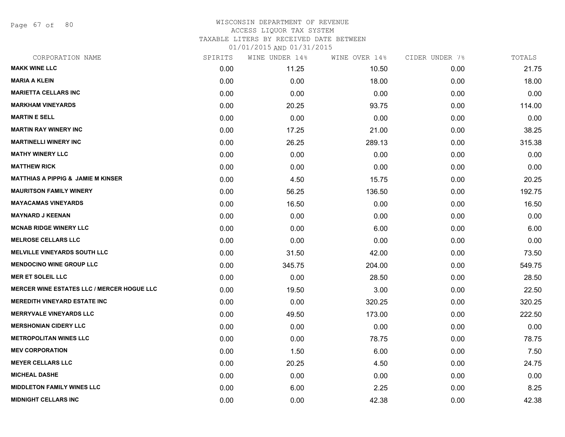Page 67 of 80

#### WISCONSIN DEPARTMENT OF REVENUE ACCESS LIQUOR TAX SYSTEM TAXABLE LITERS BY RECEIVED DATE BETWEEN

| CORPORATION NAME                                  | SPIRITS | WINE UNDER 14% | WINE OVER 14% | CIDER UNDER 7% | TOTALS |
|---------------------------------------------------|---------|----------------|---------------|----------------|--------|
| <b>MAKK WINE LLC</b>                              | 0.00    | 11.25          | 10.50         | 0.00           | 21.75  |
| <b>MARIA A KLEIN</b>                              | 0.00    | 0.00           | 18.00         | 0.00           | 18.00  |
| <b>MARIETTA CELLARS INC</b>                       | 0.00    | 0.00           | 0.00          | 0.00           | 0.00   |
| <b>MARKHAM VINEYARDS</b>                          | 0.00    | 20.25          | 93.75         | 0.00           | 114.00 |
| <b>MARTIN E SELL</b>                              | 0.00    | 0.00           | 0.00          | 0.00           | 0.00   |
| <b>MARTIN RAY WINERY INC</b>                      | 0.00    | 17.25          | 21.00         | 0.00           | 38.25  |
| <b>MARTINELLI WINERY INC</b>                      | 0.00    | 26.25          | 289.13        | 0.00           | 315.38 |
| <b>MATHY WINERY LLC</b>                           | 0.00    | 0.00           | 0.00          | 0.00           | 0.00   |
| <b>MATTHEW RICK</b>                               | 0.00    | 0.00           | 0.00          | 0.00           | 0.00   |
| <b>MATTHIAS A PIPPIG &amp; JAMIE M KINSER</b>     | 0.00    | 4.50           | 15.75         | 0.00           | 20.25  |
| <b>MAURITSON FAMILY WINERY</b>                    | 0.00    | 56.25          | 136.50        | 0.00           | 192.75 |
| <b>MAYACAMAS VINEYARDS</b>                        | 0.00    | 16.50          | 0.00          | 0.00           | 16.50  |
| <b>MAYNARD J KEENAN</b>                           | 0.00    | 0.00           | 0.00          | 0.00           | 0.00   |
| <b>MCNAB RIDGE WINERY LLC</b>                     | 0.00    | 0.00           | 6.00          | 0.00           | 6.00   |
| <b>MELROSE CELLARS LLC</b>                        | 0.00    | 0.00           | 0.00          | 0.00           | 0.00   |
| <b>MELVILLE VINEYARDS SOUTH LLC</b>               | 0.00    | 31.50          | 42.00         | 0.00           | 73.50  |
| <b>MENDOCINO WINE GROUP LLC</b>                   | 0.00    | 345.75         | 204.00        | 0.00           | 549.75 |
| <b>MER ET SOLEIL LLC</b>                          | 0.00    | 0.00           | 28.50         | 0.00           | 28.50  |
| <b>MERCER WINE ESTATES LLC / MERCER HOGUE LLC</b> | 0.00    | 19.50          | 3.00          | 0.00           | 22.50  |
| <b>MEREDITH VINEYARD ESTATE INC</b>               | 0.00    | 0.00           | 320.25        | 0.00           | 320.25 |
| <b>MERRYVALE VINEYARDS LLC</b>                    | 0.00    | 49.50          | 173.00        | 0.00           | 222.50 |
| <b>MERSHONIAN CIDERY LLC</b>                      | 0.00    | 0.00           | 0.00          | 0.00           | 0.00   |
| <b>METROPOLITAN WINES LLC</b>                     | 0.00    | 0.00           | 78.75         | 0.00           | 78.75  |
| <b>MEV CORPORATION</b>                            | 0.00    | 1.50           | 6.00          | 0.00           | 7.50   |
| <b>MEYER CELLARS LLC</b>                          | 0.00    | 20.25          | 4.50          | 0.00           | 24.75  |
| <b>MICHEAL DASHE</b>                              | 0.00    | 0.00           | 0.00          | 0.00           | 0.00   |
| <b>MIDDLETON FAMILY WINES LLC</b>                 | 0.00    | 6.00           | 2.25          | 0.00           | 8.25   |
| <b>MIDNIGHT CELLARS INC</b>                       | 0.00    | 0.00           | 42.38         | 0.00           | 42.38  |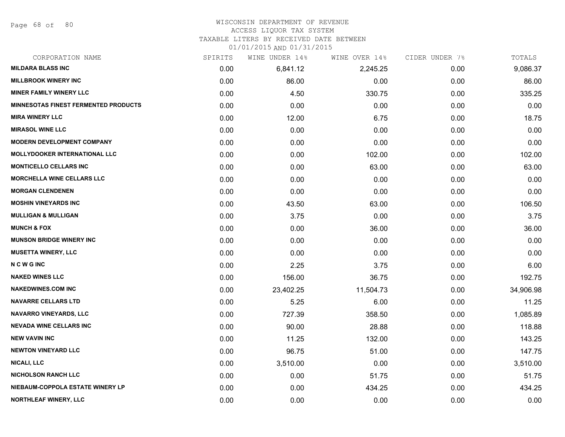Page 68 of 80

# WISCONSIN DEPARTMENT OF REVENUE

## ACCESS LIQUOR TAX SYSTEM

TAXABLE LITERS BY RECEIVED DATE BETWEEN

| CORPORATION NAME                            | SPIRITS | WINE UNDER 14% | WINE OVER 14% | CIDER UNDER 7% | TOTALS    |
|---------------------------------------------|---------|----------------|---------------|----------------|-----------|
| <b>MILDARA BLASS INC</b>                    | 0.00    | 6,841.12       | 2,245.25      | 0.00           | 9,086.37  |
| <b>MILLBROOK WINERY INC</b>                 | 0.00    | 86.00          | 0.00          | 0.00           | 86.00     |
| <b>MINER FAMILY WINERY LLC</b>              | 0.00    | 4.50           | 330.75        | 0.00           | 335.25    |
| <b>MINNESOTAS FINEST FERMENTED PRODUCTS</b> | 0.00    | 0.00           | 0.00          | 0.00           | 0.00      |
| <b>MIRA WINERY LLC</b>                      | 0.00    | 12.00          | 6.75          | 0.00           | 18.75     |
| <b>MIRASOL WINE LLC</b>                     | 0.00    | 0.00           | 0.00          | 0.00           | 0.00      |
| <b>MODERN DEVELOPMENT COMPANY</b>           | 0.00    | 0.00           | 0.00          | 0.00           | 0.00      |
| <b>MOLLYDOOKER INTERNATIONAL LLC</b>        | 0.00    | 0.00           | 102.00        | 0.00           | 102.00    |
| <b>MONTICELLO CELLARS INC</b>               | 0.00    | 0.00           | 63.00         | 0.00           | 63.00     |
| <b>MORCHELLA WINE CELLARS LLC</b>           | 0.00    | 0.00           | 0.00          | 0.00           | 0.00      |
| <b>MORGAN CLENDENEN</b>                     | 0.00    | 0.00           | 0.00          | 0.00           | 0.00      |
| <b>MOSHIN VINEYARDS INC</b>                 | 0.00    | 43.50          | 63.00         | 0.00           | 106.50    |
| <b>MULLIGAN &amp; MULLIGAN</b>              | 0.00    | 3.75           | 0.00          | 0.00           | 3.75      |
| <b>MUNCH &amp; FOX</b>                      | 0.00    | 0.00           | 36.00         | 0.00           | 36.00     |
| <b>MUNSON BRIDGE WINERY INC</b>             | 0.00    | 0.00           | 0.00          | 0.00           | 0.00      |
| <b>MUSETTA WINERY, LLC</b>                  | 0.00    | 0.00           | 0.00          | 0.00           | 0.00      |
| <b>NCWGINC</b>                              | 0.00    | 2.25           | 3.75          | 0.00           | 6.00      |
| <b>NAKED WINES LLC</b>                      | 0.00    | 156.00         | 36.75         | 0.00           | 192.75    |
| <b>NAKEDWINES.COM INC</b>                   | 0.00    | 23,402.25      | 11,504.73     | 0.00           | 34,906.98 |
| <b>NAVARRE CELLARS LTD</b>                  | 0.00    | 5.25           | 6.00          | 0.00           | 11.25     |
| <b>NAVARRO VINEYARDS, LLC</b>               | 0.00    | 727.39         | 358.50        | 0.00           | 1,085.89  |
| <b>NEVADA WINE CELLARS INC</b>              | 0.00    | 90.00          | 28.88         | 0.00           | 118.88    |
| <b>NEW VAVIN INC</b>                        | 0.00    | 11.25          | 132.00        | 0.00           | 143.25    |
| <b>NEWTON VINEYARD LLC</b>                  | 0.00    | 96.75          | 51.00         | 0.00           | 147.75    |
| <b>NICALI, LLC</b>                          | 0.00    | 3,510.00       | 0.00          | 0.00           | 3,510.00  |
| <b>NICHOLSON RANCH LLC</b>                  | 0.00    | 0.00           | 51.75         | 0.00           | 51.75     |
| NIEBAUM-COPPOLA ESTATE WINERY LP            | 0.00    | 0.00           | 434.25        | 0.00           | 434.25    |
| NORTHLEAF WINERY, LLC                       | 0.00    | 0.00           | 0.00          | 0.00           | 0.00      |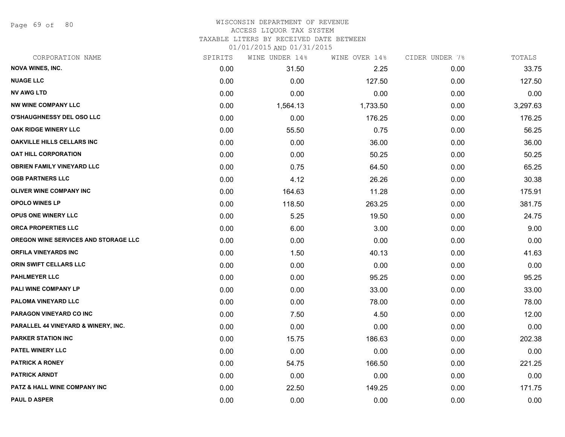Page 69 of 80

#### WISCONSIN DEPARTMENT OF REVENUE ACCESS LIQUOR TAX SYSTEM

TAXABLE LITERS BY RECEIVED DATE BETWEEN

| CORPORATION NAME                     | SPIRITS | WINE UNDER 14% | WINE OVER 14% | CIDER UNDER 7% | TOTALS   |
|--------------------------------------|---------|----------------|---------------|----------------|----------|
| <b>NOVA WINES, INC.</b>              | 0.00    | 31.50          | 2.25          | 0.00           | 33.75    |
| <b>NUAGE LLC</b>                     | 0.00    | 0.00           | 127.50        | 0.00           | 127.50   |
| <b>NV AWG LTD</b>                    | 0.00    | 0.00           | 0.00          | 0.00           | 0.00     |
| <b>NW WINE COMPANY LLC</b>           | 0.00    | 1,564.13       | 1,733.50      | 0.00           | 3,297.63 |
| O'SHAUGHNESSY DEL OSO LLC            | 0.00    | 0.00           | 176.25        | 0.00           | 176.25   |
| OAK RIDGE WINERY LLC                 | 0.00    | 55.50          | 0.75          | 0.00           | 56.25    |
| <b>OAKVILLE HILLS CELLARS INC</b>    | 0.00    | 0.00           | 36.00         | 0.00           | 36.00    |
| <b>OAT HILL CORPORATION</b>          | 0.00    | 0.00           | 50.25         | 0.00           | 50.25    |
| <b>OBRIEN FAMILY VINEYARD LLC</b>    | 0.00    | 0.75           | 64.50         | 0.00           | 65.25    |
| <b>OGB PARTNERS LLC</b>              | 0.00    | 4.12           | 26.26         | 0.00           | 30.38    |
| OLIVER WINE COMPANY INC              | 0.00    | 164.63         | 11.28         | 0.00           | 175.91   |
| <b>OPOLO WINES LP</b>                | 0.00    | 118.50         | 263.25        | 0.00           | 381.75   |
| <b>OPUS ONE WINERY LLC</b>           | 0.00    | 5.25           | 19.50         | 0.00           | 24.75    |
| <b>ORCA PROPERTIES LLC</b>           | 0.00    | 6.00           | 3.00          | 0.00           | 9.00     |
| OREGON WINE SERVICES AND STORAGE LLC | 0.00    | 0.00           | 0.00          | 0.00           | 0.00     |
| <b>ORFILA VINEYARDS INC</b>          | 0.00    | 1.50           | 40.13         | 0.00           | 41.63    |
| ORIN SWIFT CELLARS LLC               | 0.00    | 0.00           | 0.00          | 0.00           | 0.00     |
| <b>PAHLMEYER LLC</b>                 | 0.00    | 0.00           | 95.25         | 0.00           | 95.25    |
| PALI WINE COMPANY LP                 | 0.00    | 0.00           | 33.00         | 0.00           | 33.00    |
| <b>PALOMA VINEYARD LLC</b>           | 0.00    | 0.00           | 78.00         | 0.00           | 78.00    |
| <b>PARAGON VINEYARD CO INC</b>       | 0.00    | 7.50           | 4.50          | 0.00           | 12.00    |
| PARALLEL 44 VINEYARD & WINERY, INC.  | 0.00    | 0.00           | 0.00          | 0.00           | 0.00     |
| <b>PARKER STATION INC</b>            | 0.00    | 15.75          | 186.63        | 0.00           | 202.38   |
| PATEL WINERY LLC                     | 0.00    | 0.00           | 0.00          | 0.00           | 0.00     |
| <b>PATRICK A RONEY</b>               | 0.00    | 54.75          | 166.50        | 0.00           | 221.25   |
| <b>PATRICK ARNDT</b>                 | 0.00    | 0.00           | 0.00          | 0.00           | 0.00     |
| PATZ & HALL WINE COMPANY INC         | 0.00    | 22.50          | 149.25        | 0.00           | 171.75   |
| <b>PAUL D ASPER</b>                  | 0.00    | 0.00           | 0.00          | 0.00           | 0.00     |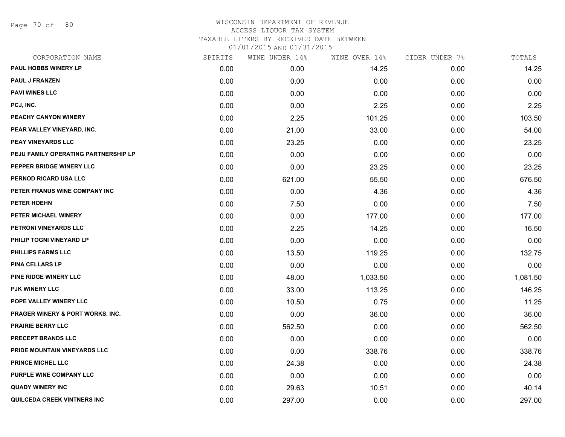Page 70 of 80

## WISCONSIN DEPARTMENT OF REVENUE ACCESS LIQUOR TAX SYSTEM TAXABLE LITERS BY RECEIVED DATE BETWEEN

| CORPORATION NAME                            | SPIRITS | WINE UNDER 14% | WINE OVER 14% | CIDER UNDER 7% | TOTALS   |
|---------------------------------------------|---------|----------------|---------------|----------------|----------|
| PAUL HOBBS WINERY LP                        | 0.00    | 0.00           | 14.25         | 0.00           | 14.25    |
| <b>PAUL J FRANZEN</b>                       | 0.00    | 0.00           | 0.00          | 0.00           | 0.00     |
| <b>PAVI WINES LLC</b>                       | 0.00    | 0.00           | 0.00          | 0.00           | 0.00     |
| PCJ, INC.                                   | 0.00    | 0.00           | 2.25          | 0.00           | 2.25     |
| PEACHY CANYON WINERY                        | 0.00    | 2.25           | 101.25        | 0.00           | 103.50   |
| PEAR VALLEY VINEYARD, INC.                  | 0.00    | 21.00          | 33.00         | 0.00           | 54.00    |
| PEAY VINEYARDS LLC                          | 0.00    | 23.25          | 0.00          | 0.00           | 23.25    |
| PEJU FAMILY OPERATING PARTNERSHIP LP        | 0.00    | 0.00           | 0.00          | 0.00           | 0.00     |
| PEPPER BRIDGE WINERY LLC                    | 0.00    | 0.00           | 23.25         | 0.00           | 23.25    |
| PERNOD RICARD USA LLC                       | 0.00    | 621.00         | 55.50         | 0.00           | 676.50   |
| PETER FRANUS WINE COMPANY INC               | 0.00    | 0.00           | 4.36          | 0.00           | 4.36     |
| PETER HOEHN                                 | 0.00    | 7.50           | 0.00          | 0.00           | 7.50     |
| PETER MICHAEL WINERY                        | 0.00    | 0.00           | 177.00        | 0.00           | 177.00   |
| PETRONI VINEYARDS LLC                       | 0.00    | 2.25           | 14.25         | 0.00           | 16.50    |
| PHILIP TOGNI VINEYARD LP                    | 0.00    | 0.00           | 0.00          | 0.00           | 0.00     |
| <b>PHILLIPS FARMS LLC</b>                   | 0.00    | 13.50          | 119.25        | 0.00           | 132.75   |
| <b>PINA CELLARS LP</b>                      | 0.00    | 0.00           | 0.00          | 0.00           | 0.00     |
| PINE RIDGE WINERY LLC                       | 0.00    | 48.00          | 1,033.50      | 0.00           | 1,081.50 |
| PJK WINERY LLC                              | 0.00    | 33.00          | 113.25        | 0.00           | 146.25   |
| POPE VALLEY WINERY LLC                      | 0.00    | 10.50          | 0.75          | 0.00           | 11.25    |
| <b>PRAGER WINERY &amp; PORT WORKS, INC.</b> | 0.00    | 0.00           | 36.00         | 0.00           | 36.00    |
| <b>PRAIRIE BERRY LLC</b>                    | 0.00    | 562.50         | 0.00          | 0.00           | 562.50   |
| PRECEPT BRANDS LLC                          | 0.00    | 0.00           | 0.00          | 0.00           | 0.00     |
| <b>PRIDE MOUNTAIN VINEYARDS LLC</b>         | 0.00    | 0.00           | 338.76        | 0.00           | 338.76   |
| <b>PRINCE MICHEL LLC</b>                    | 0.00    | 24.38          | 0.00          | 0.00           | 24.38    |
| PURPLE WINE COMPANY LLC                     | 0.00    | 0.00           | 0.00          | 0.00           | 0.00     |
| <b>QUADY WINERY INC</b>                     | 0.00    | 29.63          | 10.51         | 0.00           | 40.14    |
| QUILCEDA CREEK VINTNERS INC                 | 0.00    | 297.00         | 0.00          | 0.00           | 297.00   |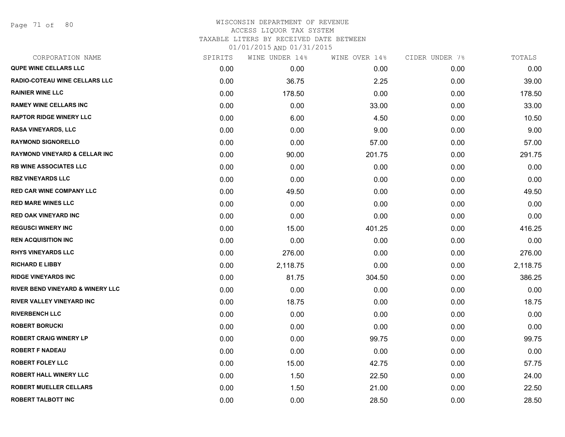Page 71 of 80

#### WISCONSIN DEPARTMENT OF REVENUE ACCESS LIQUOR TAX SYSTEM TAXABLE LITERS BY RECEIVED DATE BETWEEN

| CORPORATION NAME                            | SPIRITS | WINE UNDER 14% | WINE OVER 14% | CIDER UNDER 7% | TOTALS   |
|---------------------------------------------|---------|----------------|---------------|----------------|----------|
| <b>QUPE WINE CELLARS LLC</b>                | 0.00    | 0.00           | 0.00          | 0.00           | 0.00     |
| <b>RADIO-COTEAU WINE CELLARS LLC</b>        | 0.00    | 36.75          | 2.25          | 0.00           | 39.00    |
| <b>RAINIER WINE LLC</b>                     | 0.00    | 178.50         | 0.00          | 0.00           | 178.50   |
| <b>RAMEY WINE CELLARS INC</b>               | 0.00    | 0.00           | 33.00         | 0.00           | 33.00    |
| <b>RAPTOR RIDGE WINERY LLC</b>              | 0.00    | 6.00           | 4.50          | 0.00           | 10.50    |
| <b>RASA VINEYARDS, LLC</b>                  | 0.00    | 0.00           | 9.00          | 0.00           | 9.00     |
| <b>RAYMOND SIGNORELLO</b>                   | 0.00    | 0.00           | 57.00         | 0.00           | 57.00    |
| <b>RAYMOND VINEYARD &amp; CELLAR INC</b>    | 0.00    | 90.00          | 201.75        | 0.00           | 291.75   |
| <b>RB WINE ASSOCIATES LLC</b>               | 0.00    | 0.00           | 0.00          | 0.00           | 0.00     |
| <b>RBZ VINEYARDS LLC</b>                    | 0.00    | 0.00           | 0.00          | 0.00           | 0.00     |
| <b>RED CAR WINE COMPANY LLC</b>             | 0.00    | 49.50          | 0.00          | 0.00           | 49.50    |
| <b>RED MARE WINES LLC</b>                   | 0.00    | 0.00           | 0.00          | 0.00           | 0.00     |
| <b>RED OAK VINEYARD INC</b>                 | 0.00    | 0.00           | 0.00          | 0.00           | 0.00     |
| <b>REGUSCI WINERY INC</b>                   | 0.00    | 15.00          | 401.25        | 0.00           | 416.25   |
| <b>REN ACQUISITION INC</b>                  | 0.00    | 0.00           | 0.00          | 0.00           | 0.00     |
| <b>RHYS VINEYARDS LLC</b>                   | 0.00    | 276.00         | 0.00          | 0.00           | 276.00   |
| <b>RICHARD E LIBBY</b>                      | 0.00    | 2,118.75       | 0.00          | 0.00           | 2,118.75 |
| <b>RIDGE VINEYARDS INC</b>                  | 0.00    | 81.75          | 304.50        | 0.00           | 386.25   |
| <b>RIVER BEND VINEYARD &amp; WINERY LLC</b> | 0.00    | 0.00           | 0.00          | 0.00           | 0.00     |
| <b>RIVER VALLEY VINEYARD INC</b>            | 0.00    | 18.75          | 0.00          | 0.00           | 18.75    |
| <b>RIVERBENCH LLC</b>                       | 0.00    | 0.00           | 0.00          | 0.00           | 0.00     |
| <b>ROBERT BORUCKI</b>                       | 0.00    | 0.00           | 0.00          | 0.00           | 0.00     |
| <b>ROBERT CRAIG WINERY LP</b>               | 0.00    | 0.00           | 99.75         | 0.00           | 99.75    |
| <b>ROBERT F NADEAU</b>                      | 0.00    | 0.00           | 0.00          | 0.00           | 0.00     |
| <b>ROBERT FOLEY LLC</b>                     | 0.00    | 15.00          | 42.75         | 0.00           | 57.75    |
| <b>ROBERT HALL WINERY LLC</b>               | 0.00    | 1.50           | 22.50         | 0.00           | 24.00    |
| <b>ROBERT MUELLER CELLARS</b>               | 0.00    | 1.50           | 21.00         | 0.00           | 22.50    |
| <b>ROBERT TALBOTT INC</b>                   | 0.00    | 0.00           | 28.50         | 0.00           | 28.50    |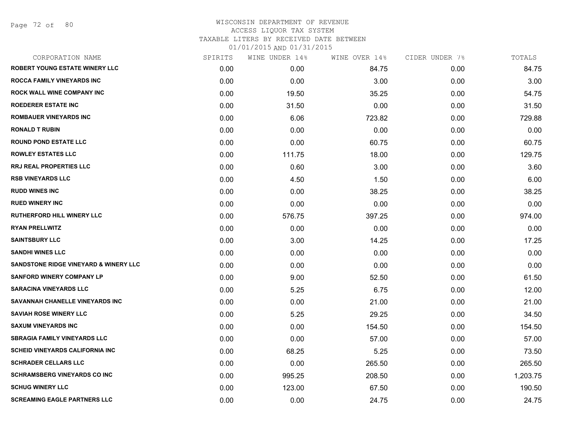Page 72 of 80

| CORPORATION NAME                                 | SPIRITS | WINE UNDER 14% | WINE OVER 14% | CIDER UNDER 7% | TOTALS   |
|--------------------------------------------------|---------|----------------|---------------|----------------|----------|
| <b>ROBERT YOUNG ESTATE WINERY LLC</b>            | 0.00    | 0.00           | 84.75         | 0.00           | 84.75    |
| ROCCA FAMILY VINEYARDS INC                       | 0.00    | 0.00           | 3.00          | 0.00           | 3.00     |
| ROCK WALL WINE COMPANY INC                       | 0.00    | 19.50          | 35.25         | 0.00           | 54.75    |
| <b>ROEDERER ESTATE INC</b>                       | 0.00    | 31.50          | 0.00          | 0.00           | 31.50    |
| <b>ROMBAUER VINEYARDS INC</b>                    | 0.00    | 6.06           | 723.82        | 0.00           | 729.88   |
| <b>RONALD T RUBIN</b>                            | 0.00    | 0.00           | 0.00          | 0.00           | 0.00     |
| <b>ROUND POND ESTATE LLC</b>                     | 0.00    | 0.00           | 60.75         | 0.00           | 60.75    |
| <b>ROWLEY ESTATES LLC</b>                        | 0.00    | 111.75         | 18.00         | 0.00           | 129.75   |
| RRJ REAL PROPERTIES LLC                          | 0.00    | 0.60           | 3.00          | 0.00           | 3.60     |
| <b>RSB VINEYARDS LLC</b>                         | 0.00    | 4.50           | 1.50          | 0.00           | 6.00     |
| <b>RUDD WINES INC</b>                            | 0.00    | 0.00           | 38.25         | 0.00           | 38.25    |
| <b>RUED WINERY INC</b>                           | 0.00    | 0.00           | 0.00          | 0.00           | 0.00     |
| <b>RUTHERFORD HILL WINERY LLC</b>                | 0.00    | 576.75         | 397.25        | 0.00           | 974.00   |
| <b>RYAN PRELLWITZ</b>                            | 0.00    | 0.00           | 0.00          | 0.00           | 0.00     |
| <b>SAINTSBURY LLC</b>                            | 0.00    | 3.00           | 14.25         | 0.00           | 17.25    |
| <b>SANDHI WINES LLC</b>                          | 0.00    | 0.00           | 0.00          | 0.00           | 0.00     |
| <b>SANDSTONE RIDGE VINEYARD &amp; WINERY LLC</b> | 0.00    | 0.00           | 0.00          | 0.00           | 0.00     |
| <b>SANFORD WINERY COMPANY LP</b>                 | 0.00    | 9.00           | 52.50         | 0.00           | 61.50    |
| <b>SARACINA VINEYARDS LLC</b>                    | 0.00    | 5.25           | 6.75          | 0.00           | 12.00    |
| SAVANNAH CHANELLE VINEYARDS INC                  | 0.00    | 0.00           | 21.00         | 0.00           | 21.00    |
| <b>SAVIAH ROSE WINERY LLC</b>                    | 0.00    | 5.25           | 29.25         | 0.00           | 34.50    |
| <b>SAXUM VINEYARDS INC</b>                       | 0.00    | 0.00           | 154.50        | 0.00           | 154.50   |
| <b>SBRAGIA FAMILY VINEYARDS LLC</b>              | 0.00    | 0.00           | 57.00         | 0.00           | 57.00    |
| <b>SCHEID VINEYARDS CALIFORNIA INC</b>           | 0.00    | 68.25          | 5.25          | 0.00           | 73.50    |
| <b>SCHRADER CELLARS LLC</b>                      | 0.00    | 0.00           | 265.50        | 0.00           | 265.50   |
| <b>SCHRAMSBERG VINEYARDS CO INC</b>              | 0.00    | 995.25         | 208.50        | 0.00           | 1,203.75 |
| <b>SCHUG WINERY LLC</b>                          | 0.00    | 123.00         | 67.50         | 0.00           | 190.50   |
| <b>SCREAMING EAGLE PARTNERS LLC</b>              | 0.00    | 0.00           | 24.75         | 0.00           | 24.75    |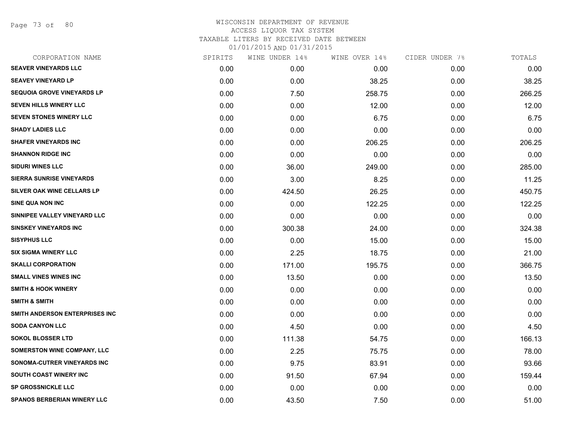Page 73 of 80

#### WISCONSIN DEPARTMENT OF REVENUE ACCESS LIQUOR TAX SYSTEM TAXABLE LITERS BY RECEIVED DATE BETWEEN 01/01/2015 AND 01/31/2015

| SPIRITS | WINE UNDER 14% | WINE OVER 14% | CIDER UNDER 7% | TOTALS |
|---------|----------------|---------------|----------------|--------|
| 0.00    | 0.00           | 0.00          | 0.00           | 0.00   |
| 0.00    | 0.00           | 38.25         | 0.00           | 38.25  |
| 0.00    | 7.50           | 258.75        | 0.00           | 266.25 |
| 0.00    | 0.00           | 12.00         | 0.00           | 12.00  |
| 0.00    | 0.00           | 6.75          | 0.00           | 6.75   |
| 0.00    | 0.00           | 0.00          | 0.00           | 0.00   |
| 0.00    | 0.00           | 206.25        | 0.00           | 206.25 |
| 0.00    | 0.00           | 0.00          | 0.00           | 0.00   |
| 0.00    | 36.00          | 249.00        | 0.00           | 285.00 |
| 0.00    | 3.00           | 8.25          | 0.00           | 11.25  |
| 0.00    | 424.50         | 26.25         | 0.00           | 450.75 |
| 0.00    | 0.00           | 122.25        | 0.00           | 122.25 |
| 0.00    | 0.00           | 0.00          | 0.00           | 0.00   |
| 0.00    | 300.38         | 24.00         | 0.00           | 324.38 |
| 0.00    | 0.00           | 15.00         | 0.00           | 15.00  |
| 0.00    | 2.25           | 18.75         | 0.00           | 21.00  |
| 0.00    | 171.00         | 195.75        | 0.00           | 366.75 |
| 0.00    | 13.50          | 0.00          | 0.00           | 13.50  |
| 0.00    | 0.00           | 0.00          | 0.00           | 0.00   |
| 0.00    | 0.00           | 0.00          | 0.00           | 0.00   |
| 0.00    | 0.00           | 0.00          | 0.00           | 0.00   |
| 0.00    | 4.50           | 0.00          | 0.00           | 4.50   |
| 0.00    | 111.38         | 54.75         | 0.00           | 166.13 |
| 0.00    | 2.25           | 75.75         | 0.00           | 78.00  |
| 0.00    | 9.75           | 83.91         | 0.00           | 93.66  |
| 0.00    | 91.50          | 67.94         | 0.00           | 159.44 |
| 0.00    | 0.00           | 0.00          | 0.00           | 0.00   |
| 0.00    | 43.50          | 7.50          | 0.00           | 51.00  |
|         |                |               |                |        |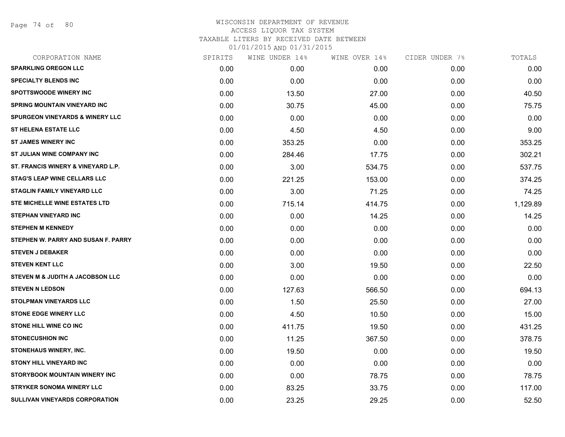Page 74 of 80

## WISCONSIN DEPARTMENT OF REVENUE ACCESS LIQUOR TAX SYSTEM TAXABLE LITERS BY RECEIVED DATE BETWEEN

| CORPORATION NAME                            | SPIRITS | WINE UNDER 14% | WINE OVER 14% | CIDER UNDER 7% | TOTALS   |
|---------------------------------------------|---------|----------------|---------------|----------------|----------|
| <b>SPARKLING OREGON LLC</b>                 | 0.00    | 0.00           | 0.00          | 0.00           | 0.00     |
| <b>SPECIALTY BLENDS INC</b>                 | 0.00    | 0.00           | 0.00          | 0.00           | 0.00     |
| <b>SPOTTSWOODE WINERY INC</b>               | 0.00    | 13.50          | 27.00         | 0.00           | 40.50    |
| <b>SPRING MOUNTAIN VINEYARD INC</b>         | 0.00    | 30.75          | 45.00         | 0.00           | 75.75    |
| <b>SPURGEON VINEYARDS &amp; WINERY LLC</b>  | 0.00    | 0.00           | 0.00          | 0.00           | 0.00     |
| <b>ST HELENA ESTATE LLC</b>                 | 0.00    | 4.50           | 4.50          | 0.00           | 9.00     |
| <b>ST JAMES WINERY INC</b>                  | 0.00    | 353.25         | 0.00          | 0.00           | 353.25   |
| ST JULIAN WINE COMPANY INC                  | 0.00    | 284.46         | 17.75         | 0.00           | 302.21   |
| ST. FRANCIS WINERY & VINEYARD L.P.          | 0.00    | 3.00           | 534.75        | 0.00           | 537.75   |
| <b>STAG'S LEAP WINE CELLARS LLC</b>         | 0.00    | 221.25         | 153.00        | 0.00           | 374.25   |
| STAGLIN FAMILY VINEYARD LLC                 | 0.00    | 3.00           | 71.25         | 0.00           | 74.25    |
| STE MICHELLE WINE ESTATES LTD               | 0.00    | 715.14         | 414.75        | 0.00           | 1,129.89 |
| <b>STEPHAN VINEYARD INC</b>                 | 0.00    | 0.00           | 14.25         | 0.00           | 14.25    |
| <b>STEPHEN M KENNEDY</b>                    | 0.00    | 0.00           | 0.00          | 0.00           | 0.00     |
| STEPHEN W. PARRY AND SUSAN F. PARRY         | 0.00    | 0.00           | 0.00          | 0.00           | 0.00     |
| <b>STEVEN J DEBAKER</b>                     | 0.00    | 0.00           | 0.00          | 0.00           | 0.00     |
| <b>STEVEN KENT LLC</b>                      | 0.00    | 3.00           | 19.50         | 0.00           | 22.50    |
| <b>STEVEN M &amp; JUDITH A JACOBSON LLC</b> | 0.00    | 0.00           | 0.00          | 0.00           | 0.00     |
| <b>STEVEN N LEDSON</b>                      | 0.00    | 127.63         | 566.50        | 0.00           | 694.13   |
| <b>STOLPMAN VINEYARDS LLC</b>               | 0.00    | 1.50           | 25.50         | 0.00           | 27.00    |
| <b>STONE EDGE WINERY LLC</b>                | 0.00    | 4.50           | 10.50         | 0.00           | 15.00    |
| <b>STONE HILL WINE CO INC</b>               | 0.00    | 411.75         | 19.50         | 0.00           | 431.25   |
| <b>STONECUSHION INC</b>                     | 0.00    | 11.25          | 367.50        | 0.00           | 378.75   |
| STONEHAUS WINERY, INC.                      | 0.00    | 19.50          | 0.00          | 0.00           | 19.50    |
| <b>STONY HILL VINEYARD INC</b>              | 0.00    | 0.00           | 0.00          | 0.00           | 0.00     |
| STORYBOOK MOUNTAIN WINERY INC               | 0.00    | 0.00           | 78.75         | 0.00           | 78.75    |
| <b>STRYKER SONOMA WINERY LLC</b>            | 0.00    | 83.25          | 33.75         | 0.00           | 117.00   |
| SULLIVAN VINEYARDS CORPORATION              | 0.00    | 23.25          | 29.25         | 0.00           | 52.50    |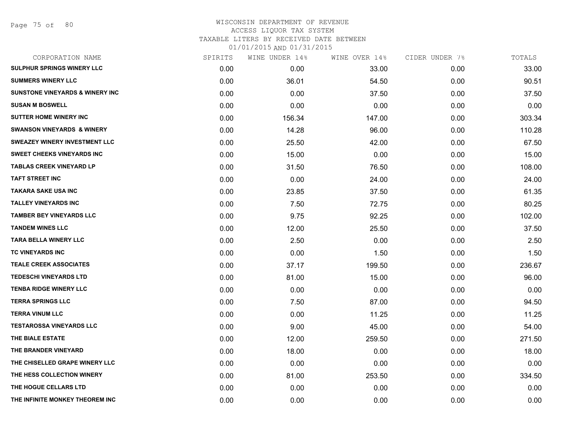#### WISCONSIN DEPARTMENT OF REVENUE ACCESS LIQUOR TAX SYSTEM TAXABLE LITERS BY RECEIVED DATE BETWEEN 01/01/2015 AND 01/31/2015

| CORPORATION NAME                           | SPIRITS | WINE UNDER 14% | WINE OVER 14% | CIDER UNDER 7% | TOTALS |
|--------------------------------------------|---------|----------------|---------------|----------------|--------|
| <b>SULPHUR SPRINGS WINERY LLC</b>          | 0.00    | 0.00           | 33.00         | 0.00           | 33.00  |
| <b>SUMMERS WINERY LLC</b>                  | 0.00    | 36.01          | 54.50         | 0.00           | 90.51  |
| <b>SUNSTONE VINEYARDS &amp; WINERY INC</b> | 0.00    | 0.00           | 37.50         | 0.00           | 37.50  |
| <b>SUSAN M BOSWELL</b>                     | 0.00    | 0.00           | 0.00          | 0.00           | 0.00   |
| <b>SUTTER HOME WINERY INC</b>              | 0.00    | 156.34         | 147.00        | 0.00           | 303.34 |
| <b>SWANSON VINEYARDS &amp; WINERY</b>      | 0.00    | 14.28          | 96.00         | 0.00           | 110.28 |
| <b>SWEAZEY WINERY INVESTMENT LLC</b>       | 0.00    | 25.50          | 42.00         | 0.00           | 67.50  |
| SWEET CHEEKS VINEYARDS INC                 | 0.00    | 15.00          | 0.00          | 0.00           | 15.00  |
| <b>TABLAS CREEK VINEYARD LP</b>            | 0.00    | 31.50          | 76.50         | 0.00           | 108.00 |
| <b>TAFT STREET INC</b>                     | 0.00    | 0.00           | 24.00         | 0.00           | 24.00  |
| <b>TAKARA SAKE USA INC</b>                 | 0.00    | 23.85          | 37.50         | 0.00           | 61.35  |
| <b>TALLEY VINEYARDS INC</b>                | 0.00    | 7.50           | 72.75         | 0.00           | 80.25  |
| <b>TAMBER BEY VINEYARDS LLC</b>            | 0.00    | 9.75           | 92.25         | 0.00           | 102.00 |
| <b>TANDEM WINES LLC</b>                    | 0.00    | 12.00          | 25.50         | 0.00           | 37.50  |
| <b>TARA BELLA WINERY LLC</b>               | 0.00    | 2.50           | 0.00          | 0.00           | 2.50   |
| TC VINEYARDS INC                           | 0.00    | 0.00           | 1.50          | 0.00           | 1.50   |
| <b>TEALE CREEK ASSOCIATES</b>              | 0.00    | 37.17          | 199.50        | 0.00           | 236.67 |
| TEDESCHI VINEYARDS LTD                     | 0.00    | 81.00          | 15.00         | 0.00           | 96.00  |
| <b>TENBA RIDGE WINERY LLC</b>              | 0.00    | 0.00           | 0.00          | 0.00           | 0.00   |
| <b>TERRA SPRINGS LLC</b>                   | 0.00    | 7.50           | 87.00         | 0.00           | 94.50  |
| <b>TERRA VINUM LLC</b>                     | 0.00    | 0.00           | 11.25         | 0.00           | 11.25  |
| <b>TESTAROSSA VINEYARDS LLC</b>            | 0.00    | 9.00           | 45.00         | 0.00           | 54.00  |
| THE BIALE ESTATE                           | 0.00    | 12.00          | 259.50        | 0.00           | 271.50 |
| THE BRANDER VINEYARD                       | 0.00    | 18.00          | 0.00          | 0.00           | 18.00  |
| THE CHISELLED GRAPE WINERY LLC             | 0.00    | 0.00           | 0.00          | 0.00           | 0.00   |
| THE HESS COLLECTION WINERY                 | 0.00    | 81.00          | 253.50        | 0.00           | 334.50 |
| THE HOGUE CELLARS LTD                      | 0.00    | 0.00           | 0.00          | 0.00           | 0.00   |
| THE INFINITE MONKEY THEOREM INC            | 0.00    | 0.00           | 0.00          | 0.00           | 0.00   |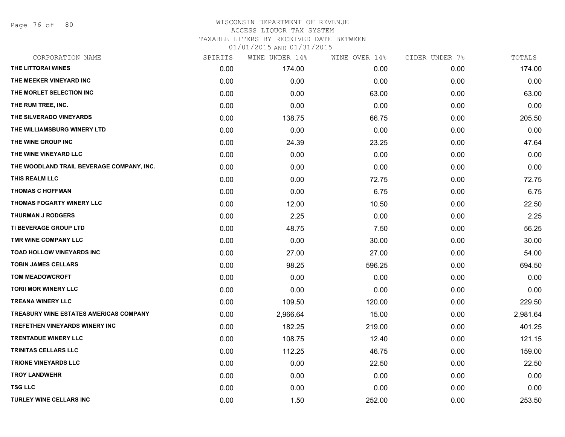Page 76 of 80

### WISCONSIN DEPARTMENT OF REVENUE ACCESS LIQUOR TAX SYSTEM TAXABLE LITERS BY RECEIVED DATE BETWEEN

| CORPORATION NAME                          | SPIRITS | WINE UNDER 14% | WINE OVER 14% | CIDER UNDER 7% | TOTALS   |
|-------------------------------------------|---------|----------------|---------------|----------------|----------|
| THE LITTORAI WINES                        | 0.00    | 174.00         | 0.00          | 0.00           | 174.00   |
| THE MEEKER VINEYARD INC                   | 0.00    | 0.00           | 0.00          | 0.00           | 0.00     |
| THE MORLET SELECTION INC                  | 0.00    | 0.00           | 63.00         | 0.00           | 63.00    |
| THE RUM TREE, INC.                        | 0.00    | 0.00           | 0.00          | 0.00           | 0.00     |
| THE SILVERADO VINEYARDS                   | 0.00    | 138.75         | 66.75         | 0.00           | 205.50   |
| THE WILLIAMSBURG WINERY LTD               | 0.00    | 0.00           | 0.00          | 0.00           | 0.00     |
| THE WINE GROUP INC                        | 0.00    | 24.39          | 23.25         | 0.00           | 47.64    |
| THE WINE VINEYARD LLC                     | 0.00    | 0.00           | 0.00          | 0.00           | 0.00     |
| THE WOODLAND TRAIL BEVERAGE COMPANY, INC. | 0.00    | 0.00           | 0.00          | 0.00           | 0.00     |
| THIS REALM LLC                            | 0.00    | 0.00           | 72.75         | 0.00           | 72.75    |
| <b>THOMAS C HOFFMAN</b>                   | 0.00    | 0.00           | 6.75          | 0.00           | 6.75     |
| THOMAS FOGARTY WINERY LLC                 | 0.00    | 12.00          | 10.50         | 0.00           | 22.50    |
| <b>THURMAN J RODGERS</b>                  | 0.00    | 2.25           | 0.00          | 0.00           | 2.25     |
| <b>TI BEVERAGE GROUP LTD</b>              | 0.00    | 48.75          | 7.50          | 0.00           | 56.25    |
| TMR WINE COMPANY LLC                      | 0.00    | 0.00           | 30.00         | 0.00           | 30.00    |
| TOAD HOLLOW VINEYARDS INC                 | 0.00    | 27.00          | 27.00         | 0.00           | 54.00    |
| <b>TOBIN JAMES CELLARS</b>                | 0.00    | 98.25          | 596.25        | 0.00           | 694.50   |
| <b>TOM MEADOWCROFT</b>                    | 0.00    | 0.00           | 0.00          | 0.00           | 0.00     |
| <b>TORII MOR WINERY LLC</b>               | 0.00    | 0.00           | 0.00          | 0.00           | 0.00     |
| <b>TREANA WINERY LLC</b>                  | 0.00    | 109.50         | 120.00        | 0.00           | 229.50   |
| TREASURY WINE ESTATES AMERICAS COMPANY    | 0.00    | 2,966.64       | 15.00         | 0.00           | 2,981.64 |
| <b>TREFETHEN VINEYARDS WINERY INC</b>     | 0.00    | 182.25         | 219.00        | 0.00           | 401.25   |
| <b>TRENTADUE WINERY LLC</b>               | 0.00    | 108.75         | 12.40         | 0.00           | 121.15   |
| TRINITAS CELLARS LLC                      | 0.00    | 112.25         | 46.75         | 0.00           | 159.00   |
| <b>TRIONE VINEYARDS LLC</b>               | 0.00    | 0.00           | 22.50         | 0.00           | 22.50    |
| <b>TROY LANDWEHR</b>                      | 0.00    | 0.00           | 0.00          | 0.00           | 0.00     |
| <b>TSG LLC</b>                            | 0.00    | 0.00           | 0.00          | 0.00           | 0.00     |
| <b>TURLEY WINE CELLARS INC</b>            | 0.00    | 1.50           | 252.00        | 0.00           | 253.50   |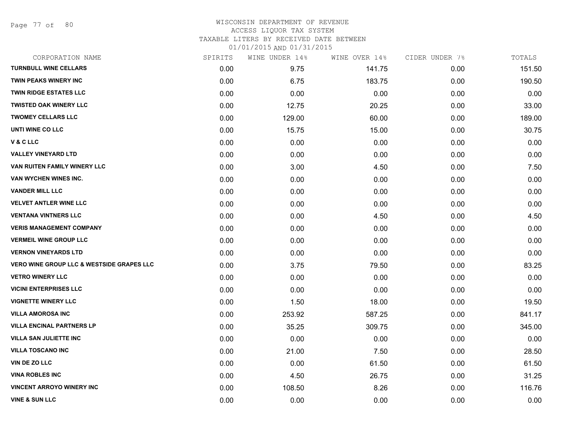Page 77 of 80

#### WISCONSIN DEPARTMENT OF REVENUE ACCESS LIQUOR TAX SYSTEM TAXABLE LITERS BY RECEIVED DATE BETWEEN

| CORPORATION NAME                                     | SPIRITS | WINE UNDER 14% | WINE OVER 14% | CIDER UNDER 7% | TOTALS |
|------------------------------------------------------|---------|----------------|---------------|----------------|--------|
| <b>TURNBULL WINE CELLARS</b>                         | 0.00    | 9.75           | 141.75        | 0.00           | 151.50 |
| <b>TWIN PEAKS WINERY INC</b>                         | 0.00    | 6.75           | 183.75        | 0.00           | 190.50 |
| <b>TWIN RIDGE ESTATES LLC</b>                        | 0.00    | 0.00           | 0.00          | 0.00           | 0.00   |
| <b>TWISTED OAK WINERY LLC</b>                        | 0.00    | 12.75          | 20.25         | 0.00           | 33.00  |
| <b>TWOMEY CELLARS LLC</b>                            | 0.00    | 129.00         | 60.00         | 0.00           | 189.00 |
| UNTI WINE CO LLC                                     | 0.00    | 15.75          | 15.00         | 0.00           | 30.75  |
| V & C LLC                                            | 0.00    | 0.00           | 0.00          | 0.00           | 0.00   |
| <b>VALLEY VINEYARD LTD</b>                           | 0.00    | 0.00           | 0.00          | 0.00           | 0.00   |
| VAN RUITEN FAMILY WINERY LLC                         | 0.00    | 3.00           | 4.50          | 0.00           | 7.50   |
| VAN WYCHEN WINES INC.                                | 0.00    | 0.00           | 0.00          | 0.00           | 0.00   |
| <b>VANDER MILL LLC</b>                               | 0.00    | 0.00           | 0.00          | 0.00           | 0.00   |
| <b>VELVET ANTLER WINE LLC</b>                        | 0.00    | 0.00           | 0.00          | 0.00           | 0.00   |
| <b>VENTANA VINTNERS LLC</b>                          | 0.00    | 0.00           | 4.50          | 0.00           | 4.50   |
| <b>VERIS MANAGEMENT COMPANY</b>                      | 0.00    | 0.00           | 0.00          | 0.00           | 0.00   |
| <b>VERMEIL WINE GROUP LLC</b>                        | 0.00    | 0.00           | 0.00          | 0.00           | 0.00   |
| <b>VERNON VINEYARDS LTD</b>                          | 0.00    | 0.00           | 0.00          | 0.00           | 0.00   |
| <b>VERO WINE GROUP LLC &amp; WESTSIDE GRAPES LLC</b> | 0.00    | 3.75           | 79.50         | 0.00           | 83.25  |
| <b>VETRO WINERY LLC</b>                              | 0.00    | 0.00           | 0.00          | 0.00           | 0.00   |
| <b>VICINI ENTERPRISES LLC</b>                        | 0.00    | 0.00           | 0.00          | 0.00           | 0.00   |
| <b>VIGNETTE WINERY LLC</b>                           | 0.00    | 1.50           | 18.00         | 0.00           | 19.50  |
| <b>VILLA AMOROSA INC</b>                             | 0.00    | 253.92         | 587.25        | 0.00           | 841.17 |
| <b>VILLA ENCINAL PARTNERS LP</b>                     | 0.00    | 35.25          | 309.75        | 0.00           | 345.00 |
| <b>VILLA SAN JULIETTE INC</b>                        | 0.00    | 0.00           | 0.00          | 0.00           | 0.00   |
| <b>VILLA TOSCANO INC</b>                             | 0.00    | 21.00          | 7.50          | 0.00           | 28.50  |
| VIN DE ZO LLC                                        | 0.00    | 0.00           | 61.50         | 0.00           | 61.50  |
| <b>VINA ROBLES INC</b>                               | 0.00    | 4.50           | 26.75         | 0.00           | 31.25  |
| <b>VINCENT ARROYO WINERY INC</b>                     | 0.00    | 108.50         | 8.26          | 0.00           | 116.76 |
| <b>VINE &amp; SUN LLC</b>                            | 0.00    | 0.00           | 0.00          | 0.00           | 0.00   |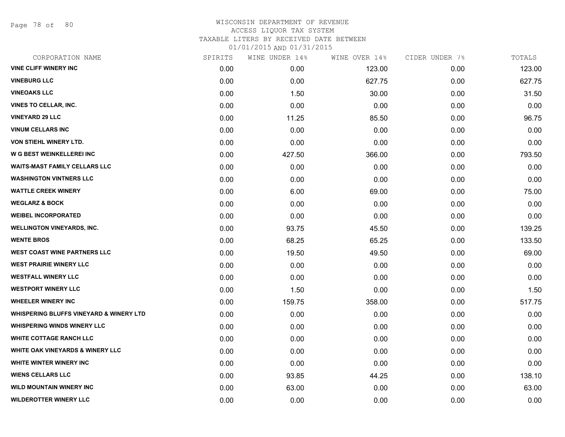Page 78 of 80

#### WISCONSIN DEPARTMENT OF REVENUE ACCESS LIQUOR TAX SYSTEM TAXABLE LITERS BY RECEIVED DATE BETWEEN 01/01/2015 AND 01/31/2015

| CORPORATION NAME                                   | SPIRITS | WINE UNDER 14% | WINE OVER 14% | CIDER UNDER 7% | TOTALS |
|----------------------------------------------------|---------|----------------|---------------|----------------|--------|
| <b>VINE CLIFF WINERY INC</b>                       | 0.00    | 0.00           | 123.00        | 0.00           | 123.00 |
| <b>VINEBURG LLC</b>                                | 0.00    | 0.00           | 627.75        | 0.00           | 627.75 |
| <b>VINEOAKS LLC</b>                                | 0.00    | 1.50           | 30.00         | 0.00           | 31.50  |
| <b>VINES TO CELLAR, INC.</b>                       | 0.00    | 0.00           | 0.00          | 0.00           | 0.00   |
| <b>VINEYARD 29 LLC</b>                             | 0.00    | 11.25          | 85.50         | 0.00           | 96.75  |
| <b>VINUM CELLARS INC</b>                           | 0.00    | 0.00           | 0.00          | 0.00           | 0.00   |
| VON STIEHL WINERY LTD.                             | 0.00    | 0.00           | 0.00          | 0.00           | 0.00   |
| W G BEST WEINKELLEREI INC                          | 0.00    | 427.50         | 366.00        | 0.00           | 793.50 |
| <b>WAITS-MAST FAMILY CELLARS LLC</b>               | 0.00    | 0.00           | 0.00          | 0.00           | 0.00   |
| <b>WASHINGTON VINTNERS LLC</b>                     | 0.00    | 0.00           | 0.00          | 0.00           | 0.00   |
| <b>WATTLE CREEK WINERY</b>                         | 0.00    | 6.00           | 69.00         | 0.00           | 75.00  |
| <b>WEGLARZ &amp; BOCK</b>                          | 0.00    | 0.00           | 0.00          | 0.00           | 0.00   |
| <b>WEIBEL INCORPORATED</b>                         | 0.00    | 0.00           | 0.00          | 0.00           | 0.00   |
| <b>WELLINGTON VINEYARDS, INC.</b>                  | 0.00    | 93.75          | 45.50         | 0.00           | 139.25 |
| <b>WENTE BROS</b>                                  | 0.00    | 68.25          | 65.25         | 0.00           | 133.50 |
| <b>WEST COAST WINE PARTNERS LLC</b>                | 0.00    | 19.50          | 49.50         | 0.00           | 69.00  |
| <b>WEST PRAIRIE WINERY LLC</b>                     | 0.00    | 0.00           | 0.00          | 0.00           | 0.00   |
| <b>WESTFALL WINERY LLC</b>                         | 0.00    | 0.00           | 0.00          | 0.00           | 0.00   |
| <b>WESTPORT WINERY LLC</b>                         | 0.00    | 1.50           | 0.00          | 0.00           | 1.50   |
| <b>WHEELER WINERY INC</b>                          | 0.00    | 159.75         | 358.00        | 0.00           | 517.75 |
| <b>WHISPERING BLUFFS VINEYARD &amp; WINERY LTD</b> | 0.00    | 0.00           | 0.00          | 0.00           | 0.00   |
| <b>WHISPERING WINDS WINERY LLC</b>                 | 0.00    | 0.00           | 0.00          | 0.00           | 0.00   |
| <b>WHITE COTTAGE RANCH LLC</b>                     | 0.00    | 0.00           | 0.00          | 0.00           | 0.00   |
| <b>WHITE OAK VINEYARDS &amp; WINERY LLC</b>        | 0.00    | 0.00           | 0.00          | 0.00           | 0.00   |
| WHITE WINTER WINERY INC                            | 0.00    | 0.00           | 0.00          | 0.00           | 0.00   |
| <b>WIENS CELLARS LLC</b>                           | 0.00    | 93.85          | 44.25         | 0.00           | 138.10 |
| <b>WILD MOUNTAIN WINERY INC</b>                    | 0.00    | 63.00          | 0.00          | 0.00           | 63.00  |
| <b>WILDEROTTER WINERY LLC</b>                      | 0.00    | 0.00           | 0.00          | 0.00           | 0.00   |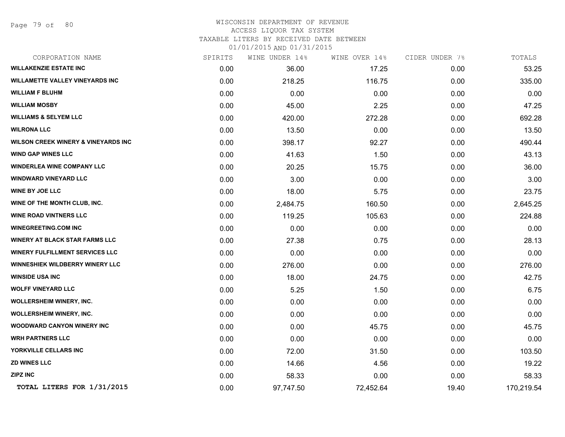#### WISCONSIN DEPARTMENT OF REVENUE ACCESS LIQUOR TAX SYSTEM

TAXABLE LITERS BY RECEIVED DATE BETWEEN

| CORPORATION NAME                               | SPIRITS | WINE UNDER 14% | WINE OVER 14% | CIDER UNDER 7% | TOTALS     |
|------------------------------------------------|---------|----------------|---------------|----------------|------------|
| <b>WILLAKENZIE ESTATE INC</b>                  | 0.00    | 36.00          | 17.25         | 0.00           | 53.25      |
| <b>WILLAMETTE VALLEY VINEYARDS INC</b>         | 0.00    | 218.25         | 116.75        | 0.00           | 335.00     |
| <b>WILLIAM F BLUHM</b>                         | 0.00    | 0.00           | 0.00          | 0.00           | 0.00       |
| <b>WILLIAM MOSBY</b>                           | 0.00    | 45.00          | 2.25          | 0.00           | 47.25      |
| <b>WILLIAMS &amp; SELYEM LLC</b>               | 0.00    | 420.00         | 272.28        | 0.00           | 692.28     |
| <b>WILRONA LLC</b>                             | 0.00    | 13.50          | 0.00          | 0.00           | 13.50      |
| <b>WILSON CREEK WINERY &amp; VINEYARDS INC</b> | 0.00    | 398.17         | 92.27         | 0.00           | 490.44     |
| <b>WIND GAP WINES LLC</b>                      | 0.00    | 41.63          | 1.50          | 0.00           | 43.13      |
| <b>WINDERLEA WINE COMPANY LLC</b>              | 0.00    | 20.25          | 15.75         | 0.00           | 36.00      |
| <b>WINDWARD VINEYARD LLC</b>                   | 0.00    | 3.00           | 0.00          | 0.00           | 3.00       |
| <b>WINE BY JOE LLC</b>                         | 0.00    | 18.00          | 5.75          | 0.00           | 23.75      |
| WINE OF THE MONTH CLUB, INC.                   | 0.00    | 2,484.75       | 160.50        | 0.00           | 2,645.25   |
| <b>WINE ROAD VINTNERS LLC</b>                  | 0.00    | 119.25         | 105.63        | 0.00           | 224.88     |
| <b>WINEGREETING.COM INC</b>                    | 0.00    | 0.00           | 0.00          | 0.00           | 0.00       |
| <b>WINERY AT BLACK STAR FARMS LLC</b>          | 0.00    | 27.38          | 0.75          | 0.00           | 28.13      |
| <b>WINERY FULFILLMENT SERVICES LLC</b>         | 0.00    | 0.00           | 0.00          | 0.00           | 0.00       |
| <b>WINNESHIEK WILDBERRY WINERY LLC</b>         | 0.00    | 276.00         | 0.00          | 0.00           | 276.00     |
| <b>WINSIDE USA INC</b>                         | 0.00    | 18.00          | 24.75         | 0.00           | 42.75      |
| <b>WOLFF VINEYARD LLC</b>                      | 0.00    | 5.25           | 1.50          | 0.00           | 6.75       |
| <b>WOLLERSHEIM WINERY, INC.</b>                | 0.00    | 0.00           | 0.00          | 0.00           | 0.00       |
| <b>WOLLERSHEIM WINERY, INC.</b>                | 0.00    | 0.00           | 0.00          | 0.00           | 0.00       |
| <b>WOODWARD CANYON WINERY INC</b>              | 0.00    | 0.00           | 45.75         | 0.00           | 45.75      |
| <b>WRH PARTNERS LLC</b>                        | 0.00    | 0.00           | 0.00          | 0.00           | 0.00       |
| YORKVILLE CELLARS INC                          | 0.00    | 72.00          | 31.50         | 0.00           | 103.50     |
| <b>ZD WINES LLC</b>                            | 0.00    | 14.66          | 4.56          | 0.00           | 19.22      |
| <b>ZIPZ INC</b>                                | 0.00    | 58.33          | 0.00          | 0.00           | 58.33      |
| TOTAL LITERS FOR 1/31/2015                     | 0.00    | 97,747.50      | 72,452.64     | 19.40          | 170,219.54 |